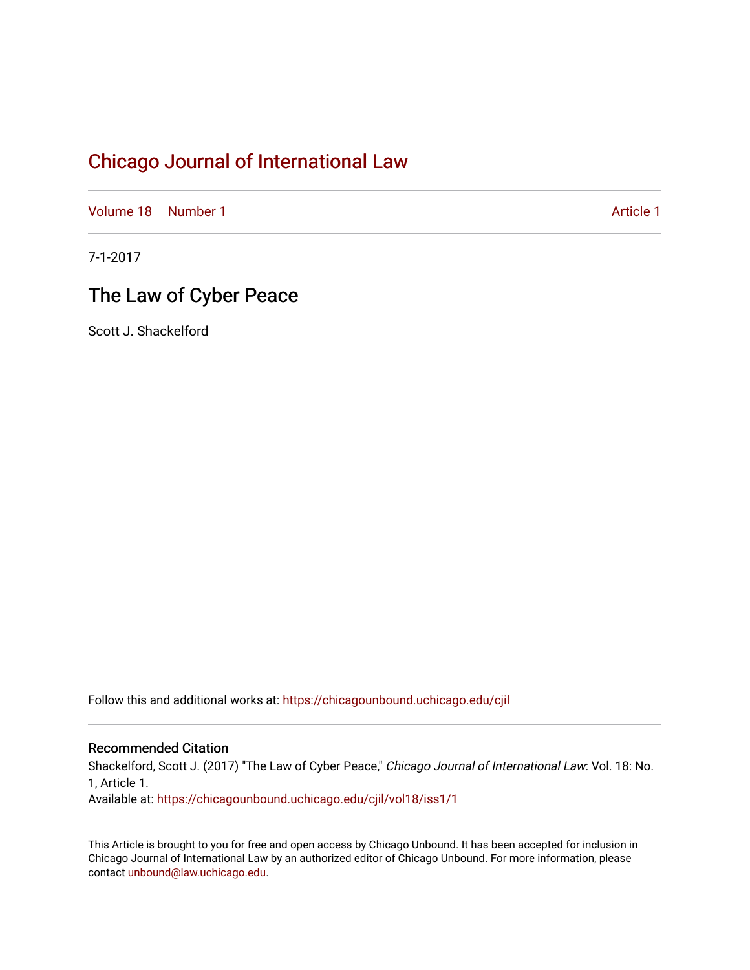[Volume 18](https://chicagounbound.uchicago.edu/cjil/vol18) [Number 1](https://chicagounbound.uchicago.edu/cjil/vol18/iss1) [Article 1](https://chicagounbound.uchicago.edu/cjil/vol18/iss1/1) Article 1 Article 1

7-1-2017

# The Law of Cyber Peace

Scott J. Shackelford

Follow this and additional works at: [https://chicagounbound.uchicago.edu/cjil](https://chicagounbound.uchicago.edu/cjil?utm_source=chicagounbound.uchicago.edu%2Fcjil%2Fvol18%2Fiss1%2F1&utm_medium=PDF&utm_campaign=PDFCoverPages)

### Recommended Citation

Shackelford, Scott J. (2017) "The Law of Cyber Peace," Chicago Journal of International Law: Vol. 18: No. 1, Article 1.

Available at: [https://chicagounbound.uchicago.edu/cjil/vol18/iss1/1](https://chicagounbound.uchicago.edu/cjil/vol18/iss1/1?utm_source=chicagounbound.uchicago.edu%2Fcjil%2Fvol18%2Fiss1%2F1&utm_medium=PDF&utm_campaign=PDFCoverPages)

This Article is brought to you for free and open access by Chicago Unbound. It has been accepted for inclusion in Chicago Journal of International Law by an authorized editor of Chicago Unbound. For more information, please contact [unbound@law.uchicago.edu](mailto:unbound@law.uchicago.edu).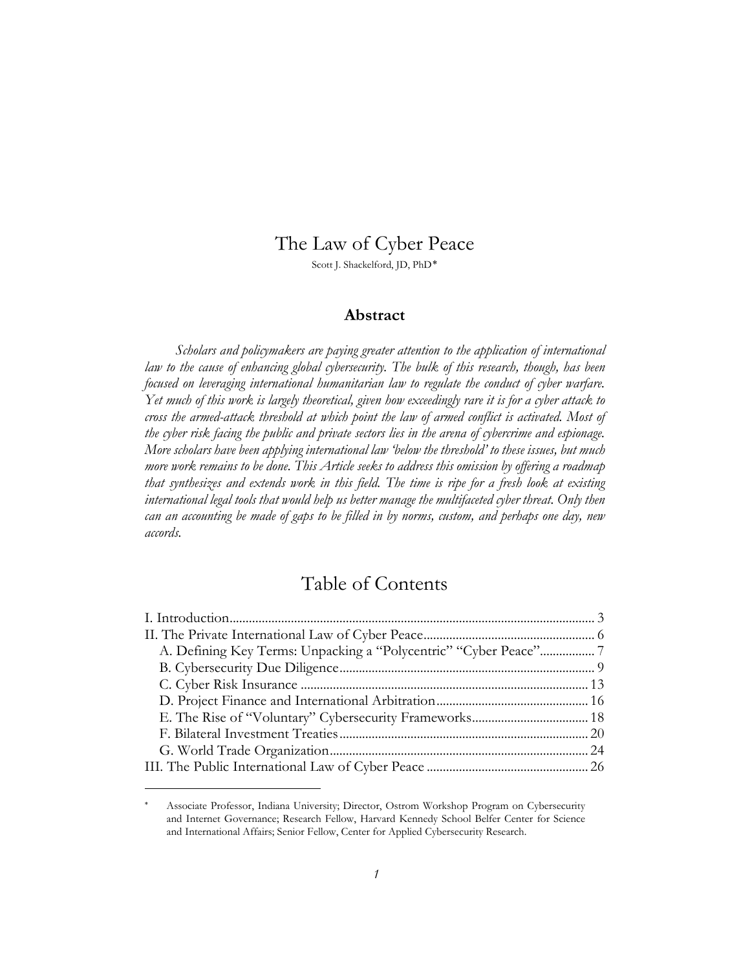## The Law of Cyber Peace

Scott J. Shackelford, JD, PhD[∗](#page-1-0)

### **Abstract**

*Scholars and policymakers are paying greater attention to the application of international law to the cause of enhancing global cybersecurity. The bulk of this research, though, has been focused on leveraging international humanitarian law to regulate the conduct of cyber warfare. Yet much of this work is largely theoretical, given how exceedingly rare it is for a cyber attack to cross the armed-attack threshold at which point the law of armed conflict is activated. Most of the cyber risk facing the public and private sectors lies in the arena of cybercrime and espionage. More scholars have been applying international law 'below the threshold' to these issues, but much more work remains to be done. This Article seeks to address this omission by offering a roadmap that synthesizes and extends work in this field. The time is ripe for a fresh look at existing international legal tools that would help us better manage the multifaceted cyber threat. Only then can an accounting be made of gaps to be filled in by norms, custom, and perhaps one day, new accords.*

# Table of Contents

| A. Defining Key Terms: Unpacking a "Polycentric" "Cyber Peace"7 |
|-----------------------------------------------------------------|
|                                                                 |
|                                                                 |
|                                                                 |
|                                                                 |
|                                                                 |
|                                                                 |
|                                                                 |
|                                                                 |

 $\overline{a}$ 

<span id="page-1-0"></span><sup>∗</sup> Associate Professor, Indiana University; Director, Ostrom Workshop Program on Cybersecurity and Internet Governance; Research Fellow, Harvard Kennedy School Belfer Center for Science and International Affairs; Senior Fellow, Center for Applied Cybersecurity Research.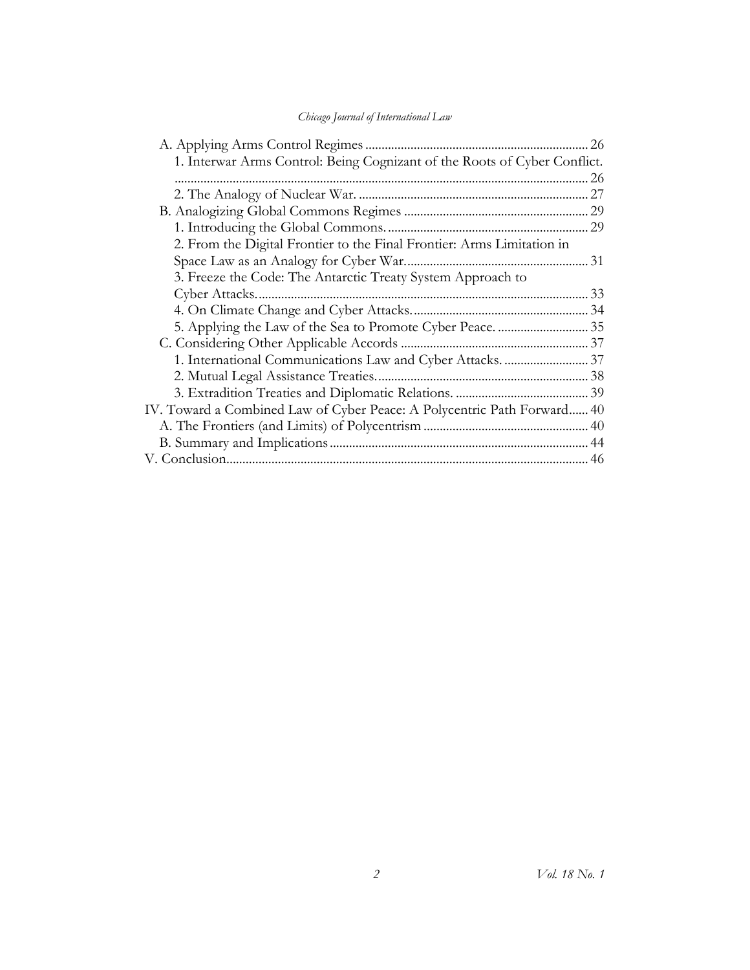| 1. Interwar Arms Control: Being Cognizant of the Roots of Cyber Conflict. |  |
|---------------------------------------------------------------------------|--|
|                                                                           |  |
|                                                                           |  |
|                                                                           |  |
|                                                                           |  |
| 2. From the Digital Frontier to the Final Frontier: Arms Limitation in    |  |
|                                                                           |  |
| 3. Freeze the Code: The Antarctic Treaty System Approach to               |  |
|                                                                           |  |
|                                                                           |  |
|                                                                           |  |
|                                                                           |  |
|                                                                           |  |
|                                                                           |  |
|                                                                           |  |
| IV. Toward a Combined Law of Cyber Peace: A Polycentric Path Forward 40   |  |
|                                                                           |  |
|                                                                           |  |
|                                                                           |  |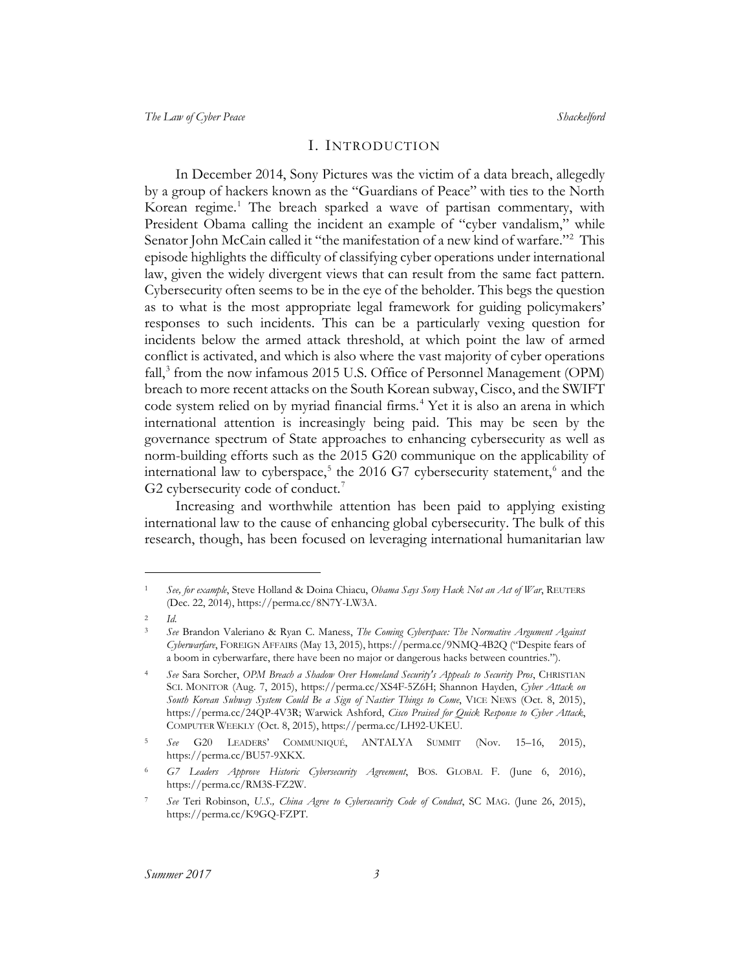#### <span id="page-3-10"></span>I. INTRODUCTION

<span id="page-3-0"></span>In December 2014, Sony Pictures was the victim of a data breach, allegedly by a group of hackers known as the "Guardians of Peace" with ties to the North Korean regime.<sup>[1](#page-3-1)</sup> The breach sparked a wave of partisan commentary, with President Obama calling the incident an example of "cyber vandalism," while Senator John McCain called it "the manifestation of a new kind of warfare."<sup>[2](#page-3-2)</sup> This episode highlights the difficulty of classifying cyber operations under international law, given the widely divergent views that can result from the same fact pattern. Cybersecurity often seems to be in the eye of the beholder. This begs the question as to what is the most appropriate legal framework for guiding policymakers' responses to such incidents. This can be a particularly vexing question for incidents below the armed attack threshold, at which point the law of armed conflict is activated, and which is also where the vast majority of cyber operations fall,<sup>[3](#page-3-3)</sup> from the now infamous 2015 U.S. Office of Personnel Management (OPM) breach to more recent attacks on the South Korean subway, Cisco, and the SWIFT code system relied on by myriad financial firms.<sup>[4](#page-3-4)</sup> Yet it is also an arena in which international attention is increasingly being paid. This may be seen by the governance spectrum of State approaches to enhancing cybersecurity as well as norm-building efforts such as the 2015 G20 communique on the applicability of international law to cyberspace,<sup>[5](#page-3-5)</sup> the 201[6](#page-3-6) G7 cybersecurity statement,<sup>6</sup> and the G2 cybersecurity code of conduct.<sup>[7](#page-3-7)</sup>

<span id="page-3-9"></span><span id="page-3-8"></span>Increasing and worthwhile attention has been paid to applying existing international law to the cause of enhancing global cybersecurity. The bulk of this research, though, has been focused on leveraging international humanitarian law

 $\overline{a}$ 

<span id="page-3-1"></span><sup>1</sup> *See, for example*, Steve Holland & Doina Chiacu, *Obama Says Sony Hack Not an Act of War*, REUTERS (Dec. 22, 2014), https://perma.cc/8N7Y-LW3A.

<span id="page-3-3"></span><span id="page-3-2"></span><sup>2</sup> *Id*.

<sup>3</sup> *See* Brandon Valeriano & Ryan C. Maness, *The Coming Cyberspace: The Normative Argument Against Cyberwarfare*, FOREIGN AFFAIRS (May 13, 2015), https://perma.cc/9NMQ-4B2Q ("Despite fears of a boom in cyberwarfare, there have been no major or dangerous hacks between countries.").

<span id="page-3-4"></span><sup>4</sup> *See* Sara Sorcher, *OPM Breach a Shadow Over Homeland Security's Appeals to Security Pros*, CHRISTIAN SCI. MONITOR (Aug. 7, 2015), https://perma.cc/XS4F-5Z6H; Shannon Hayden, *Cyber Attack on South Korean Subway System Could Be a Sign of Nastier Things to Come*, VICE NEWS (Oct. 8, 2015), https://perma.cc/24QP-4V3R; Warwick Ashford, *Cisco Praised for Quick Response to Cyber Attack*, COMPUTER WEEKLY (Oct. 8, 2015), https://perma.cc/LH92-UKEU.

<span id="page-3-5"></span><sup>5</sup> *See* G20 LEADERS' COMMUNIQUÉ, ANTALYA SUMMIT (Nov. 15–16, 2015), https://perma.cc/BU57-9XKX.

<span id="page-3-6"></span><sup>6</sup> *G7 Leaders Approve Historic Cybersecurity Agreement*, BOS. GLOBAL F. (June 6, 2016), https://perma.cc/RM3S-FZ2W.

<span id="page-3-7"></span><sup>7</sup> *See* Teri Robinson, *U.S., China Agree to Cybersecurity Code of Conduct*, SC MAG. (June 26, 2015), https://perma.cc/K9GQ-FZPT.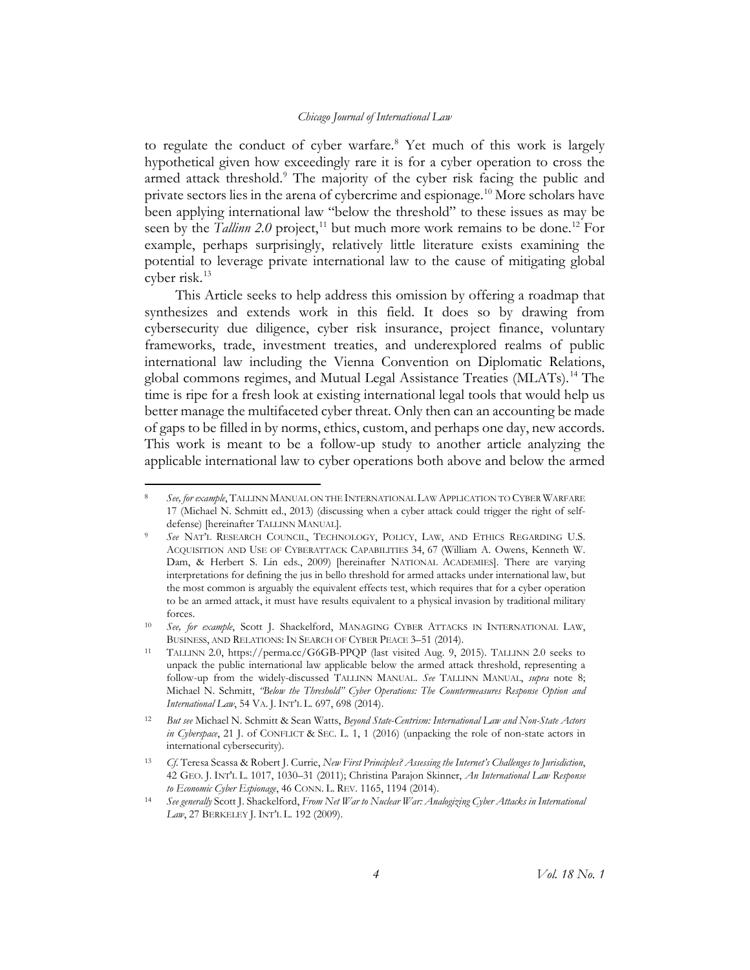<span id="page-4-10"></span><span id="page-4-9"></span><span id="page-4-0"></span>to regulate the conduct of cyber warfare.<sup>[8](#page-4-1)</sup> Yet much of this work is largely hypothetical given how exceedingly rare it is for a cyber operation to cross the armed attack threshold.<sup>[9](#page-4-2)</sup> The majority of the cyber risk facing the public and private sectors lies in the arena of cybercrime and espionage.<sup>[10](#page-4-3)</sup> More scholars have been applying international law "below the threshold" to these issues as may be seen by the *Tallinn* 2.0 project,<sup>[11](#page-4-4)</sup> but much more work remains to be done.<sup>[12](#page-4-5)</sup> For example, perhaps surprisingly, relatively little literature exists examining the potential to leverage private international law to the cause of mitigating global cyber risk.[13](#page-4-6)

<span id="page-4-11"></span><span id="page-4-8"></span>This Article seeks to help address this omission by offering a roadmap that synthesizes and extends work in this field. It does so by drawing from cybersecurity due diligence, cyber risk insurance, project finance, voluntary frameworks, trade, investment treaties, and underexplored realms of public international law including the Vienna Convention on Diplomatic Relations, global commons regimes, and Mutual Legal Assistance Treaties (MLATs).[14](#page-4-7) The time is ripe for a fresh look at existing international legal tools that would help us better manage the multifaceted cyber threat. Only then can an accounting be made of gaps to be filled in by norms, ethics, custom, and perhaps one day, new accords. This work is meant to be a follow-up study to another article analyzing the applicable international law to cyber operations both above and below the armed

<span id="page-4-1"></span> <sup>8</sup> *See, for example*, TALLINN MANUAL ON THE INTERNATIONAL LAW APPLICATION TO CYBER WARFARE 17 (Michael N. Schmitt ed., 2013) (discussing when a cyber attack could trigger the right of selfdefense) [hereinafter TALLINN MANUAL].

<span id="page-4-2"></span><sup>9</sup> *See* NAT'L RESEARCH COUNCIL, TECHNOLOGY, POLICY, LAW, AND ETHICS REGARDING U.S. ACQUISITION AND USE OF CYBERATTACK CAPABILITIES 34, 67 (William A. Owens, Kenneth W. Dam, & Herbert S. Lin eds., 2009) [hereinafter NATIONAL ACADEMIES]. There are varying interpretations for defining the jus in bello threshold for armed attacks under international law, but the most common is arguably the equivalent effects test, which requires that for a cyber operation to be an armed attack, it must have results equivalent to a physical invasion by traditional military forces.

<span id="page-4-3"></span><sup>10</sup> *See, for example*, Scott J. Shackelford, MANAGING CYBER ATTACKS IN INTERNATIONAL LAW, BUSINESS, AND RELATIONS: IN SEARCH OF CYBER PEACE 3–51 (2014).

<span id="page-4-4"></span><sup>11</sup> TALLINN 2.0, https://perma.cc/G6GB-PPQP (last visited Aug. 9, 2015). TALLINN 2.0 seeks to unpack the public international law applicable below the armed attack threshold, representing a follow-up from the widely-discussed TALLINN MANUAL. *See* TALLINN MANUAL, *supra* note [8;](#page-4-0) Michael N. Schmitt, *"Below the Threshold" Cyber Operations: The Countermeasures Response Option and International Law*, 54 VA. J. INT'L L. 697, 698 (2014).

<span id="page-4-5"></span><sup>12</sup> *But see* Michael N. Schmitt & Sean Watts, *Beyond State-Centrism: International Law and Non-State Actors in Cyberspace*, 21 J. of CONFLICT & SEC. L. 1, 1 (2016) (unpacking the role of non-state actors in international cybersecurity).

<span id="page-4-6"></span><sup>13</sup> *Cf*. Teresa Scassa & Robert J. Currie, *New First Principles? Assessing the Internet's Challenges to Jurisdiction*, 42 GEO. J. INT'L L. 1017, 1030–31 (2011); Christina Parajon Skinner, *An International Law Response to Economic Cyber Espionage*, 46 CONN. L. REV. 1165, 1194 (2014).

<span id="page-4-7"></span><sup>14</sup> *See generally* Scott J. Shackelford, *From Net War to Nuclear War: Analogizing Cyber Attacks in International Law*, 27 BERKELEY J. INT'L L. 192 (2009).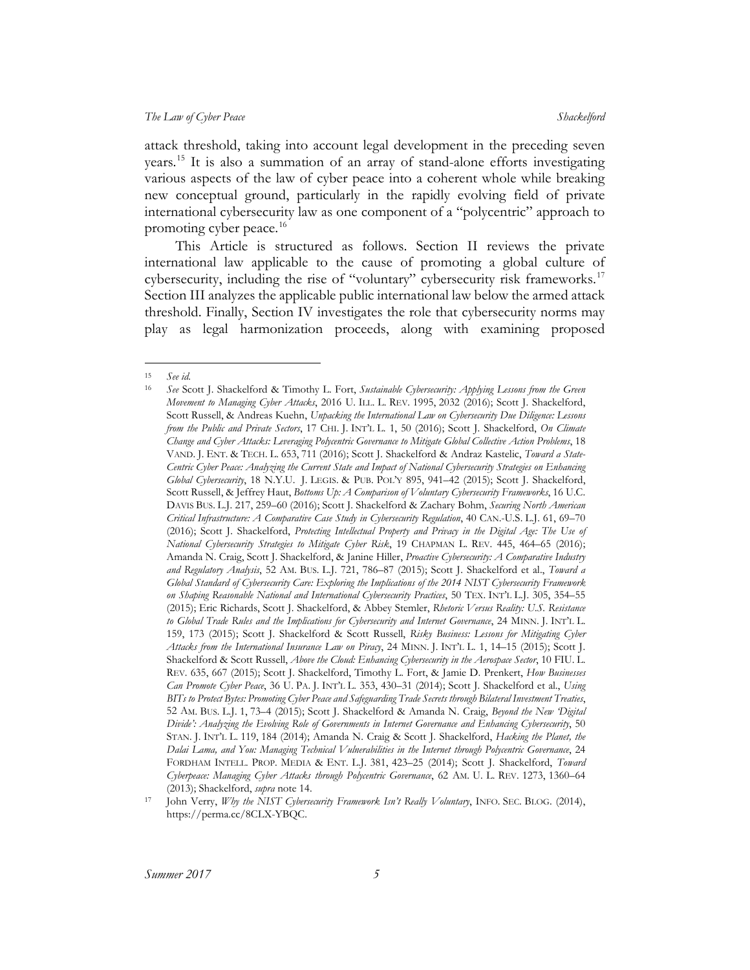attack threshold, taking into account legal development in the preceding seven years.[15](#page-5-0) It is also a summation of an array of stand-alone efforts investigating various aspects of the law of cyber peace into a coherent whole while breaking new conceptual ground, particularly in the rapidly evolving field of private international cybersecurity law as one component of a "polycentric" approach to promoting cyber peace.<sup>[16](#page-5-1)</sup>

<span id="page-5-3"></span>This Article is structured as follows. Section II reviews the private international law applicable to the cause of promoting a global culture of cybersecurity, including the rise of "voluntary" cybersecurity risk frameworks.<sup>[17](#page-5-2)</sup> Section III analyzes the applicable public international law below the armed attack threshold. Finally, Section IV investigates the role that cybersecurity norms may play as legal harmonization proceeds, along with examining proposed

<span id="page-5-0"></span> <sup>15</sup> *See id*.

<span id="page-5-1"></span><sup>16</sup> *See* Scott J. Shackelford & Timothy L. Fort, *Sustainable Cybersecurity: Applying Lessons from the Green Movement to Managing Cyber Attacks*, 2016 U. ILL. L. REV. 1995, 2032 (2016); Scott J. Shackelford, Scott Russell, & Andreas Kuehn, *Unpacking the International Law on Cybersecurity Due Diligence: Lessons from the Public and Private Sectors*, 17 CHI. J. INT'L L. 1, 50 (2016); Scott J. Shackelford, *On Climate Change and Cyber Attacks: Leveraging Polycentric Governance to Mitigate Global Collective Action Problems*, 18 VAND. J. ENT. & TECH. L. 653, 711 (2016); Scott J. Shackelford & Andraz Kastelic, *Toward a State-Centric Cyber Peace: Analyzing the Current State and Impact of National Cybersecurity Strategies on Enhancing Global Cybersecurity*, 18 N.Y.U. J. LEGIS. & PUB. POL'Y 895, 941–42 (2015); Scott J. Shackelford, Scott Russell, & Jeffrey Haut, *Bottoms Up: A Comparison of Voluntary Cybersecurity Frameworks*, 16 U.C. DAVIS BUS. L.J. 217, 259–60 (2016); Scott J. Shackelford & Zachary Bohm, *Securing North American Critical Infrastructure: A Comparative Case Study in Cybersecurity Regulation*, 40 CAN.-U.S. L.J. 61, 69–70 (2016); Scott J. Shackelford, *Protecting Intellectual Property and Privacy in the Digital Age: The Use of National Cybersecurity Strategies to Mitigate Cyber Risk*, 19 CHAPMAN L. REV. 445, 464–65 (2016); Amanda N. Craig, Scott J. Shackelford, & Janine Hiller, *Proactive Cybersecurity: A Comparative Industry and Regulatory Analysis*, 52 AM. BUS. L.J. 721, 786–87 (2015); Scott J. Shackelford et al., *Toward a Global Standard of Cybersecurity Care: Exploring the Implications of the 2014 NIST Cybersecurity Framework on Shaping Reasonable National and International Cybersecurity Practices*, 50 TEX. INT'L L.J. 305, 354–55 (2015); Eric Richards, Scott J. Shackelford, & Abbey Stemler, *Rhetoric Versus Reality: U.S. Resistance to Global Trade Rules and the Implications for Cybersecurity and Internet Governance*, 24 MINN. J. INT'L L. 159, 173 (2015); Scott J. Shackelford & Scott Russell, *Risky Business: Lessons for Mitigating Cyber Attacks from the International Insurance Law on Piracy*, 24 MINN. J. INT'L L. 1, 14–15 (2015); Scott J. Shackelford & Scott Russell, *Above the Cloud: Enhancing Cybersecurity in the Aerospace Sector*, 10 FIU. L. REV. 635, 667 (2015); Scott J. Shackelford, Timothy L. Fort, & Jamie D. Prenkert, *How Businesses Can Promote Cyber Peace*, 36 U. PA. J. INT'L L. 353, 430–31 (2014); Scott J. Shackelford et al., *Using BITs to Protect Bytes: Promoting Cyber Peace and Safeguarding Trade Secrets through Bilateral Investment Treaties*, 52 AM. BUS. L.J. 1, 73–4 (2015); Scott J. Shackelford & Amanda N. Craig, *Beyond the New 'Digital Divide': Analyzing the Evolving Role of Governments in Internet Governance and Enhancing Cybersecurity*, 50 STAN. J. INT'L L. 119, 184 (2014); Amanda N. Craig & Scott J. Shackelford, *Hacking the Planet, the Dalai Lama, and You: Managing Technical Vulnerabilities in the Internet through Polycentric Governance*, 24 FORDHAM INTELL. PROP. MEDIA & ENT. L.J. 381, 423–25 (2014); Scott J. Shackelford, *Toward Cyberpeace: Managing Cyber Attacks through Polycentric Governance*, 62 AM. U. L. REV. 1273, 1360–64 (2013); Shackelford, *supra* not[e 14.](#page-4-8)

<span id="page-5-2"></span><sup>17</sup> John Verry, *Why the NIST Cybersecurity Framework Isn't Really Voluntary*, INFO. SEC. BLOG. (2014), https://perma.cc/8CLX-YBQC.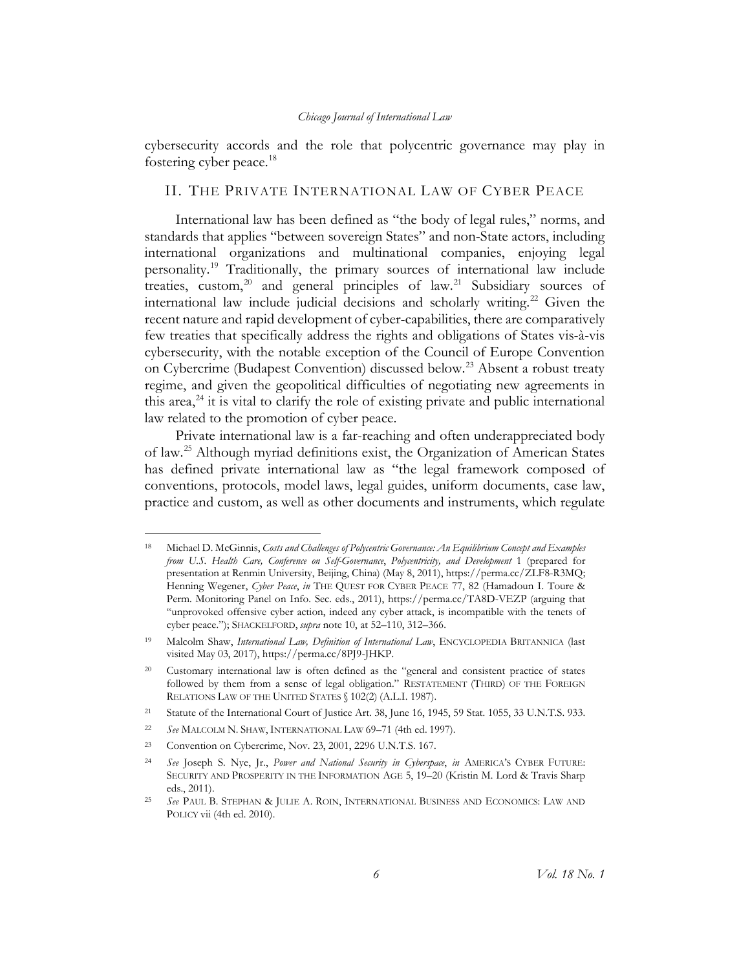cybersecurity accords and the role that polycentric governance may play in fostering cyber peace.<sup>[18](#page-6-1)</sup>

### <span id="page-6-9"></span><span id="page-6-0"></span>II. THE PRIVATE INTERNATIONAL LAW OF CYBER PEACE

International law has been defined as "the body of legal rules," norms, and standards that applies "between sovereign States" and non-State actors, including international organizations and multinational companies, enjoying legal personality.[19](#page-6-2) Traditionally, the primary sources of international law include treaties, custom,<sup>[20](#page-6-3)</sup> and general principles of law.<sup>[21](#page-6-4)</sup> Subsidiary sources of international law include judicial decisions and scholarly writing.<sup>[22](#page-6-5)</sup> Given the recent nature and rapid development of cyber-capabilities, there are comparatively few treaties that specifically address the rights and obligations of States vis-à-vis cybersecurity, with the notable exception of the Council of Europe Convention on Cybercrime (Budapest Convention) discussed below.<sup>[23](#page-6-6)</sup> Absent a robust treaty regime, and given the geopolitical difficulties of negotiating new agreements in this area, $^{24}$  $^{24}$  $^{24}$  it is vital to clarify the role of existing private and public international law related to the promotion of cyber peace.

Private international law is a far-reaching and often underappreciated body of law.[25](#page-6-8) Although myriad definitions exist, the Organization of American States has defined private international law as "the legal framework composed of conventions, protocols, model laws, legal guides, uniform documents, case law, practice and custom, as well as other documents and instruments, which regulate

<span id="page-6-1"></span> <sup>18</sup> Michael D. McGinnis, *Costs and Challenges of Polycentric Governance: An Equilibrium Concept and Examples from U.S. Health Care, Conference on Self-Governance*, *Polycentricity, and Development* 1 (prepared for presentation at Renmin University, Beijing, China) (May 8, 2011), https://perma.cc/ZLF8-R3MQ; Henning Wegener, Cyber Peace, in THE QUEST FOR CYBER PEACE 77, 82 (Hamadoun I. Toure & Perm. Monitoring Panel on Info. Sec. eds., 2011), https://perma.cc/TA8D-VEZP (arguing that "unprovoked offensive cyber action, indeed any cyber attack, is incompatible with the tenets of cyber peace."); SHACKELFORD, *supra* not[e 10,](#page-4-9) at 52–110, 312–366.

<span id="page-6-2"></span><sup>19</sup> Malcolm Shaw, *International Law, Definition of International Law*, ENCYCLOPEDIA BRITANNICA (last visited May 03, 2017), https://perma.cc/8PJ9-JHKP.

<span id="page-6-3"></span>Customary international law is often defined as the "general and consistent practice of states followed by them from a sense of legal obligation." RESTATEMENT (THIRD) OF THE FOREIGN RELATIONS LAW OF THE UNITED STATES § 102(2) (A.L.I. 1987).

<span id="page-6-4"></span><sup>&</sup>lt;sup>21</sup> Statute of the International Court of Justice Art. 38, June 16, 1945, 59 Stat. 1055, 33 U.N.T.S. 933.

<span id="page-6-5"></span><sup>22</sup> *See* MALCOLM N. SHAW, INTERNATIONAL LAW 69–71 (4th ed. 1997).

<span id="page-6-6"></span><sup>23</sup> Convention on Cybercrime, Nov. 23, 2001, 2296 U.N.T.S. 167.

<span id="page-6-7"></span><sup>24</sup> *See* Joseph S. Nye, Jr., *Power and National Security in Cyberspace*, *in* AMERICA'S CYBER FUTURE: SECURITY AND PROSPERITY IN THE INFORMATION AGE 5, 19–20 (Kristin M. Lord & Travis Sharp eds., 2011).

<span id="page-6-8"></span><sup>25</sup> *See* PAUL B. STEPHAN & JULIE A. ROIN, INTERNATIONAL BUSINESS AND ECONOMICS: LAW AND POLICY vii (4th ed. 2010).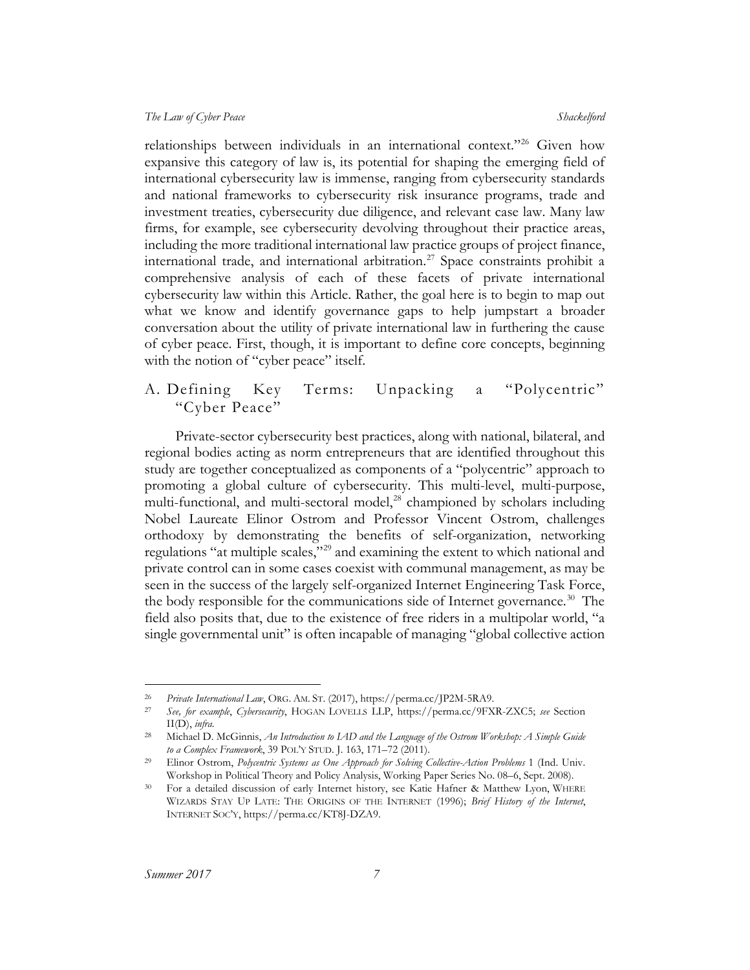relationships between individuals in an international context."[26](#page-7-1) Given how expansive this category of law is, its potential for shaping the emerging field of international cybersecurity law is immense, ranging from cybersecurity standards and national frameworks to cybersecurity risk insurance programs, trade and investment treaties, cybersecurity due diligence, and relevant case law. Many law firms, for example, see cybersecurity devolving throughout their practice areas, including the more traditional international law practice groups of project finance, international trade, and international arbitration. [27](#page-7-2) Space constraints prohibit a comprehensive analysis of each of these facets of private international cybersecurity law within this Article. Rather, the goal here is to begin to map out what we know and identify governance gaps to help jumpstart a broader conversation about the utility of private international law in furthering the cause of cyber peace. First, though, it is important to define core concepts, beginning with the notion of "cyber peace" itself.

### <span id="page-7-0"></span>A. Defining Key Terms: Unpacking a "Polycentric" "Cyber Peace"

Private-sector cybersecurity best practices, along with national, bilateral, and regional bodies acting as norm entrepreneurs that are identified throughout this study are together conceptualized as components of a "polycentric" approach to promoting a global culture of cybersecurity. This multi-level, multi-purpose, multi-functional, and multi-sectoral model, $^{28}$  $^{28}$  $^{28}$  championed by scholars including Nobel Laureate Elinor Ostrom and Professor Vincent Ostrom, challenges orthodoxy by demonstrating the benefits of self-organization, networking regulations "at multiple scales,"<sup>[29](#page-7-4)</sup> and examining the extent to which national and private control can in some cases coexist with communal management, as may be seen in the success of the largely self-organized Internet Engineering Task Force, the body responsible for the communications side of Internet governance.<sup>[30](#page-7-5)</sup> The field also posits that, due to the existence of free riders in a multipolar world, "a single governmental unit" is often incapable of managing "global collective action

 <sup>26</sup> *Private International Law*, ORG. AM. ST. (2017), https://perma.cc/JP2M-5RA9.

<span id="page-7-2"></span><span id="page-7-1"></span><sup>27</sup> *See, for example*, *Cybersecurity*, HOGAN LOVELLS LLP, https://perma.cc/9FXR-ZXC5; *see* Section II(D), *infra*.

<span id="page-7-3"></span><sup>28</sup> Michael D. McGinnis, *An Introduction to IAD and the Language of the Ostrom Workshop: A Simple Guide to a Complex Framework*, 39 POL'Y STUD. J. 163, 171–72 (2011).

<span id="page-7-4"></span><sup>29</sup> Elinor Ostrom, *Polycentric Systems as One Approach for Solving Collective-Action Problems* 1 (Ind. Univ. Workshop in Political Theory and Policy Analysis, Working Paper Series No. 08–6, Sept. 2008).

<span id="page-7-5"></span><sup>&</sup>lt;sup>30</sup> For a detailed discussion of early Internet history, see Katie Hafner & Matthew Lyon, WHERE WIZARDS STAY UP LATE: THE ORIGINS OF THE INTERNET (1996); *Brief History of the Internet*, INTERNET SOC'Y, https://perma.cc/KT8J-DZA9.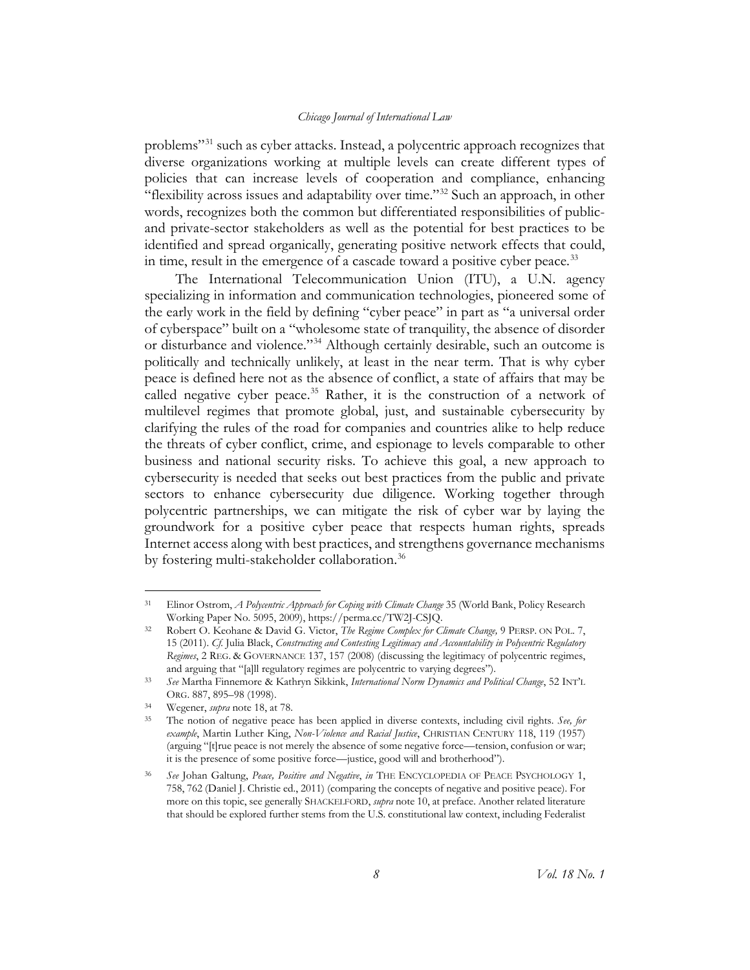<span id="page-8-6"></span>problems"[31](#page-8-0) such as cyber attacks. Instead, a polycentric approach recognizes that diverse organizations working at multiple levels can create different types of policies that can increase levels of cooperation and compliance, enhancing "flexibility across issues and adaptability over time."<sup>[32](#page-8-1)</sup> Such an approach, in other words, recognizes both the common but differentiated responsibilities of publicand private-sector stakeholders as well as the potential for best practices to be identified and spread organically, generating positive network effects that could, in time, result in the emergence of a cascade toward a positive cyber peace.<sup>[33](#page-8-2)</sup>

The International Telecommunication Union (ITU), a U.N. agency specializing in information and communication technologies, pioneered some of the early work in the field by defining "cyber peace" in part as "a universal order of cyberspace" built on a "wholesome state of tranquility, the absence of disorder or disturbance and violence."[34](#page-8-3) Although certainly desirable, such an outcome is politically and technically unlikely, at least in the near term. That is why cyber peace is defined here not as the absence of conflict, a state of affairs that may be called negative cyber peace.<sup>[35](#page-8-4)</sup> Rather, it is the construction of a network of multilevel regimes that promote global, just, and sustainable cybersecurity by clarifying the rules of the road for companies and countries alike to help reduce the threats of cyber conflict, crime, and espionage to levels comparable to other business and national security risks. To achieve this goal, a new approach to cybersecurity is needed that seeks out best practices from the public and private sectors to enhance cybersecurity due diligence. Working together through polycentric partnerships, we can mitigate the risk of cyber war by laying the groundwork for a positive cyber peace that respects human rights, spreads Internet access along with best practices, and strengthens governance mechanisms by fostering multi-stakeholder collaboration.<sup>[36](#page-8-5)</sup>

<span id="page-8-0"></span> <sup>31</sup> Elinor Ostrom, *A Polycentric Approach for Coping with Climate Change* 35 (World Bank, Policy Research Working Paper No. 5095, 2009), https://perma.cc/TW2J-CSJQ.

<span id="page-8-1"></span><sup>32</sup> Robert O. Keohane & David G. Victor, *The Regime Complex for Climate Change,* 9 PERSP. ON POL. 7, 15 (2011). *Cf.* Julia Black, *Constructing and Contesting Legitimacy and Accountability in Polycentric Regulatory Regimes*, 2 REG. & GOVERNANCE 137, 157 (2008) (discussing the legitimacy of polycentric regimes, and arguing that "[a]ll regulatory regimes are polycentric to varying degrees").

<span id="page-8-2"></span><sup>33</sup> *See* Martha Finnemore & Kathryn Sikkink, *International Norm Dynamics and Political Change*, 52 INT'L ORG. 887, 895–98 (1998).

<span id="page-8-3"></span><sup>34</sup> Wegener, *supra* not[e 18,](#page-6-9) at 78.

<span id="page-8-4"></span><sup>35</sup> The notion of negative peace has been applied in diverse contexts, including civil rights. *See, for example*, Martin Luther King, *Non-Violence and Racial Justice*, CHRISTIAN CENTURY 118, 119 (1957) (arguing "[t]rue peace is not merely the absence of some negative force––tension, confusion or war; it is the presence of some positive force—justice, good will and brotherhood").

<span id="page-8-5"></span><sup>36</sup> *See* Johan Galtung, *Peace, Positive and Negative*, *in* THE ENCYCLOPEDIA OF PEACE PSYCHOLOGY 1, 758, 762 (Daniel J. Christie ed., 2011) (comparing the concepts of negative and positive peace). For more on this topic, see generally SHACKELFORD, *supra* not[e 10,](#page-4-9) at preface. Another related literature that should be explored further stems from the U.S. constitutional law context, including Federalist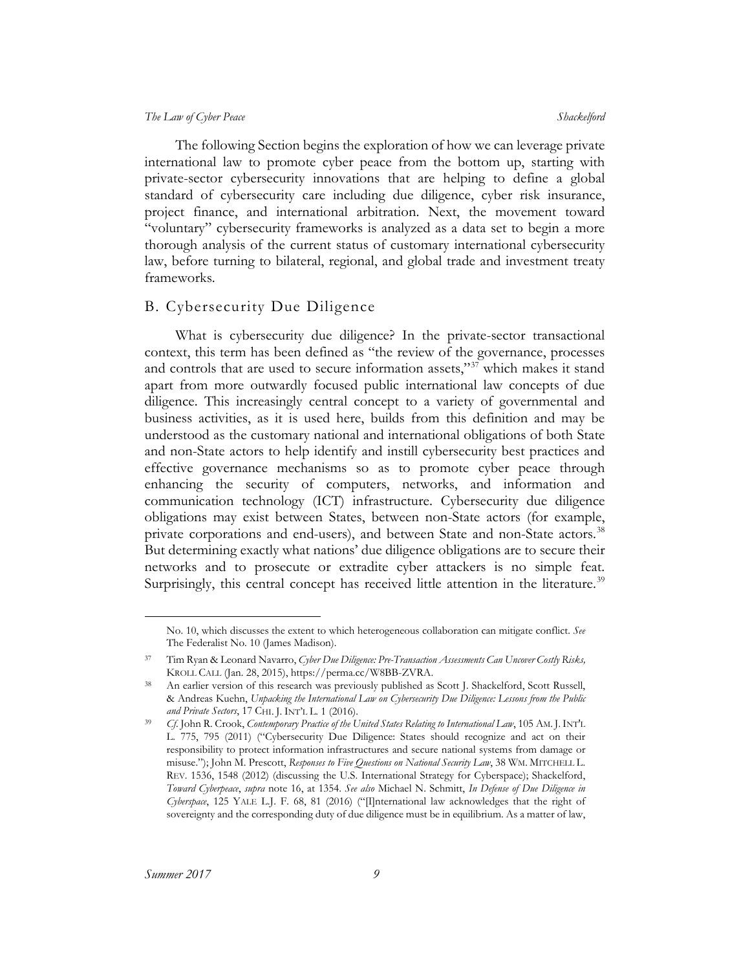The following Section begins the exploration of how we can leverage private international law to promote cyber peace from the bottom up, starting with private-sector cybersecurity innovations that are helping to define a global standard of cybersecurity care including due diligence, cyber risk insurance, project finance, and international arbitration. Next, the movement toward "voluntary" cybersecurity frameworks is analyzed as a data set to begin a more thorough analysis of the current status of customary international cybersecurity law, before turning to bilateral, regional, and global trade and investment treaty frameworks.

#### <span id="page-9-0"></span>B. Cybersecurity Due Diligence

What is cybersecurity due diligence? In the private-sector transactional context, this term has been defined as "the review of the governance, processes and controls that are used to secure information assets," $37$  which makes it stand apart from more outwardly focused public international law concepts of due diligence. This increasingly central concept to a variety of governmental and business activities, as it is used here, builds from this definition and may be understood as the customary national and international obligations of both State and non-State actors to help identify and instill cybersecurity best practices and effective governance mechanisms so as to promote cyber peace through enhancing the security of computers, networks, and information and communication technology (ICT) infrastructure. Cybersecurity due diligence obligations may exist between States, between non-State actors (for example, private corporations and end-users), and between State and non-State actors.<sup>[38](#page-9-2)</sup> But determining exactly what nations' due diligence obligations are to secure their networks and to prosecute or extradite cyber attackers is no simple feat. Surprisingly, this central concept has received little attention in the literature.<sup>[39](#page-9-3)</sup>

No. 10, which discusses the extent to which heterogeneous collaboration can mitigate conflict. *See*  The Federalist No. 10 (James Madison).

<span id="page-9-1"></span><sup>37</sup> Tim Ryan & Leonard Navarro, *Cyber Due Diligence: Pre-Transaction Assessments Can Uncover Costly Risks,* KROLL CALL (Jan. 28, 2015), https://perma.cc/W8BB-ZVRA.

<span id="page-9-2"></span>An earlier version of this research was previously published as Scott J. Shackelford, Scott Russell, & Andreas Kuehn, *Unpacking the International Law on Cybersecurity Due Diligence: Lessons from the Public and Private Sectors*, 17 CHI. J. INT'L L. 1 (2016).

<span id="page-9-3"></span><sup>39</sup> *Cf*. John R. Crook, *Contemporary Practice of the United States Relating to International Law*, 105 AM. J.INT'L L. 775, 795 (2011) ("Cybersecurity Due Diligence: States should recognize and act on their responsibility to protect information infrastructures and secure national systems from damage or misuse."); John M. Prescott, *Responses to Five Questions on National Security Law*, 38 WM. MITCHELL L. REV. 1536, 1548 (2012) (discussing the U.S. International Strategy for Cyberspace); Shackelford, *Toward Cyberpeace*, *supra* note [16,](#page-5-3) at 1354. *See also* Michael N. Schmitt, *In Defense of Due Diligence in Cyberspace*, 125 YALE L.J. F. 68, 81 (2016) ("[I]nternational law acknowledges that the right of sovereignty and the corresponding duty of due diligence must be in equilibrium. As a matter of law,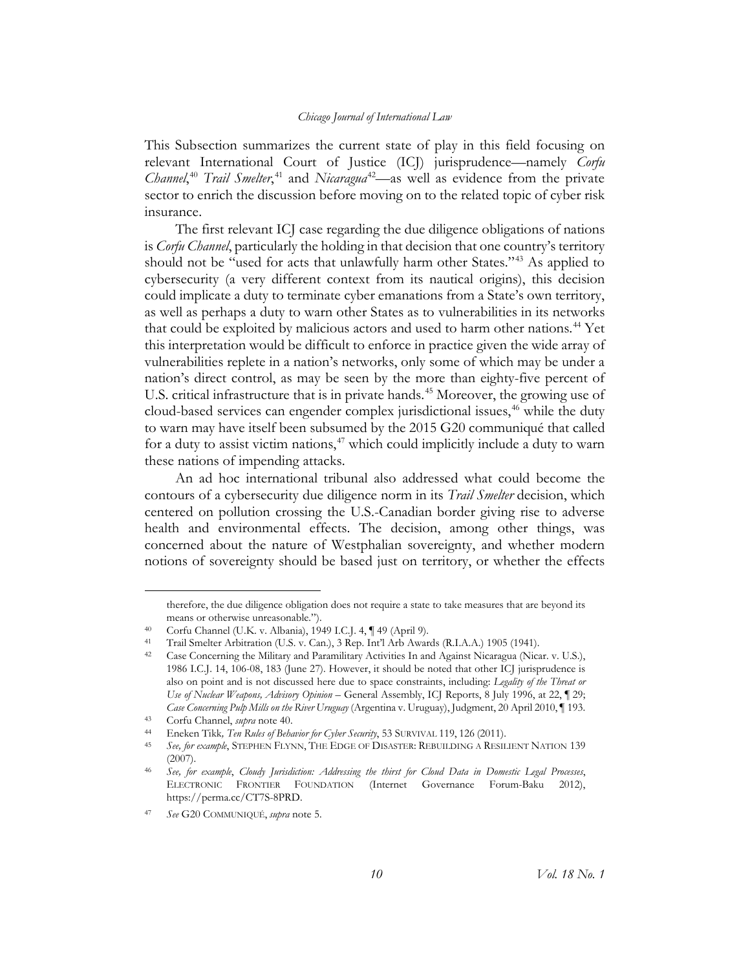<span id="page-10-10"></span><span id="page-10-9"></span><span id="page-10-0"></span>This Subsection summarizes the current state of play in this field focusing on relevant International Court of Justice (ICJ) jurisprudence—namely *Corfu Channel*,<sup>[40](#page-10-1)</sup> *Trail Smelter*,<sup>[41](#page-10-2)</sup> and *Nicaragua*<sup>42</sup>—as well as evidence from the private sector to enrich the discussion before moving on to the related topic of cyber risk insurance.

The first relevant ICJ case regarding the due diligence obligations of nations is *Corfu Channel*, particularly the holding in that decision that one country's territory should not be "used for acts that unlawfully harm other States."<sup>[43](#page-10-4)</sup> As applied to cybersecurity (a very different context from its nautical origins), this decision could implicate a duty to terminate cyber emanations from a State's own territory, as well as perhaps a duty to warn other States as to vulnerabilities in its networks that could be exploited by malicious actors and used to harm other nations.<sup>[44](#page-10-5)</sup> Yet this interpretation would be difficult to enforce in practice given the wide array of vulnerabilities replete in a nation's networks, only some of which may be under a nation's direct control, as may be seen by the more than eighty-five percent of U.S. critical infrastructure that is in private hands.<sup>[45](#page-10-6)</sup> Moreover, the growing use of cloud-based services can engender complex jurisdictional issues,<sup>[46](#page-10-7)</sup> while the duty to warn may have itself been subsumed by the 2015 G20 communiqué that called for a duty to assist victim nations, $47$  which could implicitly include a duty to warn these nations of impending attacks.

An ad hoc international tribunal also addressed what could become the contours of a cybersecurity due diligence norm in its *Trail Smelter* decision, which centered on pollution crossing the U.S.-Canadian border giving rise to adverse health and environmental effects. The decision, among other things, was concerned about the nature of Westphalian sovereignty, and whether modern notions of sovereignty should be based just on territory, or whether the effects

therefore, the due diligence obligation does not require a state to take measures that are beyond its means or otherwise unreasonable.").

<sup>40</sup> Corfu Channel (U.K. v. Albania), 1949 I.C.J. 4, ¶ 49 (April 9).

<span id="page-10-2"></span><span id="page-10-1"></span><sup>41</sup> Trail Smelter Arbitration (U.S. v. Can.), 3 Rep. Int'l Arb Awards (R.I.A.A.) 1905 (1941).

<span id="page-10-3"></span><sup>&</sup>lt;sup>42</sup> Case Concerning the Military and Paramilitary Activities In and Against Nicaragua (Nicar. v. U.S.), 1986 I.C.J. 14, 106-08, 183 (June 27). However, it should be noted that other ICJ jurisprudence is also on point and is not discussed here due to space constraints, including: *Legality of the Threat or Use of Nuclear Weapons, Advisory Opinion* – General Assembly, ICJ Reports, 8 July 1996, at 22, ¶ 29; *Case Concerning Pulp Mills on the River Uruguay* (Argentina v. Uruguay), Judgment, 20 April 2010, ¶ 193.

<span id="page-10-4"></span><sup>43</sup> Corfu Channel, *supra* not[e 40.](#page-10-0)

<span id="page-10-5"></span><sup>44</sup> Eneken Tikk*, Ten Rules of Behavior for Cyber Security*, 53 SURVIVAL 119, 126 (2011).

<span id="page-10-6"></span><sup>45</sup> *See, for example*, STEPHEN FLYNN, THE EDGE OF DISASTER: REBUILDING A RESILIENT NATION 139 (2007).

<span id="page-10-7"></span><sup>46</sup> *See, for example*, *Cloudy Jurisdiction: Addressing the thirst for Cloud Data in Domestic Legal Processes*, ELECTRONIC FRONTIER FOUNDATION (Internet Governance Forum-Baku 2012), https://perma.cc/CT7S-8PRD.

<span id="page-10-8"></span><sup>47</sup> *See* G20 COMMUNIQUÉ, *supra* not[e 5.](#page-3-8)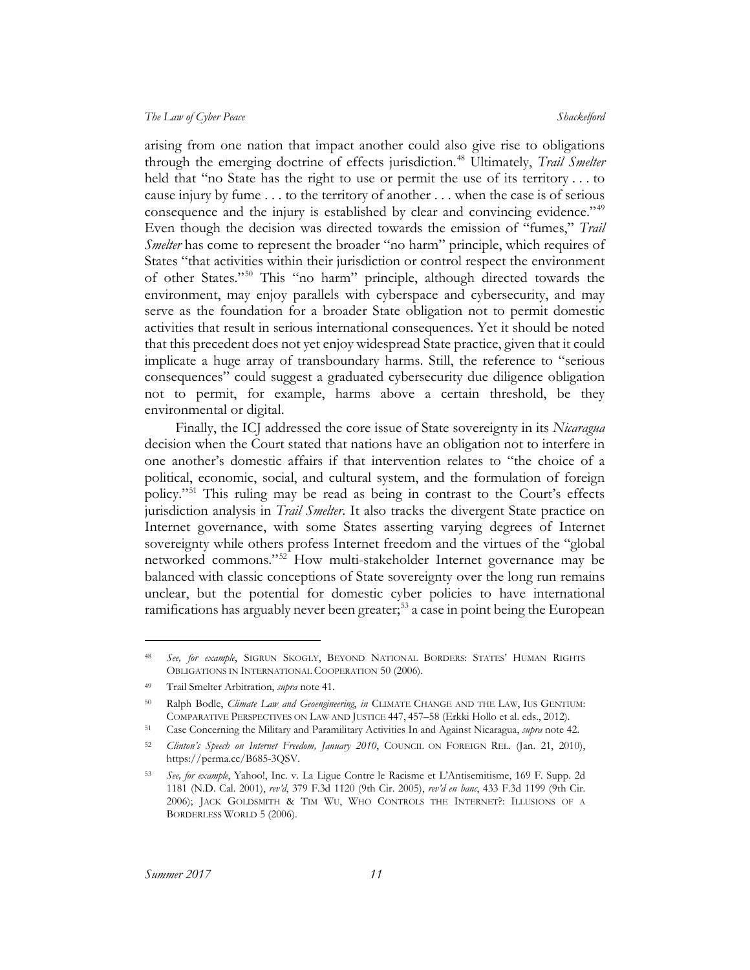arising from one nation that impact another could also give rise to obligations through the emerging doctrine of effects jurisdiction.<sup>[48](#page-11-0)</sup> Ultimately, *Trail Smelter* held that "no State has the right to use or permit the use of its territory . . . to cause injury by fume . . . to the territory of another . . . when the case is of serious consequence and the injury is established by clear and convincing evidence."<sup>[49](#page-11-1)</sup> Even though the decision was directed towards the emission of "fumes," *Trail Smelter* has come to represent the broader "no harm" principle, which requires of States "that activities within their jurisdiction or control respect the environment of other States."[50](#page-11-2) This "no harm" principle, although directed towards the environment, may enjoy parallels with cyberspace and cybersecurity, and may serve as the foundation for a broader State obligation not to permit domestic activities that result in serious international consequences. Yet it should be noted that this precedent does not yet enjoy widespread State practice, given that it could implicate a huge array of transboundary harms. Still, the reference to "serious consequences" could suggest a graduated cybersecurity due diligence obligation not to permit, for example, harms above a certain threshold, be they environmental or digital.

Finally, the ICJ addressed the core issue of State sovereignty in its *Nicaragua*  decision when the Court stated that nations have an obligation not to interfere in one another's domestic affairs if that intervention relates to "the choice of a political, economic, social, and cultural system, and the formulation of foreign policy."[51](#page-11-3) This ruling may be read as being in contrast to the Court's effects jurisdiction analysis in *Trail Smelter*. It also tracks the divergent State practice on Internet governance, with some States asserting varying degrees of Internet sovereignty while others profess Internet freedom and the virtues of the "global networked commons."[52](#page-11-4) How multi-stakeholder Internet governance may be balanced with classic conceptions of State sovereignty over the long run remains unclear, but the potential for domestic cyber policies to have international ramifications has arguably never been greater;<sup>[53](#page-11-5)</sup> a case in point being the European

 $\overline{a}$ 

<span id="page-11-0"></span><sup>48</sup> *See, for example*, SIGRUN SKOGLY, BEYOND NATIONAL BORDERS: STATES' HUMAN RIGHTS OBLIGATIONS IN INTERNATIONAL COOPERATION 50 (2006).

<span id="page-11-1"></span><sup>49</sup> Trail Smelter Arbitration, *supra* note [41.](#page-10-9)

<span id="page-11-2"></span><sup>50</sup> Ralph Bodle, *Climate Law and Geoengineering*, *in* CLIMATE CHANGE AND THE LAW, IUS GENTIUM: COMPARATIVE PERSPECTIVES ON LAW AND JUSTICE 447, 457–58 (Erkki Hollo et al. eds., 2012).

<span id="page-11-3"></span><sup>51</sup> Case Concerning the Military and Paramilitary Activities In and Against Nicaragua, *supra* note [42.](#page-10-10)

<span id="page-11-4"></span><sup>52</sup> *Clinton's Speech on Internet Freedom, January 2010*, COUNCIL ON FOREIGN REL. (Jan. 21, 2010), https://perma.cc/B685-3QSV.

<span id="page-11-5"></span><sup>53</sup> *See, for example*, Yahoo!, Inc. v. La Ligue Contre le Racisme et L'Antisemitisme, 169 F. Supp. 2d 1181 (N.D. Cal. 2001), *rev'd*, 379 F.3d 1120 (9th Cir. 2005), *rev'd en banc*, 433 F.3d 1199 (9th Cir. 2006); JACK GOLDSMITH & TIM WU, WHO CONTROLS THE INTERNET?: ILLUSIONS OF A BORDERLESS WORLD 5 (2006).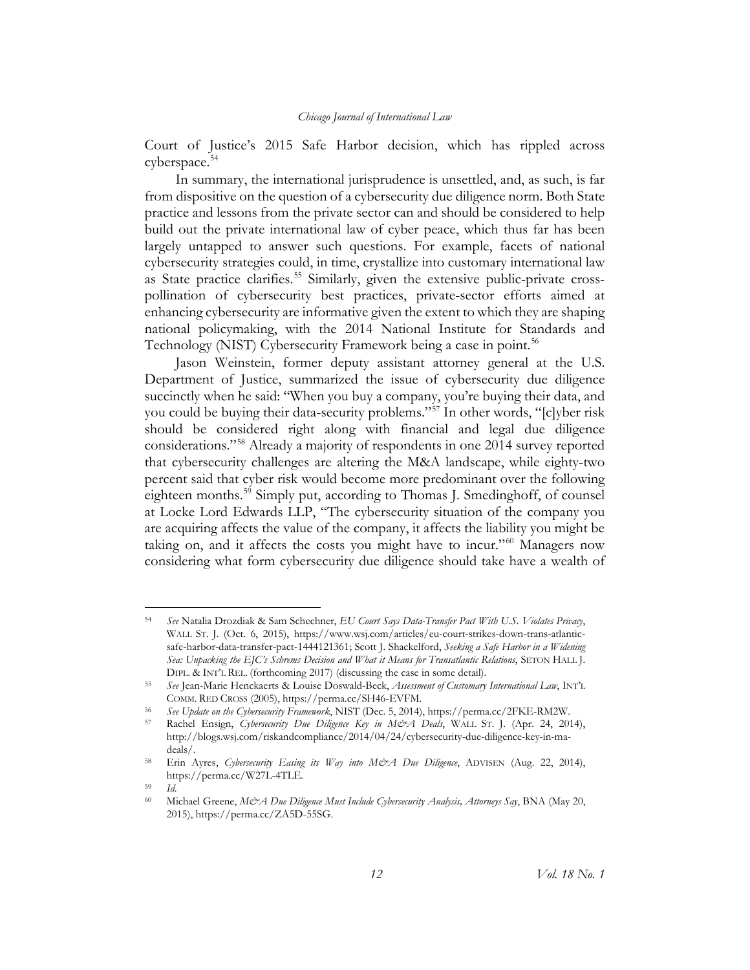Court of Justice's 2015 Safe Harbor decision, which has rippled across cyberspace.<sup>[54](#page-12-0)</sup>

In summary, the international jurisprudence is unsettled, and, as such, is far from dispositive on the question of a cybersecurity due diligence norm. Both State practice and lessons from the private sector can and should be considered to help build out the private international law of cyber peace, which thus far has been largely untapped to answer such questions. For example, facets of national cybersecurity strategies could, in time, crystallize into customary international law as State practice clarifies.<sup>[55](#page-12-1)</sup> Similarly, given the extensive public-private crosspollination of cybersecurity best practices, private-sector efforts aimed at enhancing cybersecurity are informative given the extent to which they are shaping national policymaking, with the 2014 National Institute for Standards and Technology (NIST) Cybersecurity Framework being a case in point.<sup>[56](#page-12-2)</sup>

<span id="page-12-7"></span>Jason Weinstein, former deputy assistant attorney general at the U.S. Department of Justice, summarized the issue of cybersecurity due diligence succinctly when he [said:](http://blogs.wsj.com/riskandcompliance/2014/04/24/cybersecurity-due-diligence-key-in-ma-deals) "When you buy a company, you're buying their data, and you could be buying their data-security problems."[57](#page-12-3) In [other words,](http://www.cyberrisknetwork.com/2014/08/22/cybersecurity-easing-way-ma-process/) "[c]yber risk should be considered right along with financial and legal due diligence considerations."[58](#page-12-4) Already a majority of respondents in one [2014 survey](http://www.cyberrisknetwork.com/2014/08/22/cybersecurity-easing-way-ma-process/) reported that cybersecurity challenges are altering the M&A landscape, while eighty-two percent said that cyber risk would become more predominant over the following eighteen months.<sup>[59](#page-12-5)</sup> Simply put, according to Thomas J. Smedinghoff, of counsel at Locke Lord Edwards LLP, "The cybersecurity situation of the company you are acquiring affects the value of the company, it affects the liability you might be taking on, and it affects the costs you might have to incur."[60](#page-12-6) Managers now considering what form cybersecurity due diligence should take have a wealth of

<span id="page-12-0"></span> <sup>54</sup> *See* Natalia Drozdiak & Sam Schechner, *EU Court Says Data-Transfer Pact With U.S. Violates Privacy*, WALL ST. J. (Oct. 6, 2015), https://www.wsj.com/articles/eu-court-strikes-down-trans-atlanticsafe-harbor-data-transfer-pact-1444121361; Scott J. Shackelford, *Seeking a Safe Harbor in a Widening Sea: Unpacking the EJC's Schrems Decision and What it Means for Transatlantic Relations*, SETON HALL J. DIPL. & INT'L REL. (forthcoming 2017) (discussing the case in some detail).

<span id="page-12-1"></span><sup>55</sup> *See* Jean-Marie Henckaerts & Louise Doswald-Beck, *Assessment of Customary International Law*, INT'L COMM. RED CROSS (2005), https://perma.cc/SH46-EVFM.

<span id="page-12-3"></span><span id="page-12-2"></span><sup>56</sup> *See Update on the Cybersecurity Framework*, NIST (Dec. 5, 2014), https://perma.cc/2FKE-RM2W.

<sup>57</sup> Rachel Ensign, *Cybersecurity Due Diligence Key in M&A Deals*, WALL ST. J. (Apr. 24, 2014), http://blogs.wsj.com/riskandcompliance/2014/04/24/cybersecurity-due-diligence-key-in-madeals/.

<span id="page-12-4"></span><sup>58</sup> Erin Ayres, *Cybersecurity Easing its Way into M&A Due Diligence*, ADVISEN (Aug. 22, 2014), https://perma.cc/W27L-4TLE.

<span id="page-12-6"></span><span id="page-12-5"></span><sup>59</sup> *Id*.

<sup>60</sup> Michael Greene, *M&A Due Diligence Must Include Cybersecurity Analysis, Attorneys Say*, BNA (May 20, 2015), https://perma.cc/ZA5D-55SG.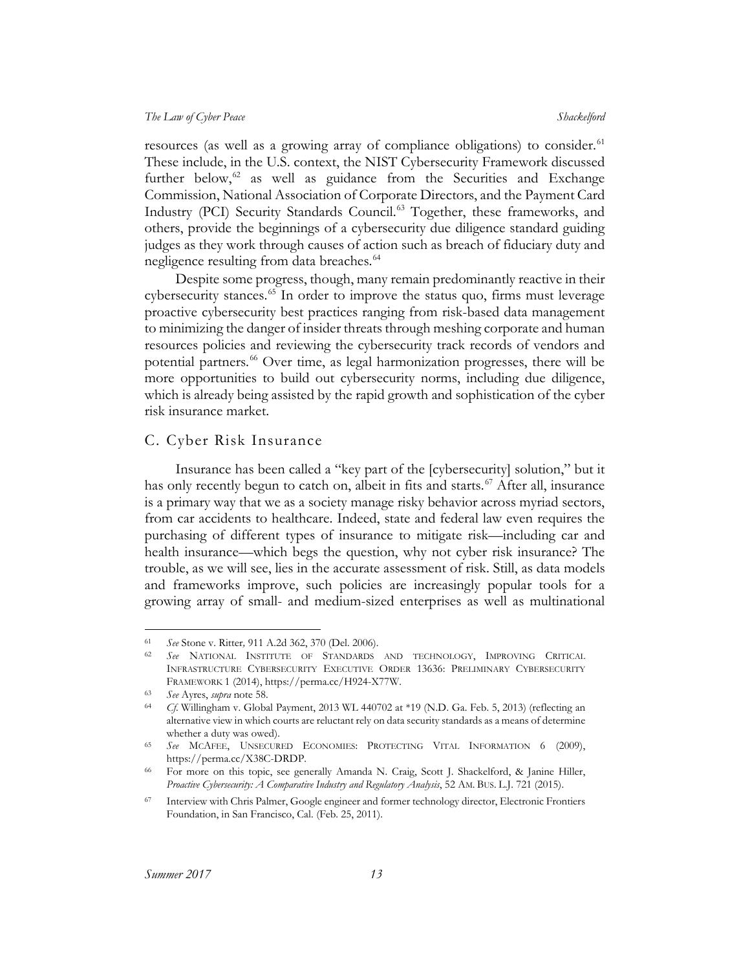resources (as well as a growing array of compliance obligations) to consider.<sup>[61](#page-13-1)</sup> These include, in the U.S. context, the NIST Cybersecurity Framework discussed further below, $62$  as well as guidance from the Securities and Exchange Commission, National Association of Corporate Directors, and the Payment Card Industry (PCI) Security Standards Council.<sup>[63](#page-13-3)</sup> Together, these frameworks, and others, provide the beginnings of a cybersecurity due diligence standard guiding judges as they work through causes of action such as breach of fiduciary duty and negligence resulting from data breaches.<sup>[64](#page-13-4)</sup>

Despite some progress, though, many remain predominantly reactive in their cybersecurity stances.<sup>[65](#page-13-5)</sup> In order to improve the status quo, firms must leverage [proactive cybersecurity best practices](http://www.csmonitor.com/World/Passcode/Passcode-Voices/2015/0227/Opinion-After-high-profile-hacks-it-s-time-for-a-bolder-approach-to-cybersecurity) ranging from risk-based data management to minimizing the danger of insider threats through meshing corporate and human resources policies and reviewing the cybersecurity track records of vendors and potential partners.<sup>[66](#page-13-6)</sup> Over time, as legal harmonization progresses, there will be more opportunities to build out cybersecurity norms, including due diligence, which is already being assisted by the rapid growth and sophistication of the cyber risk insurance market.

#### <span id="page-13-0"></span>C. Cyber Risk Insurance

Insurance has been called a "key part of the [cybersecurity] solution," but it has only recently begun to catch on, albeit in fits and starts.<sup> $67$ </sup> After all, insurance is a primary way that we as a society manage risky behavior across myriad sectors, from car accidents to healthcare. Indeed, state and federal law even requires the purchasing of different types of insurance to mitigate risk—including car and health insurance—which begs the question, why not cyber risk insurance? The trouble, as we will see, lies in the accurate assessment of risk. Still, as data models and frameworks improve, such policies are increasingly popular tools for a growing array of small- and medium-sized enterprises as well as multinational

<span id="page-13-1"></span> <sup>61</sup> *See* Stone v. Ritter*,* 911 A.2d 362, 370 (Del. 2006).

<span id="page-13-2"></span><sup>62</sup> *See* NATIONAL INSTITUTE OF STANDARDS AND TECHNOLOGY, IMPROVING CRITICAL INFRASTRUCTURE CYBERSECURITY EXECUTIVE ORDER 13636: PRELIMINARY CYBERSECURITY FRAMEWORK 1 (2014), https://perma.cc/H924-X77W.

<span id="page-13-3"></span><sup>63</sup> *See* Ayres, *supra* not[e 58.](#page-12-7)

<span id="page-13-4"></span><sup>64</sup> *Cf*. Willingham v. Global Payment, 2013 WL 440702 at \*19 (N.D. Ga. Feb. 5, 2013) (reflecting an alternative view in which courts are reluctant rely on data security standards as a means of determine whether a duty was owed).

<span id="page-13-5"></span><sup>65</sup> *See* MCAFEE, UNSECURED ECONOMIES: PROTECTING VITAL INFORMATION 6 (2009), https://perma.cc/X38C-DRDP.

<span id="page-13-6"></span><sup>66</sup> For more on this topic, see generally Amanda N. Craig, Scott J. Shackelford, & Janine Hiller, *Proactive Cybersecurity: A Comparative Industry and Regulatory Analysis*, 52 AM. BUS. L.J. 721 (2015).

<span id="page-13-7"></span><sup>67</sup> Interview with Chris Palmer, Google engineer and former technology director, Electronic Frontiers Foundation, in San Francisco, Cal. (Feb. 25, 2011).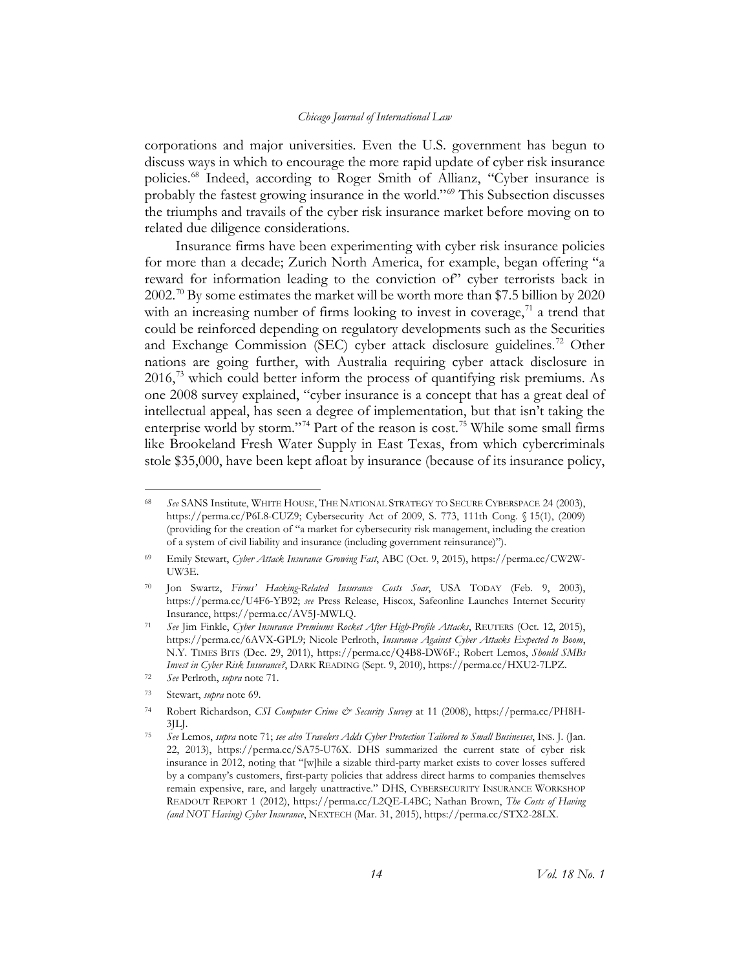<span id="page-14-1"></span>corporations and major universities. Even the U.S. government has begun to discuss ways in which to encourage the more rapid update of cyber risk insurance policies.<sup>[68](#page-14-2)</sup> Indeed, according to Roger Smith of Allianz, "Cyber insurance is probably the fastest growing insurance in the world."[69](#page-14-3) This Subsection discusses the triumphs and travails of the cyber risk insurance market before moving on to related due diligence considerations.

<span id="page-14-0"></span>Insurance firms have been experimenting with cyber risk insurance policies for more than a decade; Zurich North America, for example, began offering "a reward for information leading to the conviction of" cyber terrorists back in 2002.<sup>[70](#page-14-4)</sup> By some estimates the market will be worth more than \$7.5 billion by 2020 with an increasing number of firms looking to invest in coverage,  $\frac{1}{1}$  a trend that could be reinforced depending on regulatory developments such as the Securities and Exchange Commission (SEC) cyber attack disclosure guidelines.<sup>[72](#page-14-6)</sup> Other nations are going further, with Australia requiring cyber attack disclosure in  $2016<sup>73</sup>$  $2016<sup>73</sup>$  $2016<sup>73</sup>$  which could better inform the process of quantifying risk premiums. As one 2008 survey explained, "cyber insurance is a concept that has a great deal of intellectual appeal, has seen a degree of implementation, but that isn't taking the enterprise world by storm."<sup>[74](#page-14-8)</sup> Part of the reason is cost.<sup>[75](#page-14-9)</sup> While some small firms like Brookeland Fresh Water Supply in East Texas, from which cybercriminals stole \$35,000, have been kept afloat by insurance (because of its insurance policy,

<span id="page-14-10"></span><span id="page-14-2"></span> <sup>68</sup> *See* SANS Institute, WHITE HOUSE, THE NATIONAL STRATEGY TO SECURE CYBERSPACE 24 (2003), https://perma.cc/P6L8-CUZ9; Cybersecurity Act of 2009, S. 773, 111th Cong. § 15(1), (2009) (providing for the creation of "a market for cybersecurity risk management, including the creation of a system of civil liability and insurance (including government reinsurance)").

<span id="page-14-3"></span><sup>69</sup> Emily Stewart, *Cyber Attack Insurance Growing Fast*, ABC (Oct. 9, 2015), https://perma.cc/CW2W-UW3E.

<span id="page-14-4"></span><sup>70</sup> Jon Swartz, *Firms' Hacking-Related Insurance Costs Soar*, USA TODAY (Feb. 9, 2003), https://perma.cc/U4F6-YB92; *see* Press Release, Hiscox, Safeonline Launches Internet Security Insurance, https://perma.cc/AV5J-MWLQ.

<span id="page-14-5"></span><sup>71</sup> *See* Jim Finkle, *Cyber Insurance Premiums Rocket After High-Profile Attacks*, REUTERS (Oct. 12, 2015), https://perma.cc/6AVX-GPL9; Nicole Perlroth, *Insurance Against Cyber Attacks Expected to Boom*, N.Y. TIMES BITS (Dec. 29, 2011), https://perma.cc/Q4B8-DW6F.; Robert Lemos, *Should SMBs Invest in Cyber Risk Insurance?*, DARK READING (Sept. 9, 2010), https://perma.cc/HXU2-7LPZ. 72 *See* Perlroth, *supra* not[e 71.](#page-14-0)

<span id="page-14-7"></span><span id="page-14-6"></span><sup>73</sup> Stewart, *supra* note [69.](#page-14-1)

<span id="page-14-8"></span><sup>74</sup> Robert Richardson, *CSI Computer Crime & Security Survey* at 11 (2008), https://perma.cc/PH8H-3JLJ.

<span id="page-14-9"></span><sup>75</sup> *See* Lemos, *supra* not[e 71;](#page-14-0) *see also Travelers Adds Cyber Protection Tailored to Small Businesses*, INS. J. (Jan. 22, 2013), https://perma.cc/SA75-U76X. DHS summarized the current state of cyber risk insurance in 2012, noting that "[w]hile a sizable third-party market exists to cover losses suffered by a company's customers, first-party policies that address direct harms to companies themselves remain expensive, rare, and largely unattractive." DHS, CYBERSECURITY INSURANCE WORKSHOP READOUT REPORT 1 (2012), https://perma.cc/L2QE-L4BC; Nathan Brown, *The Costs of Having (and NOT Having) Cyber Insurance*, NEXTECH (Mar. 31, 2015), https://perma.cc/STX2-28LX.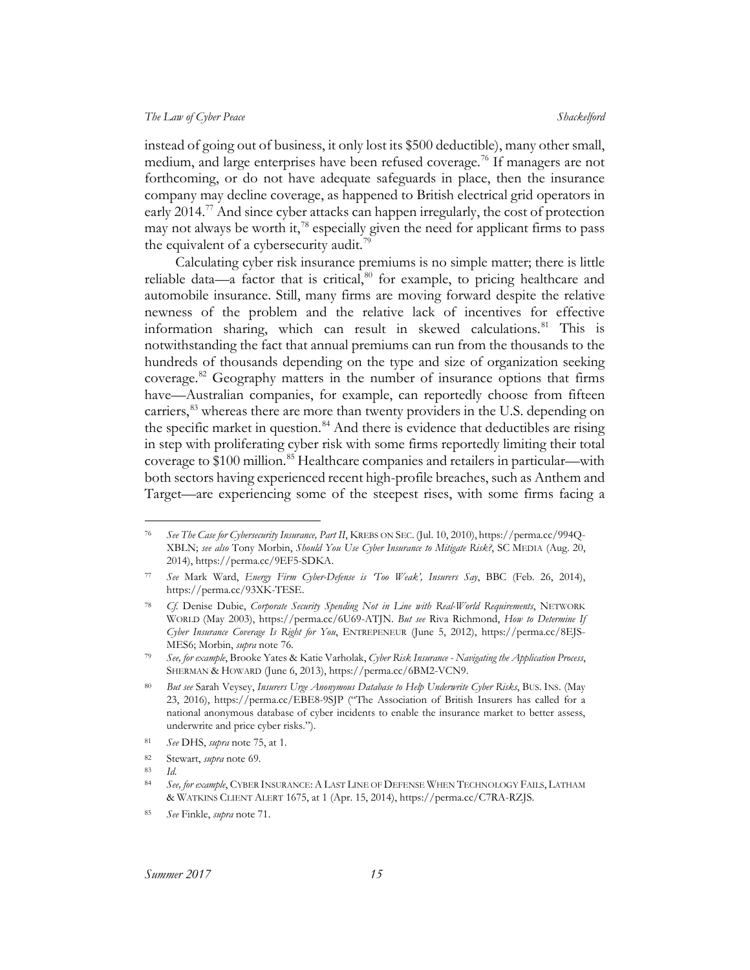instead of going out of business, it only lost its \$500 deductible), many other small, medium, and large enterprises have been refused coverage.<sup>[76](#page-15-0)</sup> If managers are not forthcoming, or do not have adequate safeguards in place, then the insurance company may decline coverage, as happened to British electrical grid operators in early 2014.<sup>[77](#page-15-1)</sup> And since cyber attacks can happen irregularly, the cost of protection may not always be worth it,  $^{78}$  $^{78}$  $^{78}$  especially given the need for applicant firms to pass the equivalent of a cybersecurity audit.<sup>[79](#page-15-3)</sup>

Calculating cyber risk insurance premiums is no simple matter; there is little reliable data—a factor that is critical, $80$  for example, to pricing healthcare and automobile insurance. Still, many firms are moving forward despite the relative newness of the problem and the relative lack of incentives for effective information sharing, which can result in skewed calculations.[81](#page-15-5) This is notwithstanding the fact that annual premiums can run from the thousands to the hundreds of thousands depending on the type and size of organization seeking coverage.<sup>[82](#page-15-6)</sup> Geography matters in the number of insurance options that firms have—Australian companies, for example, can reportedly choose from fifteen carriers,<sup>[83](#page-15-7)</sup> whereas there are more than twenty providers in the U.S. depending on the specific market in question.<sup>[84](#page-15-8)</sup> And there is evidence that deductibles are rising in step with proliferating cyber risk with some firms reportedly limiting their total coverage to \$100 million.<sup>[85](#page-15-9)</sup> Healthcare companies and retailers in particular—with both sectors having experienced recent high-profile breaches, such as Anthem and Target—are experiencing some of the steepest rises, with some firms facing a

<span id="page-15-0"></span> <sup>76</sup> *See The Case for Cybersecurity Insurance, Part II*, KREBS ON SEC. (Jul. 10, 2010), https://perma.cc/994Q-XBLN; *see also* Tony Morbin, *Should You Use Cyber Insurance to Mitigate Risk?*, SC MEDIA (Aug. 20, 2014), https://perma.cc/9EF5-SDKA.

<span id="page-15-1"></span><sup>77</sup> *See* Mark Ward, *Energy Firm Cyber-Defense is 'Too Weak', Insurers Say*, BBC (Feb. 26, 2014), https://perma.cc/93XK-TESE.

<span id="page-15-2"></span><sup>78</sup> *Cf.* Denise Dubie, *Corporate Security Spending Not in Line with Real-World Requirements*, NETWORK WORLD (May 2003), https://perma.cc/6U69-ATJN. *But see* Riva Richmond, *How to Determine If Cyber Insurance Coverage Is Right for You*, ENTREPENEUR (June 5, 2012), https://perma.cc/8EJS-MES6; Morbin, *supra* note 76. 79 *See, for example*, Brooke Yates & Katie Varholak, *Cyber Risk Insurance - Navigating the Application Process*,

<span id="page-15-3"></span>SHERMAN & HOWARD (June 6, 2013), https://perma.cc/6BM2-VCN9.

<span id="page-15-4"></span><sup>80</sup> *But see* Sarah Veysey, *Insurers Urge Anonymous Database to Help Underwrite Cyber Risks*, BUS. INS. (May 23, 2016), https://perma.cc/EBE8-9SJP ("The Association of British Insurers has called for a national anonymous database of cyber incidents to enable the insurance market to better assess, underwrite and price cyber risks.").

<span id="page-15-6"></span><span id="page-15-5"></span><sup>81</sup> *See* DHS, *supra* note [75,](#page-14-10) at 1.

<sup>82</sup> Stewart, *supra* note [69.](#page-14-1)

<span id="page-15-7"></span><sup>83</sup> *Id*.

<span id="page-15-8"></span><sup>84</sup> *See, for example*, CYBER INSURANCE:A LAST LINE OF DEFENSE WHEN TECHNOLOGY FAILS, LATHAM & WATKINS CLIENT ALERT 1675, at 1 (Apr. 15, 2014), https://perma.cc/C7RA-RZJS.

<span id="page-15-9"></span><sup>85</sup> *See* Finkle, *supra* not[e 71.](#page-14-0)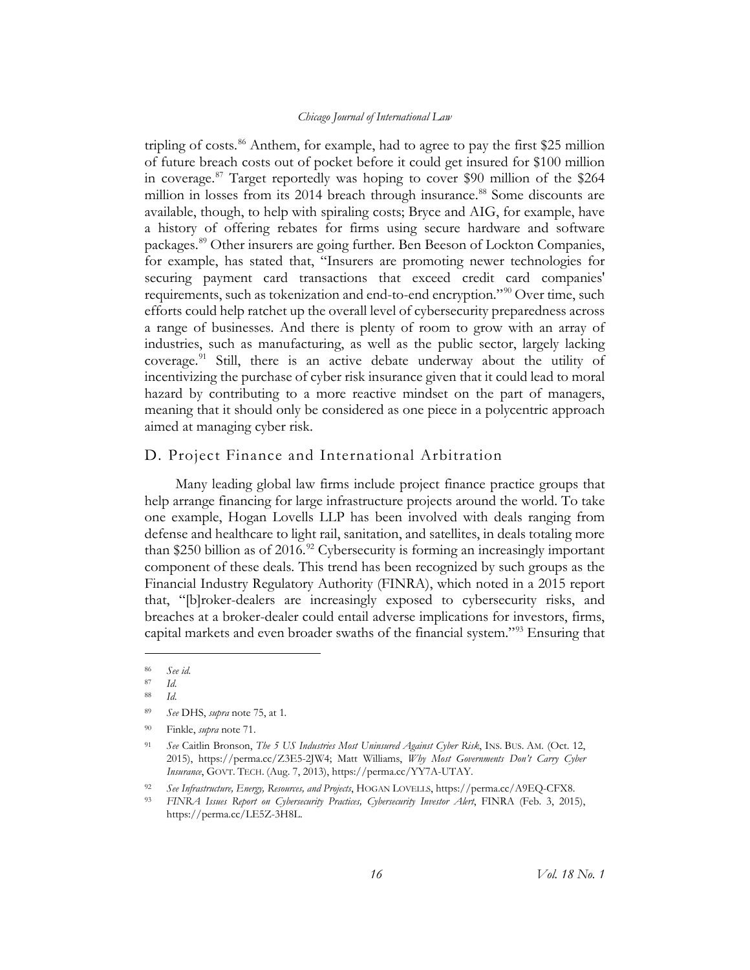tripling of costs.<sup>[86](#page-16-1)</sup> Anthem, for example, had to agree to pay the first \$25 million of future breach costs out of pocket before it could get insured for \$100 million in coverage.[87](#page-16-2) Target reportedly was hoping to cover \$90 million of the \$264 million in losses from its 2014 breach through insurance.<sup>[88](#page-16-3)</sup> Some discounts are available, though, to help with spiraling costs; Bryce and AIG, for example, have a history of offering rebates for firms using secure hardware and software packages.[89](#page-16-4) Other insurers are going further. Ben Beeson of Lockton Companies, for example, has stated that, "Insurers are promoting newer technologies for securing payment card transactions that exceed credit card companies' requirements, such as tokenization and end-to-end encryption."<sup>[90](#page-16-5)</sup> Over time, such efforts could help ratchet up the overall level of cybersecurity preparedness across a range of businesses. And there is plenty of room to grow with an array of industries, such as manufacturing, as well as the public sector, largely lacking coverage. $91$  Still, there is an active debate underway about the utility of incentivizing the purchase of cyber risk insurance given that it could lead to moral hazard by contributing to a more reactive mindset on the part of managers, meaning that it should only be considered as one piece in a polycentric approach aimed at managing cyber risk.

#### <span id="page-16-0"></span>D. Project Finance and International Arbitration

Many leading global law firms include project finance practice groups that help arrange financing for large infrastructure projects around the world. To take one example, Hogan Lovells LLP has been involved with deals ranging from defense and healthcare to light rail, sanitation, and satellites, in deals totaling more than \$250 billion as of 2016.<sup>[92](#page-16-7)</sup> Cybersecurity is forming an increasingly important component of these deals. This trend has been recognized by such groups as the Financial Industry Regulatory Authority (FINRA), which noted in a 2015 report that, "[b]roker-dealers are increasingly exposed to cybersecurity risks, and breaches at a broker-dealer could entail adverse implications for investors, firms, capital markets and even broader swaths of the financial system."[93](#page-16-8) Ensuring that

 $\overline{a}$ 

<span id="page-16-1"></span><sup>86</sup> *See id*.

<span id="page-16-2"></span><sup>87</sup> *Id*.

<sup>88</sup> *Id*.

<span id="page-16-5"></span><span id="page-16-4"></span><span id="page-16-3"></span><sup>89</sup> *See* DHS, *supra* note [75,](#page-14-10) at 1*.*

<sup>90</sup> Finkle, *supra* not[e 71.](#page-14-0)

<span id="page-16-6"></span><sup>91</sup> *See* Caitlin Bronson, *The 5 US Industries Most Uninsured Against Cyber Risk*, INS. BUS. AM. (Oct. 12, 2015), https://perma.cc/Z3E5-2JW4; Matt Williams, *Why Most Governments Don't Carry Cyber Insurance*, GOVT. TECH. (Aug. 7, 2013), https://perma.cc/YY7A-UTAY.

<span id="page-16-7"></span><sup>92</sup> *See Infrastructure, Energy, Resources, and Projects*, HOGAN LOVELLS, https://perma.cc/A9EQ-CFX8.

<span id="page-16-8"></span><sup>93</sup> *FINRA Issues Report on Cybersecurity Practices, Cybersecurity Investor Alert*, FINRA (Feb. 3, 2015), https://perma.cc/LE5Z-3H8L.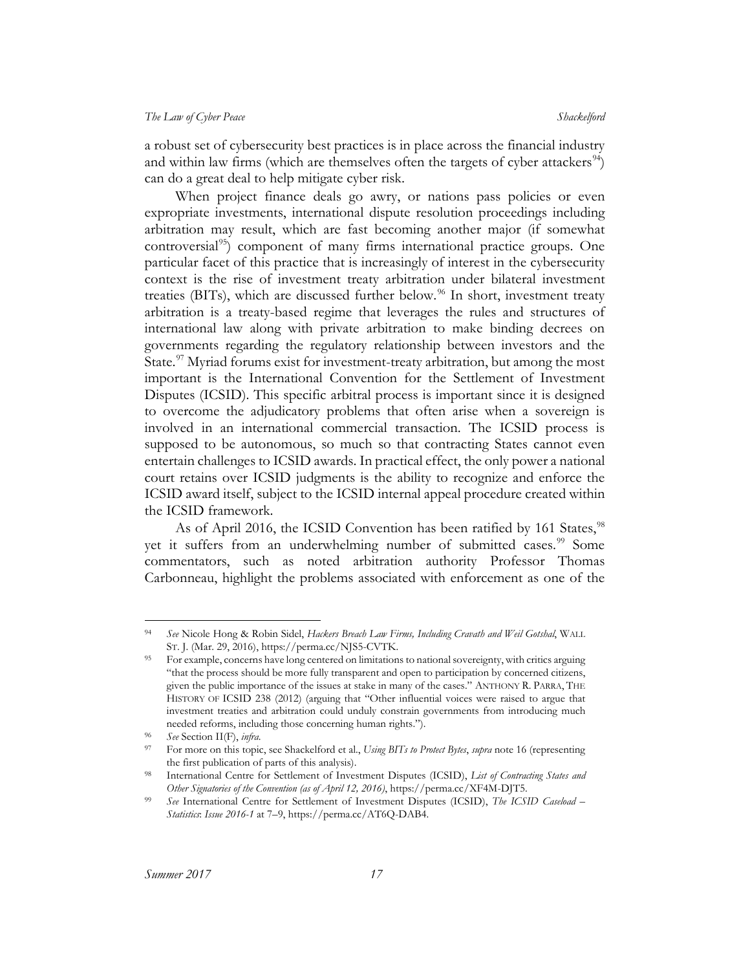a robust set of cybersecurity best practices is in place across the financial industry and within law firms (which are themselves often the targets of cyber attackers<sup>[94](#page-17-0)</sup>) can do a great deal to help mitigate cyber risk.

When project finance deals go awry, or nations pass policies or even expropriate investments, international dispute resolution proceedings including arbitration may result, which are fast becoming another major (if somewhat controversial<sup>[95](#page-17-1)</sup>) component of many firms international practice groups. One particular facet of this practice that is increasingly of interest in the cybersecurity context is the rise of investment treaty arbitration under bilateral investment treaties (BITs), which are discussed further below.<sup>[96](#page-17-2)</sup> In short, investment treaty arbitration is a treaty-based regime that leverages the rules and structures of international law along with private arbitration to make binding decrees on governments regarding the regulatory relationship between investors and the State.<sup>[97](#page-17-3)</sup> Myriad forums exist for investment-treaty arbitration, but among the most important is the International Convention for the Settlement of Investment Disputes (ICSID). This specific arbitral process is important since it is designed to overcome the adjudicatory problems that often arise when a sovereign is involved in an international commercial transaction. The ICSID process is supposed to be autonomous, so much so that contracting States cannot even entertain challenges to ICSID awards. In practical effect, the only power a national court retains over ICSID judgments is the ability to recognize and enforce the ICSID award itself, subject to the ICSID internal appeal procedure created within the ICSID framework.

As of April 2016, the ICSID Convention has been ratified by 161 States,<sup>[98](#page-17-4)</sup> yet it suffers from an underwhelming number of submitted cases.<sup>[99](#page-17-5)</sup> Some commentators, such as noted arbitration authority Professor Thomas Carbonneau, highlight the problems associated with enforcement as one of the

<span id="page-17-0"></span> <sup>94</sup> *See* Nicole Hong & Robin Sidel, *Hackers Breach Law Firms, Including Cravath and Weil Gotshal*, WALL ST. J. (Mar. 29, 2016), https://perma.cc/NJS5-CVTK.

<span id="page-17-1"></span><sup>95</sup> For example, concerns have long centered on limitations to national sovereignty, with critics arguing "that the process should be more fully transparent and open to participation by concerned citizens, given the public importance of the issues at stake in many of the cases." ANTHONY R. PARRA, THE HISTORY OF ICSID 238 (2012) (arguing that "Other influential voices were raised to argue that investment treaties and arbitration could unduly constrain governments from introducing much needed reforms, including those concerning human rights.").

<span id="page-17-3"></span><span id="page-17-2"></span><sup>96</sup> *See* Section II(F), *infra*.

<sup>97</sup> For more on this topic, see Shackelford et al., *Using BITs to Protect Bytes*, *supra* not[e 16](#page-5-3) (representing the first publication of parts of this analysis).

<span id="page-17-4"></span><sup>98</sup> International Centre for Settlement of Investment Disputes (ICSID), *List of Contracting States and Other Signatories of the Convention (as of April 12, 2016)*, https://perma.cc/XF4M-DJT5.

<span id="page-17-5"></span><sup>99</sup> *See* International Centre for Settlement of Investment Disputes (ICSID), *The ICSID Caseload – Statistics*: *Issue 2016-1* at 7–9, https://perma.cc/AT6Q-DAB4.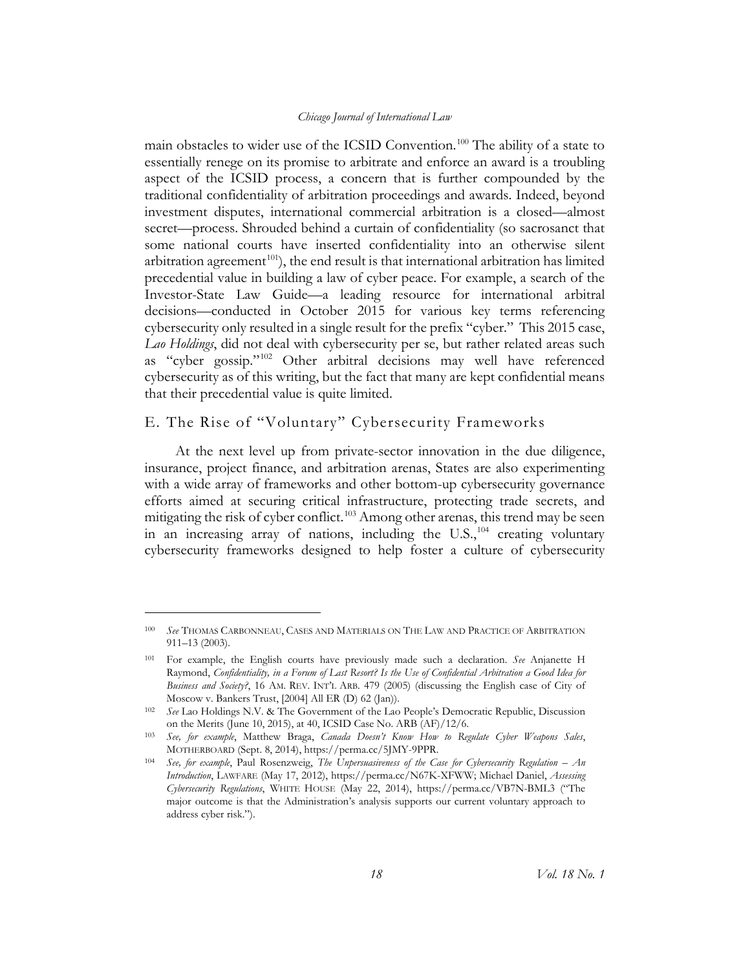main obstacles to wider use of the ICSID Convention.<sup>[100](#page-18-1)</sup> The ability of a state to essentially renege on its promise to arbitrate and enforce an award is a troubling aspect of the ICSID process, a concern that is further compounded by the traditional confidentiality of arbitration proceedings and awards. Indeed, beyond investment disputes, international commercial arbitration is a closed—almost secret—process. Shrouded behind a curtain of confidentiality (so sacrosanct that some national courts have inserted confidentiality into an otherwise silent arbitration agreement<sup>101</sup>), the end result is that international arbitration has limited precedential value in building a law of cyber peace. For example, a search of the Investor-State Law Guide—a leading resource for international arbitral decisions—conducted in October 2015 for various key terms referencing cybersecurity only resulted in a single result for the prefix "cyber." This 2015 case, *Lao Holdings*, did not deal with cybersecurity per se, but rather related areas such as "cyber gossip."[102](#page-18-3) Other arbitral decisions may well have referenced cybersecurity as of this writing, but the fact that many are kept confidential means that their precedential value is quite limited.

### <span id="page-18-0"></span>E. The Rise of "Voluntary" Cybersecurity Frameworks

At the next level up from private-sector innovation in the due diligence, insurance, project finance, and arbitration arenas, States are also experimenting with a wide array of frameworks and other bottom-up cybersecurity governance efforts aimed at securing critical infrastructure, protecting trade secrets, and mitigating the risk of cyber conflict.<sup>[103](#page-18-4)</sup> Among other arenas, this trend may be seen in an increasing array of nations, including the  $U.S.,<sup>104</sup>$  $U.S.,<sup>104</sup>$  $U.S.,<sup>104</sup>$  creating voluntary cybersecurity frameworks designed to help foster a culture of cybersecurity

 $\overline{a}$ 

<span id="page-18-1"></span><sup>100</sup> *See* THOMAS CARBONNEAU, CASES AND MATERIALS ON THE LAW AND PRACTICE OF ARBITRATION 911*–*13 (2003).

<span id="page-18-2"></span><sup>101</sup> For example, the English courts have previously made such a declaration. *See* Anjanette H Raymond, *Confidentiality, in a Forum of Last Resort? Is the Use of Confidential Arbitration a Good Idea for Business and Society?*, 16 AM. REV. INT'L ARB. 479 (2005) (discussing the English case of City of Moscow v. Bankers Trust, [2004] All ER (D) 62 (Jan)).

<span id="page-18-3"></span><sup>102</sup> *See* Lao Holdings N.V. & The Government of the Lao People's Democratic Republic, Discussion on the Merits (June 10, 2015), at 40, ICSID Case No. ARB (AF)/12/6.

<span id="page-18-4"></span><sup>103</sup> *See, for example*, Matthew Braga, *Canada Doesn't Know How to Regulate Cyber Weapons Sales*, MOTHERBOARD (Sept. 8, 2014), https://perma.cc/5JMY-9PPR.

<span id="page-18-5"></span><sup>104</sup> *See, for example*, Paul Rosenzweig, *The Unpersuasiveness of the Case for Cybersecurity Regulation – An Introduction*, LAWFARE (May 17, 2012), https://perma.cc/N67K-XFWW; Michael Daniel, *Assessing Cybersecurity Regulations*, WHITE HOUSE (May 22, 2014), https://perma.cc/VB7N-BML3 ("The major outcome is that the Administration's analysis supports our current voluntary approach to address cyber risk.").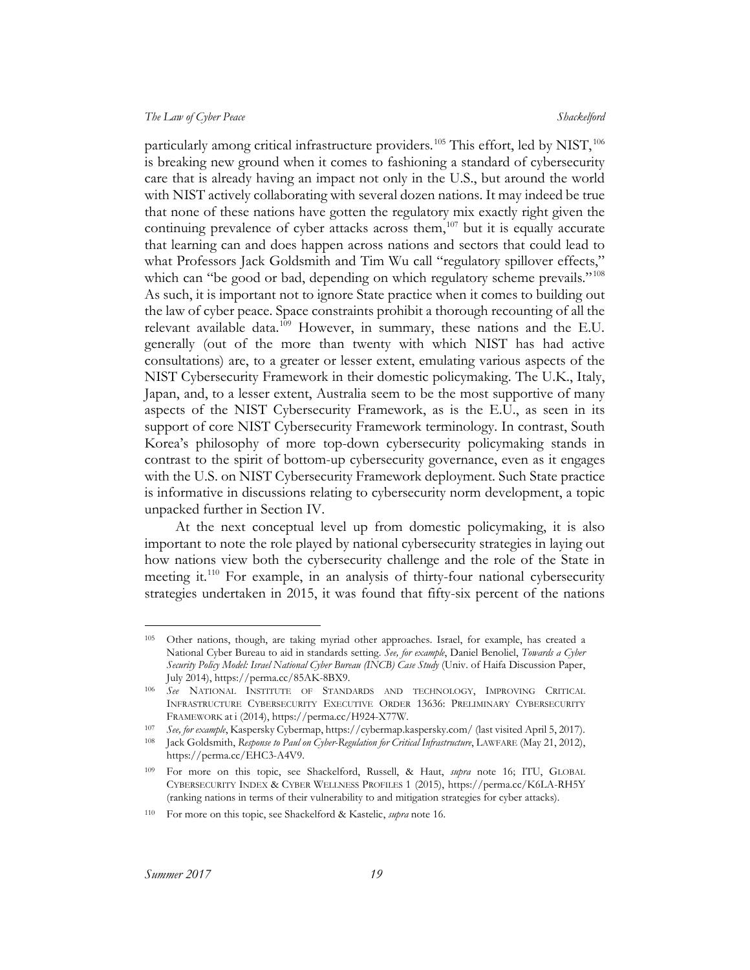<span id="page-19-6"></span>particularly among critical infrastructure providers.<sup>[105](#page-19-0)</sup> This effort, led by NIST,  $^{106}$  $^{106}$  $^{106}$ is breaking new ground when it comes to fashioning a standard of cybersecurity care that is already having an impact not only in the U.S., but around the world with NIST actively collaborating with several dozen nations. It may indeed be true that none of these nations have gotten the regulatory mix exactly right given the continuing prevalence of cyber attacks across them,<sup>[107](#page-19-2)</sup> but it is equally accurate that learning can and does happen across nations and sectors that could lead to what Professors Jack Goldsmith and Tim Wu call "regulatory spillover effects," which can "be good or bad, depending on which regulatory scheme prevails."<sup>[108](#page-19-3)</sup> As such, it is important not to ignore State practice when it comes to building out the law of cyber peace. Space constraints prohibit a thorough recounting of all the relevant available data.<sup>[109](#page-19-4)</sup> However, in summary, these nations and the E.U. generally (out of the more than twenty with which NIST has had active consultations) are, to a greater or lesser extent, emulating various aspects of the NIST Cybersecurity Framework in their domestic policymaking. The U.K., Italy, Japan, and, to a lesser extent, Australia seem to be the most supportive of many aspects of the NIST Cybersecurity Framework, as is the E.U., as seen in its support of core NIST Cybersecurity Framework terminology. In contrast, South Korea's philosophy of more top-down cybersecurity policymaking stands in contrast to the spirit of bottom-up cybersecurity governance, even as it engages with the U.S. on NIST Cybersecurity Framework deployment. Such State practice is informative in discussions relating to cybersecurity norm development, a topic unpacked further in Section IV.

At the next conceptual level up from domestic policymaking, it is also important to note the role played by national cybersecurity strategies in laying out how nations view both the cybersecurity challenge and the role of the State in meeting it[.110](#page-19-5) For example, in an analysis of thirty-four national cybersecurity strategies undertaken in 2015, it was found that fifty-six percent of the nations

<span id="page-19-0"></span> <sup>105</sup> Other nations, though, are taking myriad other approaches. Israel, for example, has created a National Cyber Bureau to aid in standards setting. *See, for example*, Daniel Benoliel, *Towards a Cyber Security Policy Model: Israel National Cyber Bureau (INCB) Case Study* (Univ. of Haifa Discussion Paper, July 2014), https://perma.cc/85AK-8BX9.

<span id="page-19-1"></span><sup>106</sup> *See* NATIONAL INSTITUTE OF STANDARDS AND TECHNOLOGY, IMPROVING CRITICAL INFRASTRUCTURE CYBERSECURITY EXECUTIVE ORDER 13636: PRELIMINARY CYBERSECURITY FRAMEWORK at i (2014), https://perma.cc/H924-X77W.

<sup>107</sup> *See, for example*, Kaspersky Cybermap, https://cybermap.kaspersky.com/ (last visited April 5, 2017).

<span id="page-19-3"></span><span id="page-19-2"></span><sup>108</sup> Jack Goldsmith, *Response to Paul on Cyber-Regulation for Critical Infrastructure*, LAWFARE (May 21, 2012), https://perma.cc/EHC3-A4V9.

<span id="page-19-4"></span><sup>109</sup> For more on this topic, see Shackelford, Russell, & Haut, *supra* note [16;](#page-5-3) ITU, GLOBAL CYBERSECURITY INDEX & CYBER WELLNESS PROFILES 1 (2015), https://perma.cc/K6LA-RH5Y (ranking nations in terms of their vulnerability to and mitigation strategies for cyber attacks).

<span id="page-19-5"></span><sup>110</sup> For more on this topic, see Shackelford & Kastelic, *supra* not[e 16.](#page-5-3)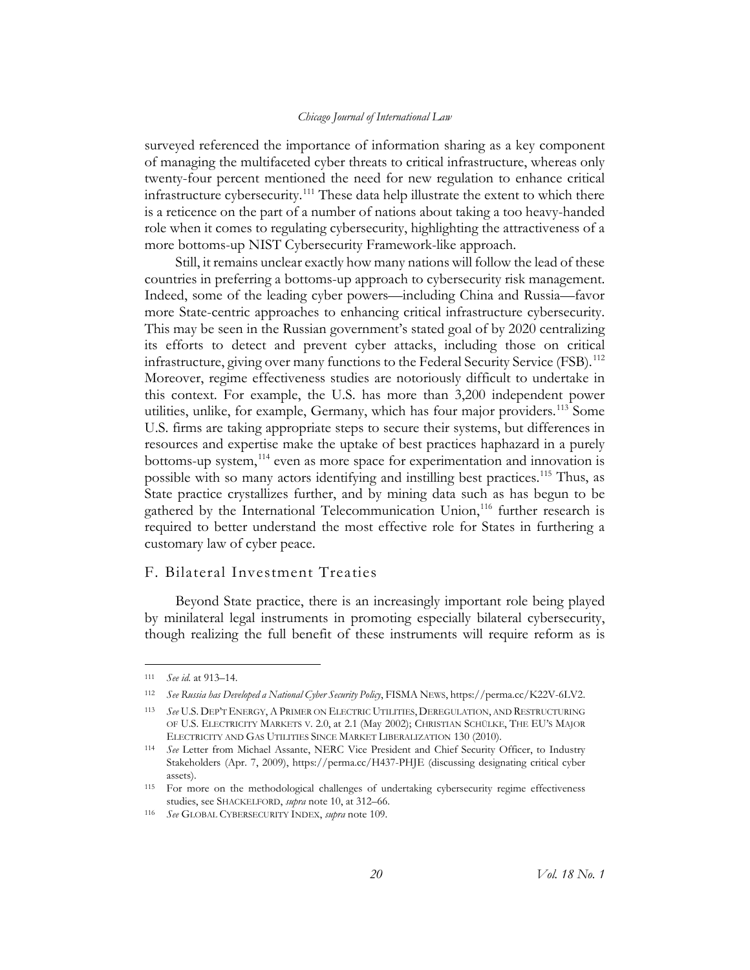surveyed referenced the importance of information sharing as a key component of managing the multifaceted cyber threats to critical infrastructure, whereas only twenty-four percent mentioned the need for new regulation to enhance critical infrastructure cybersecurity.<sup>[111](#page-20-1)</sup> These data help illustrate the extent to which there is a reticence on the part of a number of nations about taking a too heavy-handed role when it comes to regulating cybersecurity, highlighting the attractiveness of a more bottoms-up NIST Cybersecurity Framework-like approach.

Still, it remains unclear exactly how many nations will follow the lead of these countries in preferring a bottoms-up approach to cybersecurity risk management. Indeed, some of the leading cyber powers—including China and Russia—favor more State-centric approaches to enhancing critical infrastructure cybersecurity. This may be seen in the Russian government's stated goal of by 2020 centralizing its efforts to detect and prevent cyber attacks, including those on critical infrastructure, giving over many functions to the Federal Security Service (FSB).<sup>[112](#page-20-2)</sup> Moreover, regime effectiveness studies are notoriously difficult to undertake in this context. For example, the U.S. has more than 3,200 independent power utilities, unlike, for example, Germany, which has four major providers.<sup>[113](#page-20-3)</sup> Some U.S. firms are taking appropriate steps to secure their systems, but differences in resources and expertise make the uptake of best practices haphazard in a purely bottoms-up system,<sup>[114](#page-20-4)</sup> even as more space for experimentation and innovation is possible with so many actors identifying and instilling best practices.[115](#page-20-5) Thus, as State practice crystallizes further, and by mining data such as has begun to be gathered by the International Telecommunication Union,<sup>[116](#page-20-6)</sup> further research is required to better understand the most effective role for States in furthering a customary law of cyber peace.

### <span id="page-20-0"></span>F. Bilateral Investment Treaties

Beyond State practice, there is an increasingly important role being played by minilateral legal instruments in promoting especially bilateral cybersecurity, though realizing the full benefit of these instruments will require reform as is

<span id="page-20-1"></span> <sup>111</sup> *See id*. at 913–14.

<span id="page-20-2"></span><sup>112</sup> *See Russia has Developed a National Cyber Security Policy*, FISMA NEWS, https://perma.cc/K22V-6LV2.

<span id="page-20-3"></span><sup>113</sup> *See* U.S. DEP'T ENERGY, APRIMER ON ELECTRIC UTILITIES, DEREGULATION, AND RESTRUCTURING OF U.S. ELECTRICITY MARKETS V. 2.0, at 2.1 (May 2002); CHRISTIAN SCHÜLKE, THE EU'S MAJOR ELECTRICITY AND GAS UTILITIES SINCE MARKET LIBERALIZATION 130 (2010).

<span id="page-20-4"></span><sup>114</sup> *See* Letter from Michael Assante, NERC Vice President and Chief Security Officer, to Industry Stakeholders (Apr. 7, 2009), https://perma.cc/H437-PHJE (discussing designating critical cyber assets).

<span id="page-20-5"></span><sup>115</sup> For more on the methodological challenges of undertaking cybersecurity regime effectiveness studies, see SHACKELFORD, *supra* note [10,](#page-4-9) at 312–66.

<span id="page-20-6"></span><sup>116</sup> *See* GLOBAL CYBERSECURITY INDEX, *supra* note [109.](#page-19-6)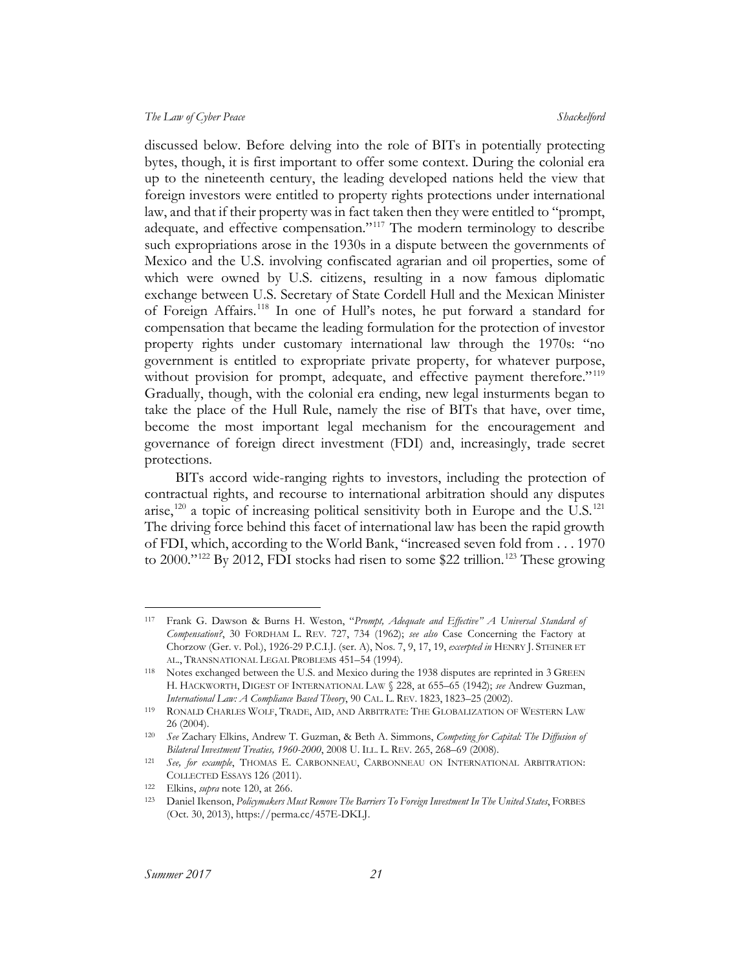discussed below. Before delving into the role of BITs in potentially protecting bytes, though, it is first important to offer some context. During the colonial era up to the nineteenth century, the leading developed nations held the view that foreign investors were entitled to property rights protections under international law, and that if their property was in fact taken then they were entitled to "prompt, adequate, and effective compensation."<sup>[117](#page-21-1)</sup> The modern terminology to describe such expropriations arose in the 1930s in a dispute between the governments of Mexico and the U.S. involving confiscated agrarian and oil properties, some of which were owned by U.S. citizens, resulting in a now famous diplomatic exchange between U.S. Secretary of State Cordell Hull and the Mexican Minister of Foreign Affairs.[118](#page-21-2) In one of Hull's notes, he put forward a standard for compensation that became the leading formulation for the protection of investor property rights under customary international law through the 1970s: "no government is entitled to expropriate private property, for whatever purpose, without provision for prompt, adequate, and effective payment therefore."<sup>[119](#page-21-3)</sup> Gradually, though, with the colonial era ending, new legal insturments began to take the place of the Hull Rule, namely the rise of BITs that have, over time, become the most important legal mechanism for the encouragement and governance of foreign direct investment (FDI) and, increasingly, trade secret protections.

<span id="page-21-0"></span>BITs accord wide-ranging rights to investors, including the protection of contractual rights, and recourse to international arbitration should any disputes arise,<sup>[120](#page-21-4)</sup> a topic of increasing political sensitivity both in Europe and the U.S.<sup>[121](#page-21-5)</sup> The driving force behind this facet of international law has been the rapid growth of FDI, which, according to the World Bank, "increased seven fold from . . . 1970 to 2000."<sup>[122](#page-21-6)</sup> By 2012, FDI stocks had risen to some \$22 trillion.<sup>[123](#page-21-7)</sup> These growing

<span id="page-21-1"></span> <sup>117</sup> Frank G. Dawson & Burns H. Weston, "*Prompt, Adequate and Effective" A Universal Standard of Compensation?*, 30 FORDHAM L. REV. 727, 734 (1962); *see also* Case Concerning the Factory at Chorzow (Ger. v. Pol.), 1926-29 P.C.I.J. (ser. A), Nos. 7, 9, 17, 19, *excerpted in* HENRY J. STEINER ET AL., TRANSNATIONAL LEGAL PROBLEMS 451–54 (1994).

<span id="page-21-2"></span><sup>118</sup> Notes exchanged between the U.S. and Mexico during the 1938 disputes are reprinted in 3 GREEN H. HACKWORTH, DIGEST OF INTERNATIONAL LAW § 228, at 655–65 (1942); *see* Andrew Guzman, *International Law: A Compliance Based Theory*, 90 CAL. L. REV. 1823, 1823–25 (2002).

<span id="page-21-3"></span><sup>119</sup> RONALD CHARLES WOLF, TRADE, AID, AND ARBITRATE: THE GLOBALIZATION OF WESTERN LAW 26 (2004).

<span id="page-21-4"></span><sup>120</sup> *See* Zachary Elkins, Andrew T. Guzman, & Beth A. Simmons, *Competing for Capital: The Diffusion of Bilateral Investment Treaties, 1960-2000*, 2008 U. ILL. L. REV. 265, 268–69 (2008).

<span id="page-21-5"></span><sup>121</sup> *See, for example*, THOMAS E. CARBONNEAU, CARBONNEAU ON INTERNATIONAL ARBITRATION: COLLECTED ESSAYS 126 (2011).

<span id="page-21-6"></span><sup>122</sup> Elkins, *supra* note [120,](#page-21-0) at 266.

<span id="page-21-7"></span><sup>123</sup> Daniel Ikenson, *Policymakers Must Remove The Barriers To Foreign Investment In The United States*, FORBES (Oct. 30, 2013), https://perma.cc/457E-DKLJ.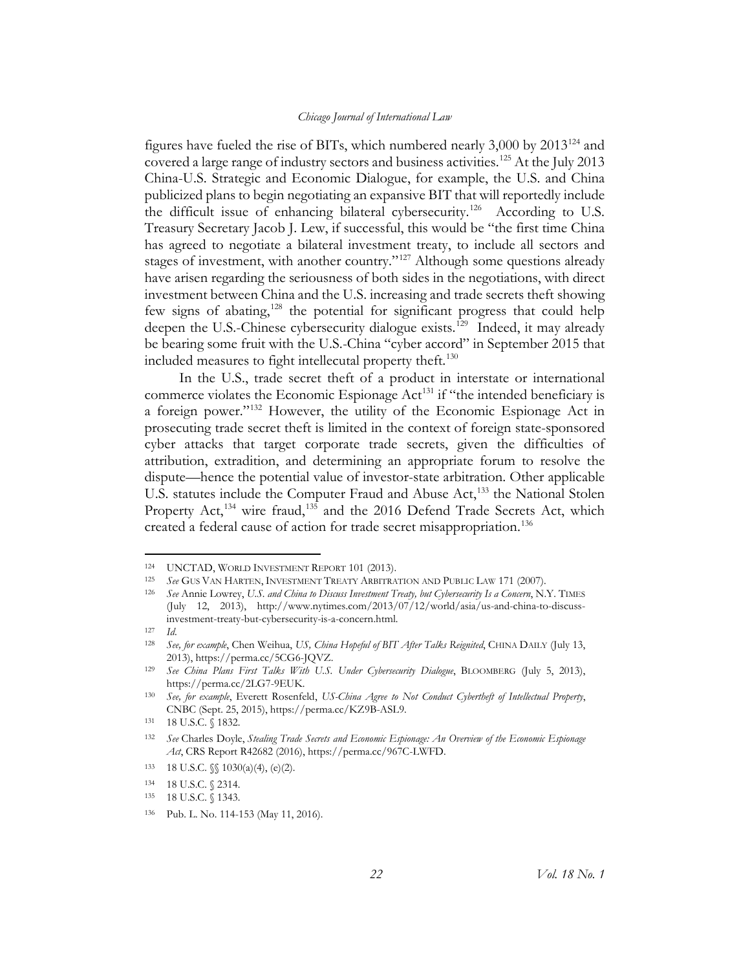figures have fueled the rise of BITs, which numbered nearly  $3,000$  by  $2013^{124}$  $2013^{124}$  $2013^{124}$  and covered a large range of industry sectors and business activities.<sup>[125](#page-22-1)</sup> At the July 2013 China-U.S. Strategic and Economic Dialogue, for example, the U.S. and China publicized plans to begin negotiating an expansive BIT that will reportedly include the difficult issue of enhancing bilateral cybersecurity.<sup>[126](#page-22-2)</sup> According to U.S. Treasury Secretary Jacob J. Lew, if successful, this would be "the first time China has agreed to negotiate a bilateral investment treaty, to include all sectors and stages of investment, with another country."<sup>[127](#page-22-3)</sup> Although some questions already have arisen regarding the seriousness of both sides in the negotiations, with direct investment between China and the U.S. increasing and trade secrets theft showing few signs of abating,<sup>[128](#page-22-4)</sup> the potential for significant progress that could help deepen the U.S.-Chinese cybersecurity dialogue exists.<sup>[129](#page-22-5)</sup> Indeed, it may already be bearing some fruit with the U.S.-China "cyber accord" in September 2015 that included measures to fight intellecutal property theft.<sup>[130](#page-22-6)</sup>

In the U.S., trade secret theft of a product in interstate or international commerce violates the Economic Espionage Act<sup>[131](#page-22-7)</sup> if "the intended beneficiary is a foreign power."[132](#page-22-8) However, the utility of the Economic Espionage Act in prosecuting trade secret theft is limited in the context of foreign state-sponsored cyber attacks that target corporate trade secrets, given the difficulties of attribution, extradition, and determining an appropriate forum to resolve the dispute—hence the potential value of investor-state arbitration. Other applicable U.S. statutes include the Computer Fraud and Abuse Act,<sup>[133](#page-22-9)</sup> the National Stolen Property Act,<sup>[134](#page-22-10)</sup> wire fraud,<sup>[135](#page-22-11)</sup> and the 2016 Defend Trade Secrets Act, which created a federal cause of action for trade secret misappropriation.<sup>[136](#page-22-12)</sup>

<span id="page-22-0"></span><sup>&</sup>lt;sup>124</sup> UNCTAD, WORLD INVESTMENT REPORT 101 (2013).<br><sup>125</sup> See Cus Van Harten, Investment Treaty Appera

<span id="page-22-2"></span><span id="page-22-1"></span>See GUS VAN HARTEN, INVESTMENT TREATY ARBITRATION AND PUBLIC LAW 171 (2007).

<sup>126</sup> *See* Annie Lowrey, *U.S. and China to Discuss Investment Treaty, but Cybersecurity Is a Concern*, N.Y. TIMES (July 12, 2013), http://www.nytimes.com/2013/07/12/world/asia/us-and-china-to-discussinvestment-treaty-but-cybersecurity-is-a-concern.html.

<sup>127</sup> *Id*.

<span id="page-22-4"></span><span id="page-22-3"></span><sup>128</sup> *See, for example*, Chen Weihua, *US, China Hopeful of BIT After Talks Reignited*, CHINA DAILY (July 13, 2013), https://perma.cc/5CG6-JQVZ. 129 *See China Plans First Talks With U.S. Under Cybersecurity Dialogue*, BLOOMBERG (July 5, 2013),

<span id="page-22-5"></span>https://perma.cc/2LG7-9EUK.

<span id="page-22-6"></span><sup>130</sup> *See, for example*, Everett Rosenfeld, *US-China Agree to Not Conduct Cybertheft of Intellectual Property*, CNBC (Sept. 25, 2015), https://perma.cc/KZ9B-ASL9.

<sup>131 18</sup> U.S.C. § 1832.

<span id="page-22-8"></span><span id="page-22-7"></span><sup>132</sup> *See* Charles Doyle, *Stealing Trade Secrets and Economic Espionage: An Overview of the Economic Espionage Act*, CRS Report R42682 (2016), https://perma.cc/967C-LWFD.

<span id="page-22-9"></span><sup>133 18</sup> U.S.C. §§ 1030(a)(4), (e)(2).

<span id="page-22-10"></span><sup>134 18</sup> U.S.C. § 2314.

<span id="page-22-11"></span><sup>135 18</sup> U.S.C. § 1343.

<span id="page-22-12"></span><sup>136</sup> Pub. L. No. 114-153 (May 11, 2016).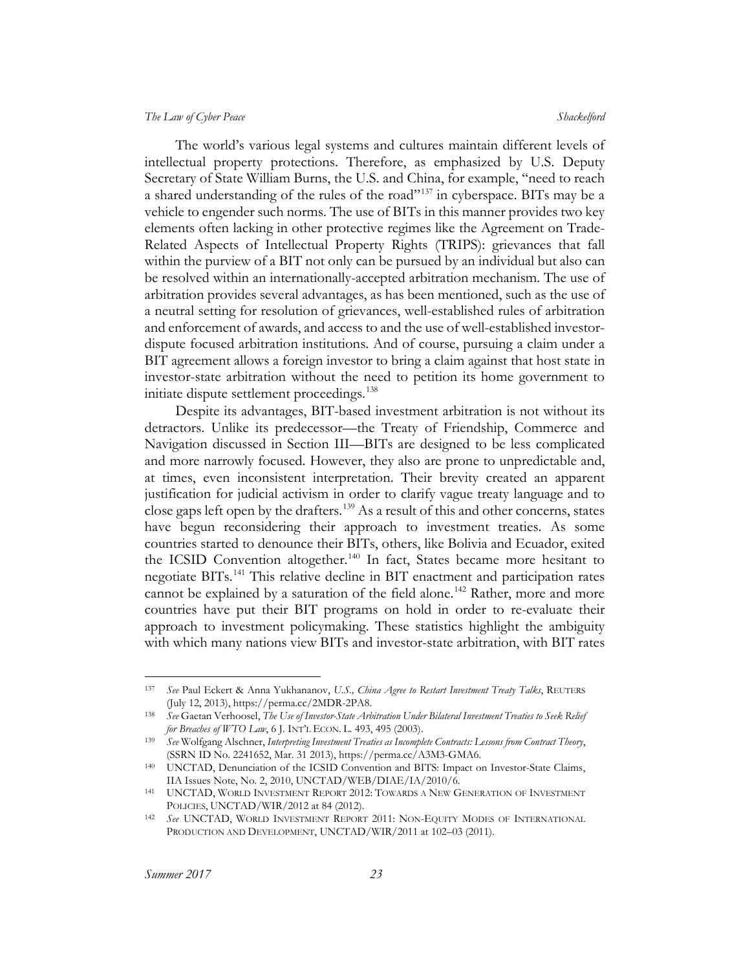The world's various legal systems and cultures maintain different levels of intellectual property protections. Therefore, as emphasized by U.S. Deputy Secretary of State William Burns, the U.S. and China, for example, "need to reach a shared understanding of the rules of the road"<sup>[137](#page-23-0)</sup> in cyberspace. BITs may be a vehicle to engender such norms. The use of BITs in this manner provides two key elements often lacking in other protective regimes like the Agreement on Trade-Related Aspects of Intellectual Property Rights (TRIPS): grievances that fall within the purview of a BIT not only can be pursued by an individual but also can be resolved within an internationally-accepted arbitration mechanism. The use of arbitration provides several advantages, as has been mentioned, such as the use of a neutral setting for resolution of grievances, well-established rules of arbitration and enforcement of awards, and access to and the use of well-established investordispute focused arbitration institutions. And of course, pursuing a claim under a BIT agreement allows a foreign investor to bring a claim against that host state in investor-state arbitration without the need to petition its home government to initiate dispute settlement proceedings.<sup>[138](#page-23-1)</sup>

Despite its advantages, BIT-based investment arbitration is not without its detractors. Unlike its predecessor—the Treaty of Friendship, Commerce and Navigation discussed in Section III—BITs are designed to be less complicated and more narrowly focused. However, they also are prone to unpredictable and, at times, even inconsistent interpretation. Their brevity created an apparent justification for judicial activism in order to clarify vague treaty language and to close gaps left open by the drafters.<sup>[139](#page-23-2)</sup> As a result of this and other concerns, states have begun reconsidering their approach to investment treaties. As some countries started to denounce their BITs, others, like Bolivia and Ecuador, exited the ICSID Convention altogether.<sup>[140](#page-23-3)</sup> In fact, States became more hesitant to negotiate BITs.[141](#page-23-4) This relative decline in BIT enactment and participation rates cannot be explained by a saturation of the field alone.<sup>[142](#page-23-5)</sup> Rather, more and more countries have put their BIT programs on hold in order to re-evaluate their approach to investment policymaking. These statistics highlight the ambiguity with which many nations view BITs and investor-state arbitration, with BIT rates

<span id="page-23-0"></span> <sup>137</sup> *See* Paul Eckert & Anna Yukhananov, *U.S., China Agree to Restart Investment Treaty Talks*, REUTERS (July 12, 2013), https://perma.cc/2MDR-2PA8.

<span id="page-23-1"></span><sup>138</sup> *See* Gaetan Verhoosel, *The Use of Investor-State Arbitration Under Bilateral Investment Treaties to Seek Relief for Breaches of WTO Law*, 6 J. INT'L ECON. L. 493, 495 (2003).

<span id="page-23-2"></span><sup>139</sup> *See* Wolfgang Alschner, *Interpreting Investment Treaties as Incomplete Contracts: Lessons from Contract Theory*, (SSRN ID No. 2241652, Mar. 31 2013), https://perma.cc/A3M3-GMA6.

<span id="page-23-3"></span><sup>140</sup> UNCTAD, Denunciation of the ICSID Convention and BITS: Impact on Investor-State Claims,

<span id="page-23-4"></span><sup>141</sup> UNCTAD, WORLD INVESTMENT REPORT 2012: TOWARDS A NEW GENERATION OF INVESTMENT POLICIES, UNCTAD/WIR/2012 at 84 (2012).

<span id="page-23-5"></span><sup>142</sup> *See* UNCTAD, WORLD INVESTMENT REPORT 2011: NON-EQUITY MODES OF INTERNATIONAL PRODUCTION AND DEVELOPMENT, UNCTAD/WIR/2011 at 102-03 (2011).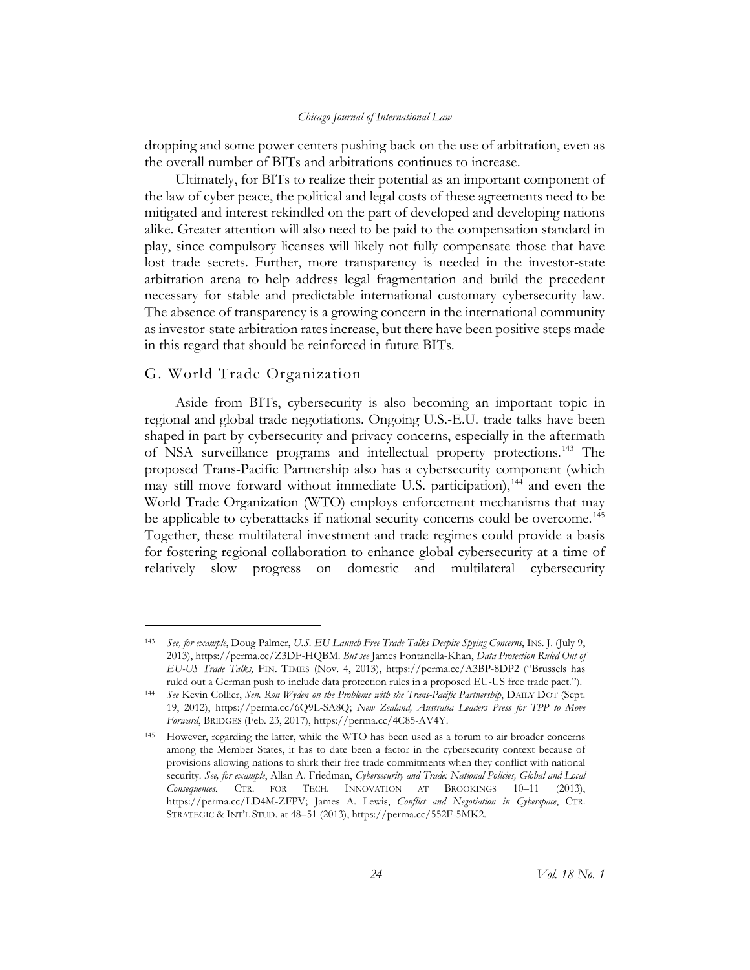dropping and some power centers pushing back on the use of arbitration, even as the overall number of BITs and arbitrations continues to increase.

Ultimately, for BITs to realize their potential as an important component of the law of cyber peace, the political and legal costs of these agreements need to be mitigated and interest rekindled on the part of developed and developing nations alike. Greater attention will also need to be paid to the compensation standard in play, since compulsory licenses will likely not fully compensate those that have lost trade secrets. Further, more transparency is needed in the investor-state arbitration arena to help address legal fragmentation and build the precedent necessary for stable and predictable international customary cybersecurity law. The absence of transparency is a growing concern in the international community as investor-state arbitration rates increase, but there have been positive steps made in this regard that should be reinforced in future BITs.

#### <span id="page-24-0"></span>G. World Trade Organization

 $\overline{a}$ 

Aside from BITs, cybersecurity is also becoming an important topic in regional and global trade negotiations. Ongoing U.S.-E.U. trade talks have been shaped in part by cybersecurity and privacy concerns, especially in the aftermath of NSA surveillance programs and intellectual property protections.[143](#page-24-1) The proposed Trans-Pacific Partnership also has a cybersecurity component (which may still move forward without immediate U.S. participation),<sup>[144](#page-24-2)</sup> and even the World Trade Organization (WTO) employs enforcement mechanisms that may be applicable to cyberattacks if national security concerns could be overcome.<sup>[145](#page-24-3)</sup> Together, these multilateral investment and trade regimes could provide a basis for fostering regional collaboration to enhance global cybersecurity at a time of relatively slow progress on domestic and multilateral cybersecurity

<span id="page-24-1"></span><sup>143</sup> *See, for example*, Doug Palmer, *U.S. EU Launch Free Trade Talks Despite Spying Concerns*, INS. J. (July 9, 2013), https://perma.cc/Z3DF-HQBM. *But see* James Fontanella-Khan, *Data Protection Ruled Out of EU-US Trade Talks,* FIN. TIMES (Nov. 4, 2013), https://perma.cc/A3BP-8DP2 ("Brussels has ruled out a German push to include data protection rules in a proposed EU-US free trade pact.").

<span id="page-24-2"></span><sup>144</sup> *See* Kevin Collier, *Sen. Ron Wyden on the Problems with the Trans-Pacific Partnership*, DAILY DOT (Sept. 19, 2012), https://perma.cc/6Q9L-SA8Q; *New Zealand, Australia Leaders Press for TPP to Move Forward*, BRIDGES (Feb. 23, 2017), https://perma.cc/4C85-AV4Y.

<span id="page-24-3"></span><sup>145</sup> However, regarding the latter, while the WTO has been used as a forum to air broader concerns among the Member States, it has to date been a factor in the cybersecurity context because of provisions allowing nations to shirk their free trade commitments when they conflict with national security. *See, for example*, Allan A. Friedman, *Cybersecurity and Trade: National Policies, Global and Local Consequences*, CTR. FOR TECH. INNOVATION AT BROOKINGS 10–11 (2013), https://perma.cc/LD4M-ZFPV; James A. Lewis, *Conflict and Negotiation in Cyberspace*, CTR. STRATEGIC & INT'L STUD. at 48–51 (2013), https://perma.cc/552F-5MK2.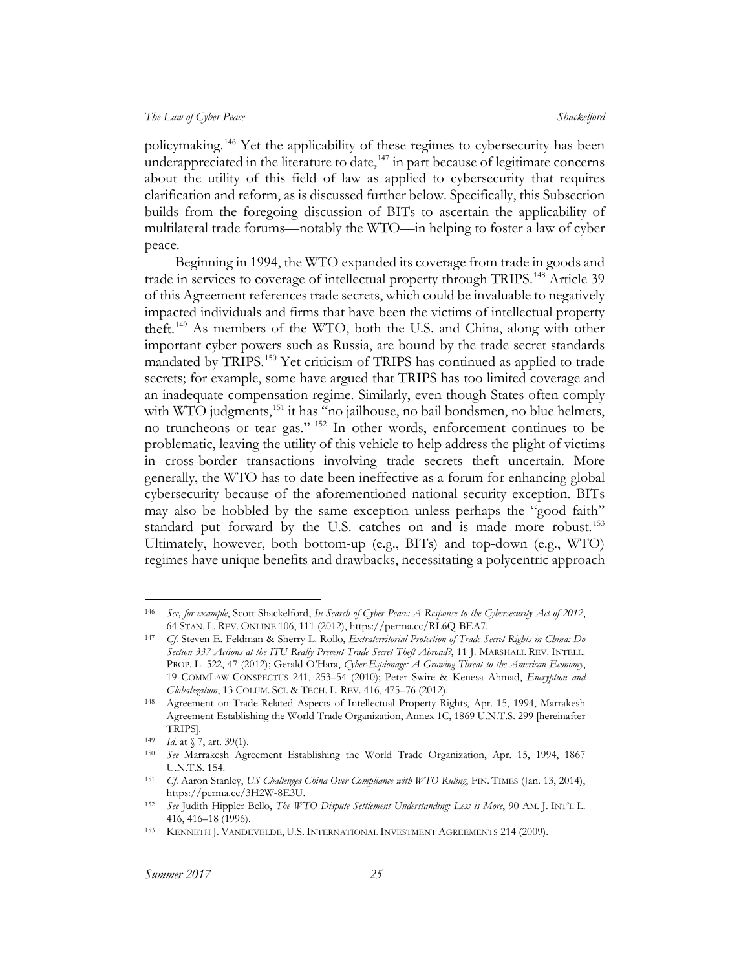policymaking.<sup>[146](#page-25-0)</sup> Yet the applicability of these regimes to cybersecurity has been underappreciated in the literature to date,  $147$  in part because of legitimate concerns about the utility of this field of law as applied to cybersecurity that requires clarification and reform, as is discussed further below. Specifically, this Subsection builds from the foregoing discussion of BITs to ascertain the applicability of multilateral trade forums—notably the WTO—in helping to foster a law of cyber peace.

Beginning in 1994, the WTO expanded its coverage from trade in goods and trade in services to coverage of intellectual property through TRIPS.<sup>[148](#page-25-2)</sup> Article 39 of this Agreement references trade secrets, which could be invaluable to negatively impacted individuals and firms that have been the victims of intellectual property theft.[149](#page-25-3) As members of the WTO, both the U.S. and China, along with other important cyber powers such as Russia, are bound by the trade secret standards mandated by TRIPS.[150](#page-25-4) Yet criticism of TRIPS has continued as applied to trade secrets; for example, some have argued that TRIPS has too limited coverage and an inadequate compensation regime. Similarly, even though States often comply with WTO judgments,<sup>[151](#page-25-5)</sup> it has "no jailhouse, no bail bondsmen, no blue helmets, no truncheons or tear gas." [152](#page-25-6) In other words, enforcement continues to be problematic, leaving the utility of this vehicle to help address the plight of victims in cross-border transactions involving trade secrets theft uncertain. More generally, the WTO has to date been ineffective as a forum for enhancing global cybersecurity because of the aforementioned national security exception. BITs may also be hobbled by the same exception unless perhaps the "good faith" standard put forward by the U.S. catches on and is made more robust.<sup>153</sup> Ultimately, however, both bottom-up (e.g., BITs) and top-down (e.g., WTO) regimes have unique benefits and drawbacks, necessitating a polycentric approach

<span id="page-25-0"></span> <sup>146</sup> *See, for example*, Scott Shackelford, *In Search of Cyber Peace: A Response to the Cybersecurity Act of 2012*, 64 STAN. L. REV. ONLINE 106, 111 (2012), https://perma.cc/RL6Q-BEA7.

<span id="page-25-1"></span><sup>147</sup> *Cf*. Steven E. Feldman & Sherry L. Rollo, *Extraterritorial Protection of Trade Secret Rights in China: Do Section 337 Actions at the ITU Really Prevent Trade Secret Theft Abroad?*, 11 J. MARSHALL REV. INTELL. PROP. L. 522, 47 (2012); Gerald O'Hara, *Cyber-Espionage: A Growing Threat to the American Economy*, 19 COMMLAW CONSPECTUS 241, 253–54 (2010); Peter Swire & Kenesa Ahmad, *Encryption and Globalization*, 13 COLUM. SCI. & TECH. L. REV. 416, 475–76 (2012).

<span id="page-25-2"></span><sup>148</sup> Agreement on Trade-Related Aspects of Intellectual Property Rights, Apr. 15, 1994, Marrakesh Agreement Establishing the World Trade Organization, Annex 1C, 1869 U.N.T.S. 299 [hereinafter TRIPS].

<span id="page-25-3"></span><sup>149</sup> *Id*. at § 7, art. 39(1).

<span id="page-25-4"></span><sup>150</sup> *See* Marrakesh Agreement Establishing the World Trade Organization, Apr. 15, 1994, 1867 U.N.T.S. 154.

<span id="page-25-5"></span><sup>151</sup> *Cf*. Aaron Stanley, *US Challenges China Over Compliance with WTO Ruling*, FIN. TIMES (Jan. 13, 2014), https://perma.cc/3H2W-8E3U.

<span id="page-25-6"></span><sup>152</sup> *See* Judith Hippler Bello, *The WTO Dispute Settlement Understanding: Less is More*, 90 AM. J. INT'L L. 416, 416–18 (1996).

<span id="page-25-7"></span><sup>153</sup> KENNETH J. VANDEVELDE, U.S. INTERNATIONAL INVESTMENT AGREEMENTS 214 (2009).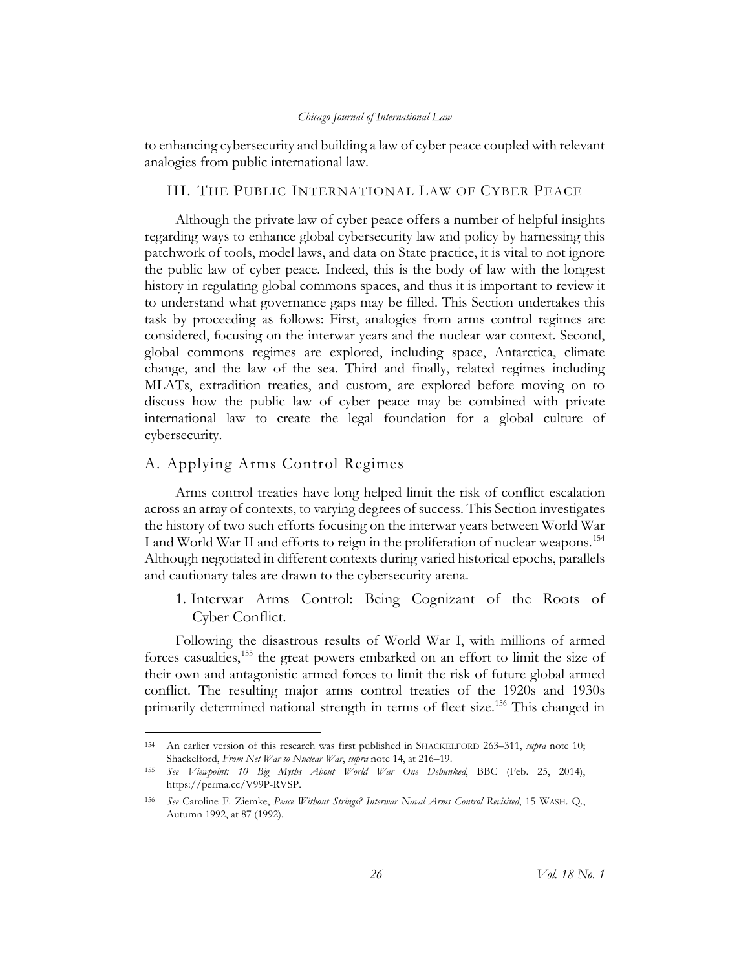to enhancing cybersecurity and building a law of cyber peace coupled with relevant analogies from public international law.

#### <span id="page-26-0"></span>III. THE PUBLIC INTERNATIONAL LAW OF CYBER PEACE

Although the private law of cyber peace offers a number of helpful insights regarding ways to enhance global cybersecurity law and policy by harnessing this patchwork of tools, model laws, and data on State practice, it is vital to not ignore the public law of cyber peace. Indeed, this is the body of law with the longest history in regulating global commons spaces, and thus it is important to review it to understand what governance gaps may be filled. This Section undertakes this task by proceeding as follows: First, analogies from arms control regimes are considered, focusing on the interwar years and the nuclear war context. Second, global commons regimes are explored, including space, Antarctica, climate change, and the law of the sea. Third and finally, related regimes including MLATs, extradition treaties, and custom, are explored before moving on to discuss how the public law of cyber peace may be combined with private international law to create the legal foundation for a global culture of cybersecurity.

### <span id="page-26-1"></span>A. Applying Arms Control Regimes

Arms control treaties have long helped limit the risk of conflict escalation across an array of contexts, to varying degrees of success. This Section investigates the history of two such efforts focusing on the interwar years between World War I and World War II and efforts to reign in the proliferation of nuclear weapons.<sup>[154](#page-26-3)</sup> Although negotiated in different contexts during varied historical epochs, parallels and cautionary tales are drawn to the cybersecurity arena.

<span id="page-26-2"></span>1. Interwar Arms Control: Being Cognizant of the Roots of Cyber Conflict.

Following the disastrous results of World War I, with millions of armed forces casualties,[155](#page-26-4) the great powers embarked on an effort to limit the size of their own and antagonistic armed forces to limit the risk of future global armed conflict. The resulting major arms control treaties of the 1920s and 1930s primarily determined national strength in terms of fleet size.<sup>[156](#page-26-5)</sup> This changed in

<span id="page-26-3"></span> <sup>154</sup> An earlier version of this research was first published in SHACKELFORD 263–311, *supra* note [10;](#page-4-9) Shackelford, *From Net War to Nuclear War*, *supra* not[e 14,](#page-4-8) at 216–19.

<span id="page-26-4"></span><sup>155</sup> *See Viewpoint: 10 Big Myths About World War One Debunked*, BBC (Feb. 25, 2014), https://perma.cc/V99P-RVSP.

<span id="page-26-5"></span><sup>156</sup> *See* Caroline F. Ziemke, *Peace Without Strings? Interwar Naval Arms Control Revisited*, 15 WASH. Q., Autumn 1992, at 87 (1992).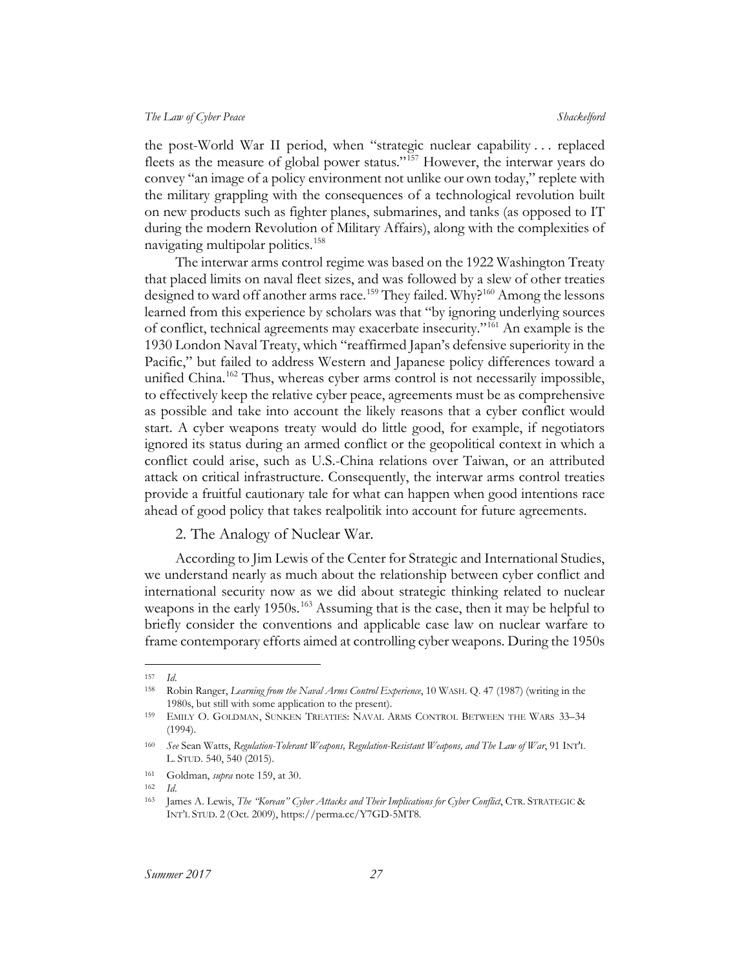the post-World War II period, when "strategic nuclear capability . . . replaced fleets as the measure of global power status."[157](#page-27-2) However, the interwar years do convey "an image of a policy environment not unlike our own today," replete with the military grappling with the consequences of a technological revolution built on new products such as fighter planes, submarines, and tanks (as opposed to IT during the modern Revolution of Military Affairs), along with the complexities of navigating multipolar politics.<sup>[158](#page-27-3)</sup>

<span id="page-27-1"></span>The interwar arms control regime was based on the 1922 Washington Treaty that placed limits on naval fleet sizes, and was followed by a slew of other treaties designed to ward off another arms race.<sup>159</sup> They failed. Why?<sup>[160](#page-27-5)</sup> Among the lessons learned from this experience by scholars was that "by ignoring underlying sources of conflict, technical agreements may exacerbate insecurity."[161](#page-27-6) An example is the 1930 London Naval Treaty, which "reaffirmed Japan's defensive superiority in the Pacific," but failed to address Western and Japanese policy differences toward a unified China.<sup>162</sup> Thus, whereas cyber arms control is not necessarily impossible, to effectively keep the relative cyber peace, agreements must be as comprehensive as possible and take into account the likely reasons that a cyber conflict would start. A cyber weapons treaty would do little good, for example, if negotiators ignored its status during an armed conflict or the geopolitical context in which a conflict could arise, such as U.S.-China relations over Taiwan, or an attributed attack on critical infrastructure. Consequently, the interwar arms control treaties provide a fruitful cautionary tale for what can happen when good intentions race ahead of good policy that takes realpolitik into account for future agreements.

#### <span id="page-27-9"></span><span id="page-27-0"></span>2. The Analogy of Nuclear War.

According to Jim Lewis of the Center for Strategic and International Studies, we understand nearly as much about the relationship between cyber conflict and international security now as we did about strategic thinking related to nuclear weapons in the early 1950s.<sup>[163](#page-27-8)</sup> Assuming that is the case, then it may be helpful to briefly consider the conventions and applicable case law on nuclear warfare to frame contemporary efforts aimed at controlling cyber weapons. During the 1950s

<span id="page-27-2"></span> <sup>157</sup> *Id*.

<span id="page-27-3"></span><sup>158</sup> Robin Ranger, *Learning from the Naval Arms Control Experience*, 10 WASH. Q. 47 (1987) (writing in the 1980s, but still with some application to the present).

<span id="page-27-4"></span><sup>159</sup> EMILY O. GOLDMAN, SUNKEN TREATIES: NAVAL ARMS CONTROL BETWEEN THE WARS 33–34 (1994).

<span id="page-27-5"></span><sup>160</sup> *See* Sean Watts, *Regulation-Tolerant Weapons, Regulation-Resistant Weapons, and The Law of War*, 91 INT'L L. STUD. 540, 540 (2015).

<span id="page-27-6"></span><sup>161</sup> Goldman, *supra* note [159,](#page-27-1) at 30.

<span id="page-27-7"></span><sup>162</sup> *Id*.

<span id="page-27-8"></span><sup>163</sup> James A. Lewis, *The "Korean" Cyber Attacks and Their Implications for Cyber Conflict*, CTR. STRATEGIC & INT'L STUD. 2 (Oct. 2009), https://perma.cc/Y7GD-5MT8.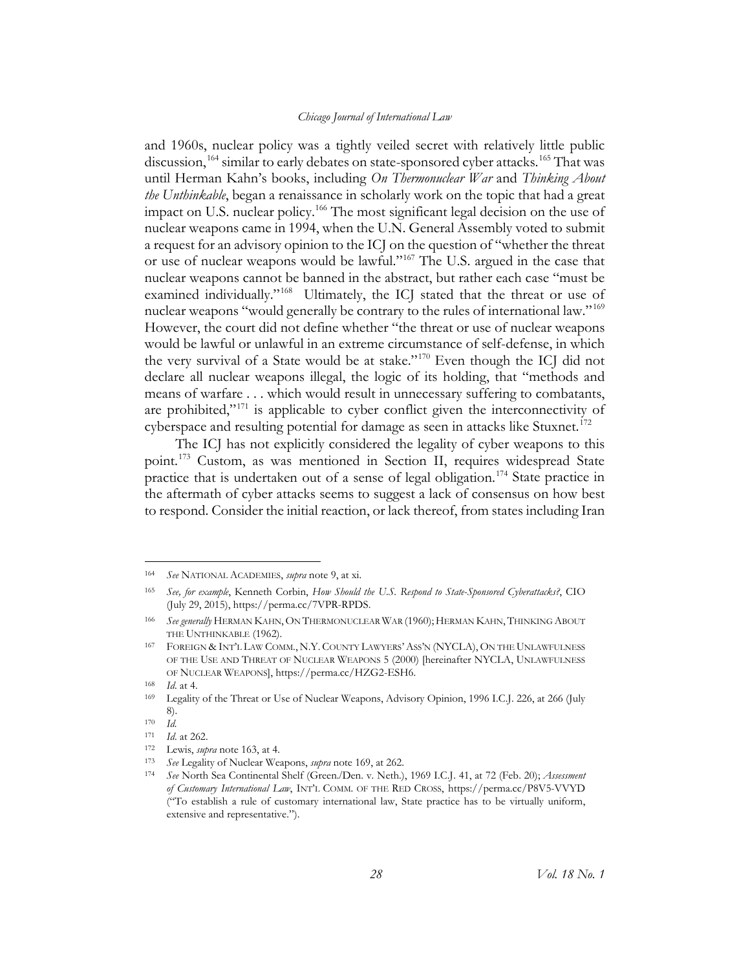and 1960s, nuclear policy was a tightly veiled secret with relatively little public discussion,<sup>[164](#page-28-1)</sup> similar to early debates on state-sponsored cyber attacks.<sup>[165](#page-28-2)</sup> That was until Herman Kahn's books, including *On Thermonuclear War* and *Thinking About the Unthinkable*, began a renaissance in scholarly work on the topic that had a great impact on U.S. nuclear policy.<sup>[166](#page-28-3)</sup> The most significant legal decision on the use of nuclear weapons came in 1994, when the U.N. General Assembly voted to submit a request for an advisory opinion to the ICJ on the question of "whether the threat or use of nuclear weapons would be lawful."[167](#page-28-4) The U.S. argued in the case that nuclear weapons cannot be banned in the abstract, but rather each case "must be examined individually."<sup>168</sup> Ultimately, the ICJ stated that the threat or use of nuclear weapons "would generally be contrary to the rules of international law."[169](#page-28-6) However, the court did not define whether "the threat or use of nuclear weapons would be lawful or unlawful in an extreme circumstance of self-defense, in which the very survival of a State would be at stake."[170](#page-28-7) Even though the ICJ did not declare all nuclear weapons illegal, the logic of its holding, that "methods and means of warfare . . . which would result in unnecessary suffering to combatants, are prohibited," $171$  is applicable to cyber conflict given the interconnectivity of cyberspace and resulting potential for damage as seen in attacks like Stuxnet.<sup>[172](#page-28-9)</sup>

<span id="page-28-0"></span>The ICJ has not explicitly considered the legality of cyber weapons to this point.[173](#page-28-10) Custom, as was mentioned in Section II, requires widespread State practice that is undertaken out of a sense of legal obligation.[174](#page-28-11) State practice in the aftermath of cyber attacks seems to suggest a lack of consensus on how best to respond. Consider the initial reaction, or lack thereof, from states including Iran

<span id="page-28-1"></span> <sup>164</sup> *See* NATIONAL ACADEMIES, *supra* note [9,](#page-4-10) at xi.

<span id="page-28-2"></span><sup>165</sup> *See, for example*, Kenneth Corbin, *How Should the U.S. Respond to State-Sponsored Cyberattacks?*, CIO (July 29, 2015), https://perma.cc/7VPR-RPDS.

<span id="page-28-3"></span><sup>166</sup> *See generally* HERMAN KAHN,ON THERMONUCLEAR WAR (1960); HERMAN KAHN, THINKING ABOUT THE UNTHINKABLE (1962).

<span id="page-28-4"></span><sup>167</sup> FOREIGN & INT'L LAW COMM., N.Y. COUNTY LAWYERS'ASS'N (NYCLA), ON THE UNLAWFULNESS OF THE USE AND THREAT OF NUCLEAR WEAPONS 5 (2000) [hereinafter NYCLA, UNLAWFULNESS OF NUCLEAR WEAPONS], https://perma.cc/HZG2-ESH6.

<span id="page-28-5"></span><sup>168</sup> *Id*. at 4.

<span id="page-28-6"></span><sup>169</sup> Legality of the Threat or Use of Nuclear Weapons, Advisory Opinion, 1996 I.C.J. 226, at 266 (July 8).

<span id="page-28-7"></span><sup>170</sup> *Id.*

<sup>171</sup> *Id*. at 262.

<span id="page-28-10"></span><span id="page-28-9"></span><span id="page-28-8"></span><sup>172</sup> Lewis, *supra* note [163,](#page-27-9) at 4.

<span id="page-28-11"></span><sup>173</sup> *See* Legality of Nuclear Weapons, *supra* note [169,](#page-28-0) at 262.

<sup>174</sup> *See* North Sea Continental Shelf (Green./Den. v. Neth.), 1969 I.C.J. 41, at 72 (Feb. 20); *Assessment of Customary International Law*, INT'L COMM. OF THE RED CROSS, https://perma.cc/P8V5-VVYD ("To establish a rule of customary international law, State practice has to be virtually uniform, extensive and representative.").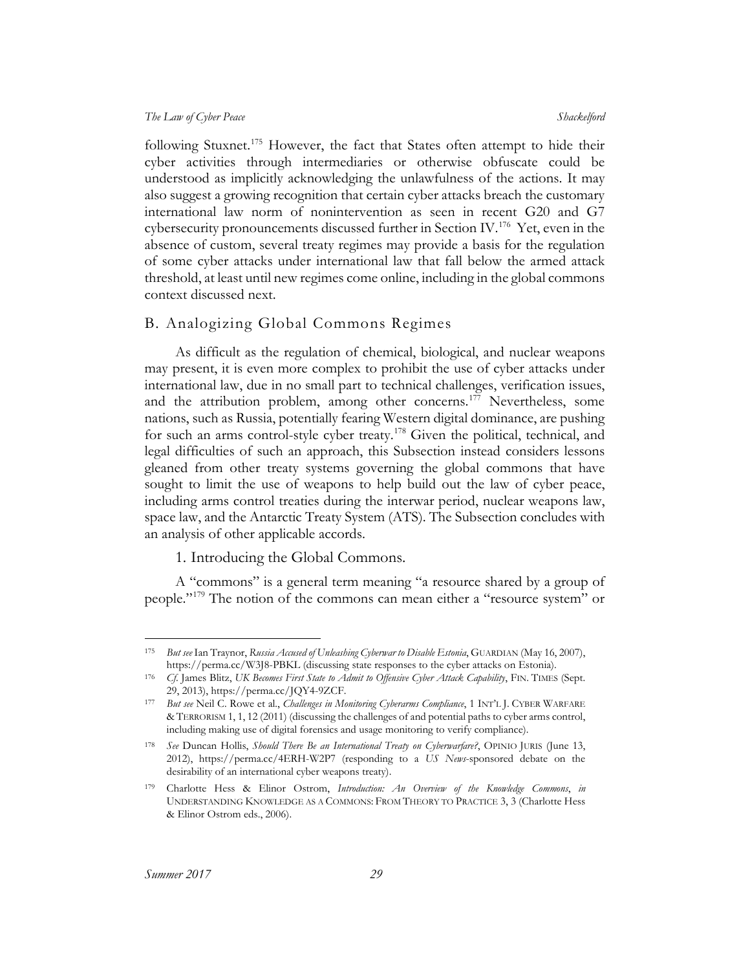following Stuxnet.<sup>[175](#page-29-2)</sup> However, the fact that States often attempt to hide their cyber activities through intermediaries or otherwise obfuscate could be understood as implicitly acknowledging the unlawfulness of the actions. It may also suggest a growing recognition that certain cyber attacks breach the customary international law norm of nonintervention as seen in recent G20 and G7 cybersecurity pronouncements discussed further in Section IV.<sup>[176](#page-29-3)</sup> Yet, even in the absence of custom, several treaty regimes may provide a basis for the regulation of some cyber attacks under international law that fall below the armed attack threshold, at least until new regimes come online, including in the global commons context discussed next.

#### <span id="page-29-0"></span>B. Analogizing Global Commons Regimes

<span id="page-29-8"></span>As difficult as the regulation of chemical, biological, and nuclear weapons may present, it is even more complex to prohibit the use of cyber attacks under international law, due in no small part to technical challenges, verification issues, and the attribution problem, among other concerns.<sup>[177](#page-29-4)</sup> Nevertheless, some nations, such as Russia, potentially fearing Western digital dominance, are pushing for such an arms control-style cyber treaty.[178](#page-29-5) Given the political, technical, and legal difficulties of such an approach, this Subsection instead considers lessons gleaned from other treaty systems governing the global commons that have sought to limit the use of weapons to help build out the law of cyber peace, including arms control treaties during the interwar period, nuclear weapons law, space law, and the Antarctic Treaty System (ATS). The Subsection concludes with an analysis of other applicable accords.

<span id="page-29-7"></span>1. Introducing the Global Commons.

<span id="page-29-1"></span>A "commons" is a general term meaning "a resource shared by a group of people."[179](#page-29-6) The notion of the commons can mean either a "resource system" or

<span id="page-29-2"></span> <sup>175</sup> *But see* Ian Traynor, *Russia Accused of Unleashing Cyberwar to Disable Estonia*, GUARDIAN (May 16, 2007),

<span id="page-29-3"></span>https://perma.cc/W3J8-PBKL (discussing state responses to the cyber attacks on Estonia). 176 *Cf*. James Blitz, *UK Becomes First State to Admit to Offensive Cyber Attack Capability*, FIN. TIMES (Sept. 29, 2013), https://perma.cc/JQY4-9ZCF.

<span id="page-29-4"></span><sup>177</sup> *But see* Neil C. Rowe et al., *Challenges in Monitoring Cyberarms Compliance*, 1 INT'L J. CYBER WARFARE & TERRORISM 1, 1, 12 (2011) (discussing the challenges of and potential paths to cyber arms control, including making use of digital forensics and usage monitoring to verify compliance).

<span id="page-29-5"></span><sup>178</sup> *See* Duncan Hollis, *Should There Be an International Treaty on Cyberwarfare?*, OPINIO JURIS (June 13, 2012), https://perma.cc/4ERH-W2P7 (responding to a *US News*-sponsored debate on the desirability of an international cyber weapons treaty).

<span id="page-29-6"></span><sup>179</sup> Charlotte Hess & Elinor Ostrom, *Introduction: An Overview of the Knowledge Commons*, *in*  UNDERSTANDING KNOWLEDGE AS A COMMONS: FROM THEORY TO PRACTICE 3, 3 (Charlotte Hess & Elinor Ostrom eds., 2006).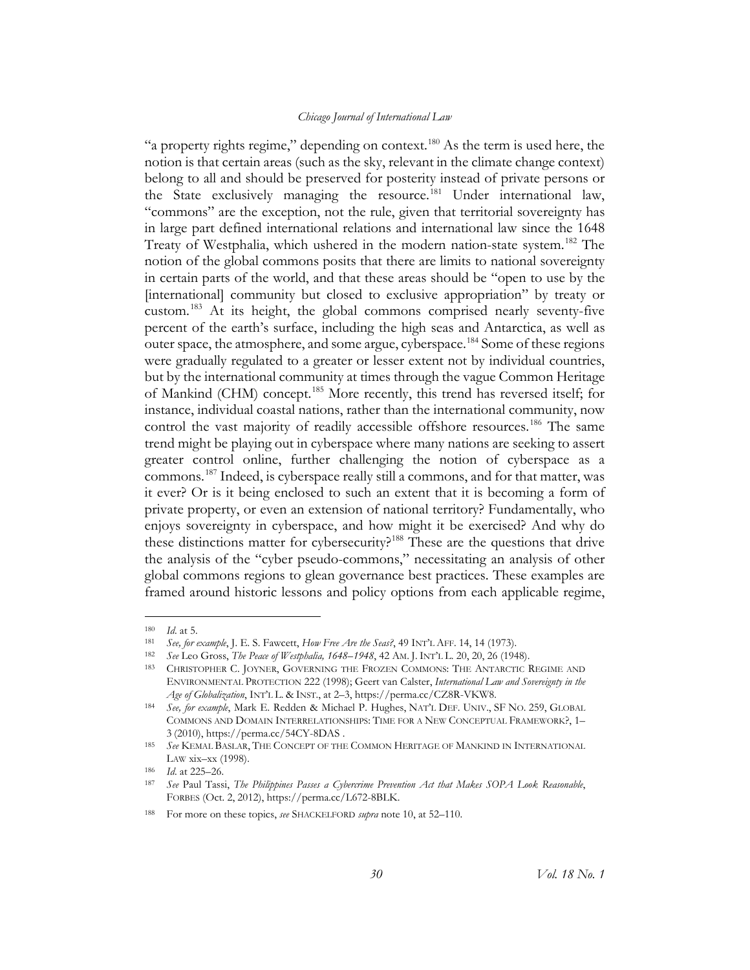"a property rights regime," depending on context.<sup>180</sup> As the term is used here, the notion is that certain areas (such as the sky, relevant in the climate change context) belong to all and should be preserved for posterity instead of private persons or the State exclusively managing the resource.<sup>[181](#page-30-1)</sup> Under international law, "commons" are the exception, not the rule, given that territorial sovereignty has in large part defined international relations and international law since the 1648 Treaty of Westphalia, which ushered in the modern nation-state system.[182](#page-30-2) The notion of the global commons posits that there are limits to national sovereignty in certain parts of the world, and that these areas should be "open to use by the [international] community but closed to exclusive appropriation" by treaty or custom.<sup>[183](#page-30-3)</sup> At its height, the global commons comprised nearly seventy-five percent of the earth's surface, including the high seas and Antarctica, as well as outer space, the atmosphere, and some argue, cyberspace.[184](#page-30-4) Some of these regions were gradually regulated to a greater or lesser extent not by individual countries, but by the international community at times through the vague Common Heritage of Mankind (CHM) concept.<sup>[185](#page-30-5)</sup> More recently, this trend has reversed itself; for instance, individual coastal nations, rather than the international community, now control the vast majority of readily accessible offshore resources.<sup>[186](#page-30-6)</sup> The same trend might be playing out in cyberspace where many nations are seeking to assert greater control online, further challenging the notion of cyberspace as a commons.[187](#page-30-7) Indeed, is cyberspace really still a commons, and for that matter, was it ever? Or is it being enclosed to such an extent that it is becoming a form of private property, or even an extension of national territory? Fundamentally, who enjoys sovereignty in cyberspace, and how might it be exercised? And why do these distinctions matter for cybersecurity?<sup>[188](#page-30-8)</sup> These are the questions that drive the analysis of the "cyber pseudo-commons," necessitating an analysis of other global commons regions to glean governance best practices. These examples are framed around historic lessons and policy options from each applicable regime,

<span id="page-30-0"></span> <sup>180</sup> *Id*. at 5.

<span id="page-30-2"></span><span id="page-30-1"></span><sup>181</sup> *See, for example*, J. E. S. Fawcett, *How Free Are the Seas?*, 49 INT'L AFF. 14, 14 (1973).

<sup>182</sup> *See* Leo Gross, *The Peace of Westphalia, 1648–1948*, 42 AM. J. INT'L L. 20, 20, 26 (1948).

<span id="page-30-3"></span><sup>183</sup> CHRISTOPHER C. JOYNER, GOVERNING THE FROZEN COMMONS: THE ANTARCTIC REGIME AND ENVIRONMENTAL PROTECTION 222 (1998); Geert van Calster, *International Law and Sovereignty in the Age of Globalization*, INT'L L. & INST., at 2–3, https://perma.cc/CZ8R-VKW8.

<span id="page-30-4"></span><sup>184</sup> *See, for example*, Mark E. Redden & Michael P. Hughes, NAT'L DEF. UNIV., SF NO. 259, GLOBAL COMMONS AND DOMAIN INTERRELATIONSHIPS: TIME FOR A NEW CONCEPTUAL FRAMEWORK?, 1– 3 (2010), https://perma.cc/54CY-8DAS .

<span id="page-30-5"></span><sup>185</sup> *See* KEMAL BASLAR, THE CONCEPT OF THE COMMON HERITAGE OF MANKIND IN INTERNATIONAL LAW xix–xx (1998).

<span id="page-30-6"></span><sup>186</sup> *Id*. at 225–26.

<span id="page-30-7"></span><sup>187</sup> *See* Paul Tassi, *The Philippines Passes a Cybercrime Prevention Act that Makes SOPA Look Reasonable*, FORBES (Oct. 2, 2012), https://perma.cc/L672-8BLK.

<span id="page-30-8"></span><sup>188</sup> For more on these topics, *see* SHACKELFORD *supra* note [10,](#page-4-9) at 52–110.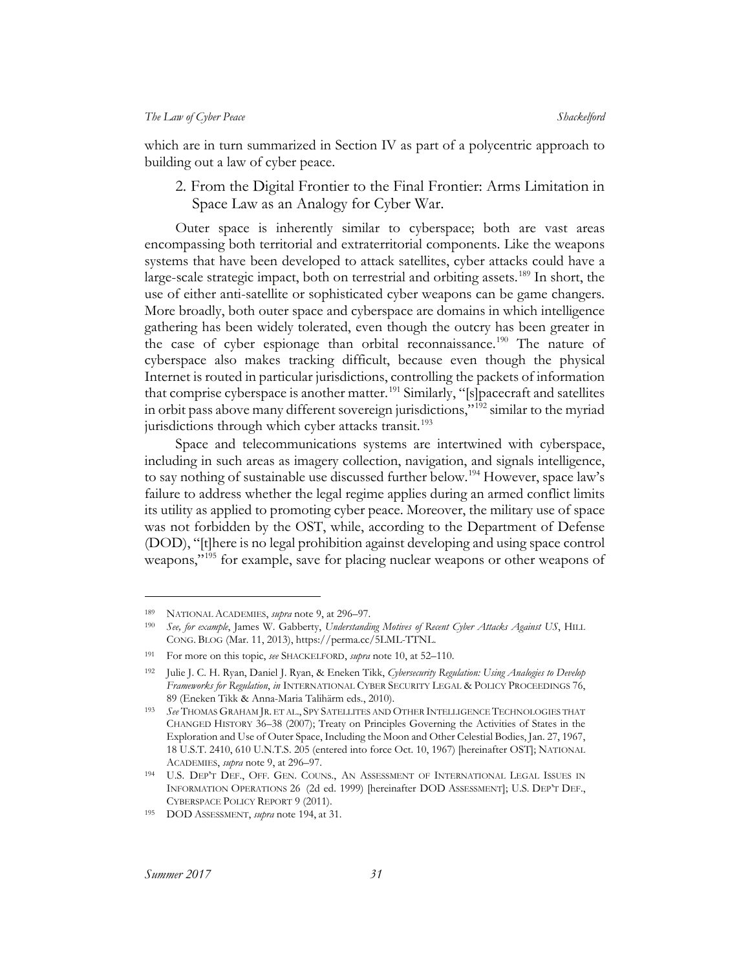<span id="page-31-0"></span>which are in turn summarized in Section IV as part of a polycentric approach to building out a law of cyber peace.

2. From the Digital Frontier to the Final Frontier: Arms Limitation in Space Law as an Analogy for Cyber War.

Outer space is inherently similar to cyberspace; both are vast areas encompassing both territorial and extraterritorial components. Like the weapons systems that have been developed to attack satellites, cyber attacks could have a large-scale strategic impact, both on terrestrial and orbiting assets.<sup>[189](#page-31-2)</sup> In short, the use of either anti-satellite or sophisticated cyber weapons can be game changers. More broadly, both outer space and cyberspace are domains in which intelligence gathering has been widely tolerated, even though the outcry has been greater in the case of cyber espionage than orbital reconnaissance.<sup>[190](#page-31-3)</sup> The nature of cyberspace also makes tracking difficult, because even though the physical Internet is routed in particular jurisdictions, controlling the packets of information that comprise cyberspace is another matter.<sup>[191](#page-31-4)</sup> Similarly, "[s]pacecraft and satellites in orbit pass above many different sovereign jurisdictions,"[192](#page-31-5) similar to the myriad jurisdictions through which cyber attacks transit.<sup>[193](#page-31-6)</sup>

<span id="page-31-9"></span><span id="page-31-1"></span>Space and telecommunications systems are intertwined with cyberspace, including in such areas as imagery collection, navigation, and signals intelligence, to say nothing of sustainable use discussed further below.<sup>194</sup> However, space law's failure to address whether the legal regime applies during an armed conflict limits its utility as applied to promoting cyber peace. Moreover, the military use of space was not forbidden by the OST, while, according to the Department of Defense (DOD), "[t]here is no legal prohibition against developing and using space control weapons,"<sup>[195](#page-31-8)</sup> for example, save for placing nuclear weapons or other weapons of

 $\overline{a}$ 

<span id="page-31-2"></span><sup>189</sup> NATIONAL ACADEMIES, *supra* note [9,](#page-4-10) at 296–97.

<span id="page-31-3"></span><sup>190</sup> *See, for example*, James W. Gabberty, *Understanding Motives of Recent Cyber Attacks Against US*, HILL CONG. BLOG (Mar. 11, 2013), https://perma.cc/5LML-TTNL.

<span id="page-31-5"></span><span id="page-31-4"></span><sup>191</sup> For more on this topic, *see* SHACKELFORD, *supra* note [10,](#page-4-9) at 52–110.

<sup>192</sup> Julie J. C. H. Ryan, Daniel J. Ryan, & Eneken Tikk, *Cybersecurity Regulation: Using Analogies to Develop Frameworks for Regulation*, *in* INTERNATIONAL CYBER SECURITY LEGAL & POLICY PROCEEDINGS 76, 89 (Eneken Tikk & Anna-Maria Talihärm eds., 2010).

<span id="page-31-6"></span><sup>193</sup> *See* THOMAS GRAHAM JR. ET AL., SPY SATELLITES AND OTHER INTELLIGENCE TECHNOLOGIES THAT CHANGED HISTORY 36–38 (2007); Treaty on Principles Governing the Activities of States in the Exploration and Use of Outer Space, Including the Moon and Other Celestial Bodies, Jan. 27, 1967, 18 U.S.T. 2410, 610 U.N.T.S. 205 (entered into force Oct. 10, 1967) [hereinafter OST]; NATIONAL ACADEMIES, *supra* not[e 9,](#page-4-10) at 296–97.

<span id="page-31-7"></span><sup>194</sup> U.S. DEP'T DEF., OFF. GEN. COUNS., AN ASSESSMENT OF INTERNATIONAL LEGAL ISSUES IN INFORMATION OPERATIONS 26 (2d ed. 1999) [hereinafter DOD ASSESSMENT]; U.S. DEP'T DEF., CYBERSPACE POLICY REPORT 9 (2011).

<span id="page-31-8"></span><sup>195</sup> DOD ASSESSMENT, *supra* note [194,](#page-31-1) at 31.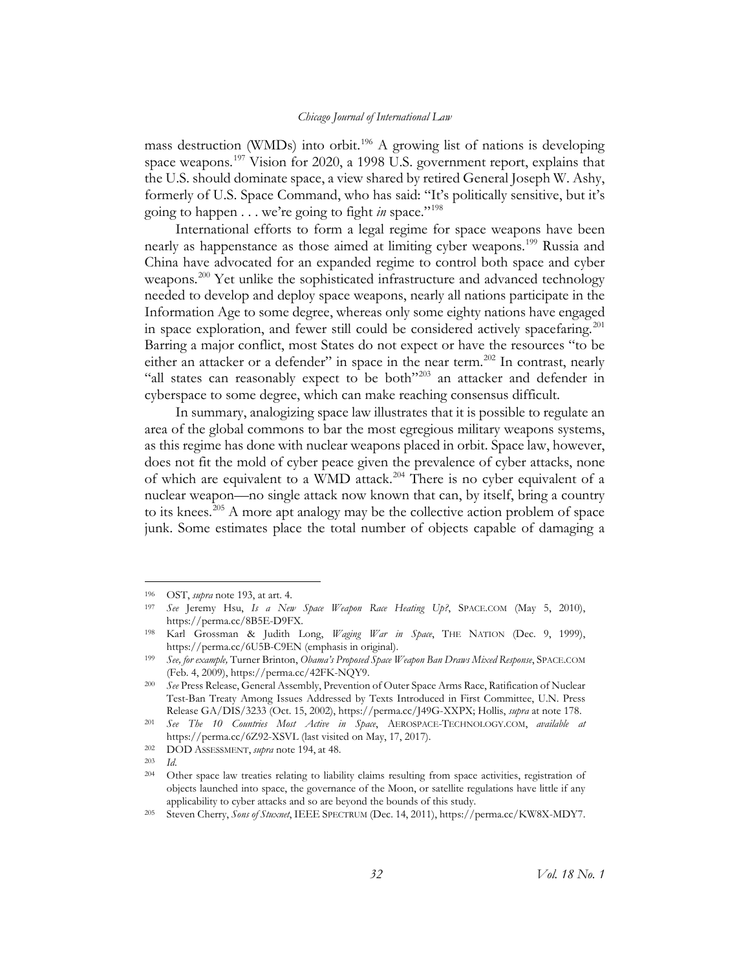mass destruction (WMDs) into orbit.<sup>[196](#page-32-0)</sup> A growing list of nations is developing space weapons.<sup>[197](#page-32-1)</sup> Vision for 2020, a 1998 U.S. government report, explains that the U.S. should dominate space, a view shared by retired General Joseph W. Ashy, formerly of U.S. Space Command, who has said: "It's politically sensitive, but it's going to happen . . . we're going to fight *in* space."[198](#page-32-2)

International efforts to form a legal regime for space weapons have been nearly as happenstance as those aimed at limiting cyber weapons.<sup>[199](#page-32-3)</sup> Russia and China have advocated for an expanded regime to control both space and cyber weapons.<sup>[200](#page-32-4)</sup> Yet unlike the sophisticated infrastructure and advanced technology needed to develop and deploy space weapons, nearly all nations participate in the Information Age to some degree, whereas only some eighty nations have engaged in space exploration, and fewer still could be considered actively spacefaring.<sup>[201](#page-32-5)</sup> Barring a major conflict, most States do not expect or have the resources "to be either an attacker or a defender" in space in the near term.<sup>[202](#page-32-6)</sup> In contrast, nearly "all states can reasonably expect to be both"[203](#page-32-7) an attacker and defender in cyberspace to some degree, which can make reaching consensus difficult.

In summary, analogizing space law illustrates that it is possible to regulate an area of the global commons to bar the most egregious military weapons systems, as this regime has done with nuclear weapons placed in orbit. Space law, however, does not fit the mold of cyber peace given the prevalence of cyber attacks, none of which are equivalent to a WMD attack.<sup>[204](#page-32-8)</sup> There is no cyber equivalent of a nuclear weapon––no single attack now known that can, by itself, bring a country to its knees.<sup>[205](#page-32-9)</sup> A more apt analogy may be the collective action problem of space junk. Some estimates place the total number of objects capable of damaging a

<span id="page-32-0"></span> <sup>196</sup> OST, *supra* note [193,](#page-31-9) at art. 4.

<span id="page-32-1"></span><sup>197</sup> *See* Jeremy Hsu, *Is a New Space Weapon Race Heating Up?*, SPACE.COM (May 5, 2010), https://perma.cc/8B5E-D9FX.

<span id="page-32-2"></span><sup>198</sup> Karl Grossman & Judith Long, *Waging War in Space*, THE NATION (Dec. 9, 1999), https://perma.cc/6U5B-C9EN (emphasis in original).

<span id="page-32-3"></span><sup>199</sup> *See, for example,* Turner Brinton, *Obama's Proposed Space Weapon Ban Draws Mixed Response*, SPACE.COM (Feb. 4, 2009), https://perma.cc/42FK-NQY9.

<span id="page-32-4"></span><sup>200</sup> *See* Press Release, General Assembly, Prevention of Outer Space Arms Race, Ratification of Nuclear Test-Ban Treaty Among Issues Addressed by Texts Introduced in First Committee, U.N. Press Release GA/DIS/3233 (Oct. 15, 2002), https://perma.cc/J49G-XXPX; Hollis, *supra* at not[e 178.](#page-29-7)

<span id="page-32-5"></span><sup>201</sup> *See The 10 Countries Most Active in Space*, AEROSPACE-TECHNOLOGY.COM, *available at* https://perma.cc/6Z92-XSVL (last visited on May, 17, 2017).

<span id="page-32-6"></span><sup>202</sup> DOD ASSESSMENT, *supra* note [194,](#page-31-1) at 48.

<span id="page-32-7"></span><sup>203</sup> *Id*.

<span id="page-32-8"></span><sup>204</sup> Other space law treaties relating to liability claims resulting from space activities, registration of objects launched into space, the governance of the Moon, or satellite regulations have little if any applicability to cyber attacks and so are beyond the bounds of this study. 205 Steven Cherry, *Sons of Stuxnet*, IEEE SPECTRUM (Dec. 14, 2011), https://perma.cc/KW8X-MDY7.

<span id="page-32-9"></span>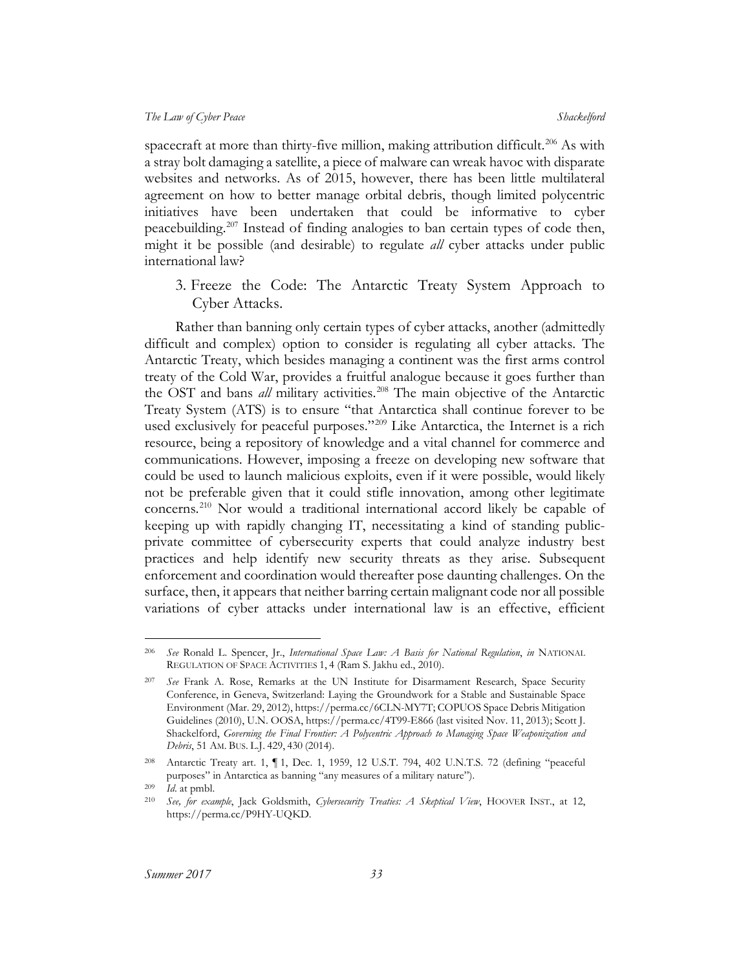spacecraft at more than thirty-five million, making attribution difficult.<sup>[206](#page-33-1)</sup> As with a stray bolt damaging a satellite, a piece of malware can wreak havoc with disparate websites and networks. As of 2015, however, there has been little multilateral agreement on how to better manage orbital debris, though limited polycentric initiatives have been undertaken that could be informative to cyber peacebuilding.<sup>[207](#page-33-2)</sup> Instead of finding analogies to ban certain types of code then, might it be possible (and desirable) to regulate *all* cyber attacks under public international law?

<span id="page-33-0"></span>3. Freeze the Code: The Antarctic Treaty System Approach to Cyber Attacks.

Rather than banning only certain types of cyber attacks, another (admittedly difficult and complex) option to consider is regulating all cyber attacks. The Antarctic Treaty, which besides managing a continent was the first arms control treaty of the Cold War, provides a fruitful analogue because it goes further than the OST and bans *all* military activities.<sup>[208](#page-33-3)</sup> The main objective of the Antarctic Treaty System (ATS) is to ensure "that Antarctica shall continue forever to be used exclusively for peaceful purposes."<sup>[209](#page-33-4)</sup> Like Antarctica, the Internet is a rich resource, being a repository of knowledge and a vital channel for commerce and communications. However, imposing a freeze on developing new software that could be used to launch malicious exploits, even if it were possible, would likely not be preferable given that it could stifle innovation, among other legitimate concerns.[210](#page-33-5) Nor would a traditional international accord likely be capable of keeping up with rapidly changing IT, necessitating a kind of standing publicprivate committee of cybersecurity experts that could analyze industry best practices and help identify new security threats as they arise. Subsequent enforcement and coordination would thereafter pose daunting challenges. On the surface, then, it appears that neither barring certain malignant code nor all possible variations of cyber attacks under international law is an effective, efficient

<span id="page-33-1"></span> <sup>206</sup> *See* Ronald L. Spencer, Jr., *International Space Law: A Basis for National Regulation*, *in* NATIONAL REGULATION OF SPACE ACTIVITIES 1, 4 (Ram S. Jakhu ed., 2010).

<span id="page-33-2"></span><sup>207</sup> *See* Frank A. Rose, Remarks at the UN Institute for Disarmament Research, Space Security Conference, in Geneva, Switzerland: Laying the Groundwork for a Stable and Sustainable Space Environment (Mar. 29, 2012), https://perma.cc/6CLN-MY7T; COPUOS Space Debris Mitigation Guidelines (2010), U.N. OOSA, https://perma.cc/4T99-E866 (last visited Nov. 11, 2013); Scott J. Shackelford, *Governing the Final Frontier: A Polycentric Approach to Managing Space Weaponization and Debris*, 51 AM. BUS. L.J. 429, 430 (2014).

<span id="page-33-3"></span><sup>208</sup> Antarctic Treaty art. 1, ¶ 1, Dec. 1, 1959, 12 U.S.T. 794, 402 U.N.T.S. 72 (defining "peaceful purposes" in Antarctica as banning "any measures of a military nature").

<sup>209</sup> *Id*. at pmbl.

<span id="page-33-5"></span><span id="page-33-4"></span><sup>210</sup> *See, for example*, Jack Goldsmith, *Cybersecurity Treaties: A Skeptical View*, HOOVER INST., at 12, https://perma.cc/P9HY-UQKD.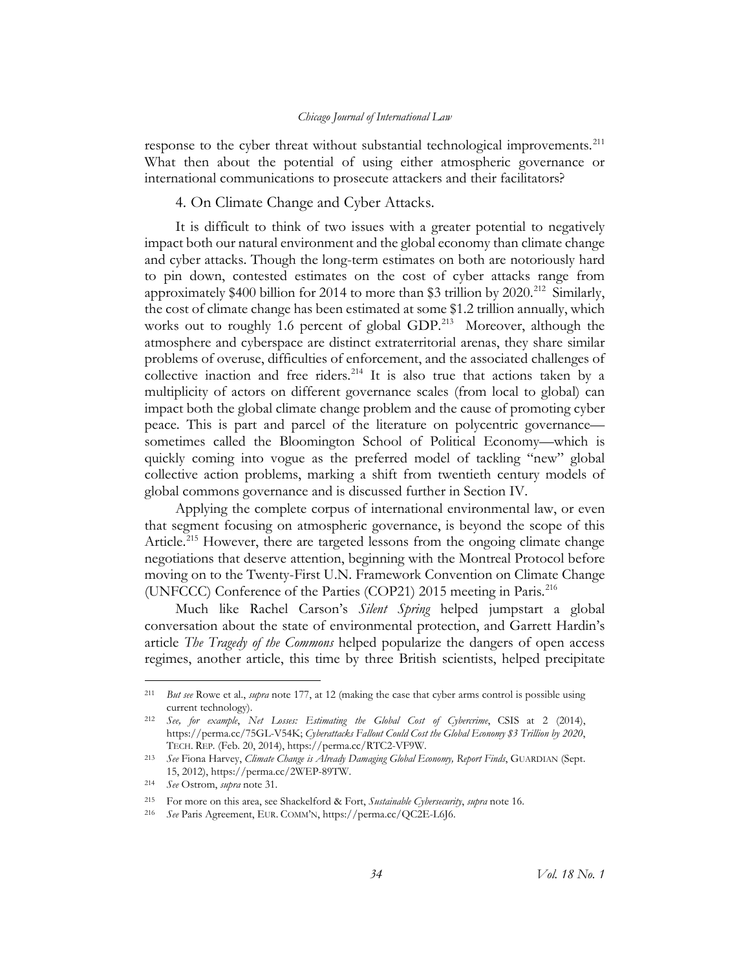response to the cyber threat without substantial technological improvements.<sup>[211](#page-34-1)</sup> What then about the potential of using either atmospheric governance or international communications to prosecute attackers and their facilitators?

#### 4. On Climate Change and Cyber Attacks.

<span id="page-34-0"></span>It is difficult to think of two issues with a greater potential to negatively impact both our natural environment and the global economy than climate change and cyber attacks. Though the long-term estimates on both are notoriously hard to pin down, contested estimates on the cost of cyber attacks range from approximately \$400 billion for 2014 to more than \$3 trillion by 2020. [212](#page-34-2) Similarly, the cost of climate change has been estimated at some \$1.2 trillion annually, which works out to roughly 1.6 percent of global GDP.<sup>[213](#page-34-3)</sup> Moreover, although the atmosphere and cyberspace are distinct extraterritorial arenas, they share similar problems of overuse, difficulties of enforcement, and the associated challenges of collective inaction and free riders.<sup>[214](#page-34-4)</sup> It is also true that actions taken by a multiplicity of actors on different governance scales (from local to global) can impact both the global climate change problem and the cause of promoting cyber peace. This is part and parcel of the literature on polycentric governance sometimes called the Bloomington School of Political Economy—which is quickly coming into vogue as the preferred model of tackling "new" global collective action problems, marking a shift from twentieth century models of global commons governance and is discussed further in Section IV.

Applying the complete corpus of international environmental law, or even that segment focusing on atmospheric governance, is beyond the scope of this Article.<sup>[215](#page-34-5)</sup> However, there are targeted lessons from the ongoing climate change negotiations that deserve attention, beginning with the Montreal Protocol before moving on to the Twenty-First U.N. Framework Convention on Climate Change (UNFCCC) Conference of the Parties (COP21) 2015 meeting in Paris.[216](#page-34-6)

Much like Rachel Carson's *Silent Spring* helped jumpstart a global conversation about the state of environmental protection, and Garrett Hardin's article *The Tragedy of the Commons* helped popularize the dangers of open access regimes, another article, this time by three British scientists, helped precipitate

<span id="page-34-1"></span> <sup>211</sup> *But see* Rowe et al., *supra* note [177,](#page-29-8) at 12 (making the case that cyber arms control is possible using current technology).

<span id="page-34-2"></span><sup>212</sup> *See, for example*, *Net Losses: Estimating the Global Cost of Cybercrime*, CSIS at 2 (2014), https://perma.cc/75GL-V54K; *Cyberattacks Fallout Could Cost the Global Economy \$3 Trillion by 2020*, TECH. REP*.* (Feb. 20, 2014), https://perma.cc/RTC2-VF9W.

<span id="page-34-3"></span><sup>213</sup> *See* Fiona Harvey, *Climate Change is Already Damaging Global Economy, Report Finds*, GUARDIAN (Sept. 15, 2012), https://perma.cc/2WEP-89TW.

<span id="page-34-4"></span><sup>214</sup> *See* Ostrom, *supra* not[e 31.](#page-8-6)

<span id="page-34-5"></span><sup>215</sup> For more on this area, see Shackelford & Fort, *Sustainable Cybersecurity*, *supra* note [16.](#page-5-3)

<span id="page-34-6"></span><sup>216</sup> *See* Paris Agreement, EUR. COMM'N, https://perma.cc/QC2E-L6J6.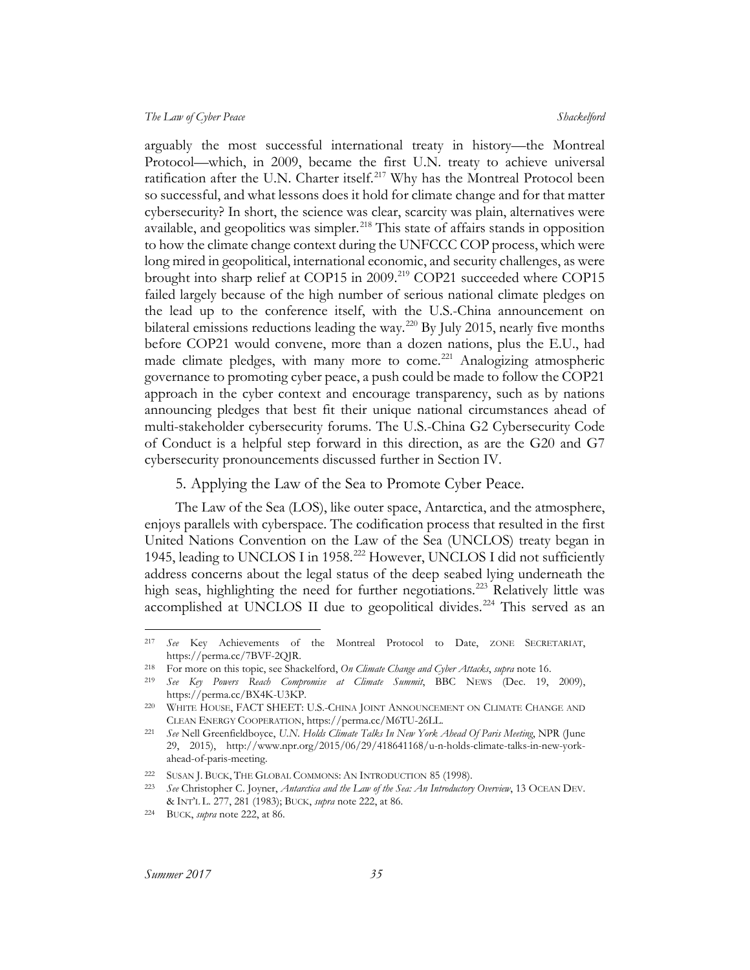arguably the most successful international treaty in history—the Montreal Protocol—which, in 2009, became the first U.N. treaty to achieve universal ratification after the U.N. Charter itself.<sup>[217](#page-35-2)</sup> Why has the Montreal Protocol been so successful, and what lessons does it hold for climate change and for that matter cybersecurity? In short, the science was clear, scarcity was plain, alternatives were available, and geopolitics was simpler.<sup>[218](#page-35-3)</sup> This state of affairs stands in opposition to how the climate change context during the UNFCCC COP process, which were long mired in geopolitical, international economic, and security challenges, as were brought into sharp relief at COP15 in 2009.<sup>[219](#page-35-4)</sup> COP21 succeeded where COP15 failed largely because of the high number of serious national climate pledges on the lead up to the conference itself, with the U.S.-China announcement on bilateral emissions reductions leading the way.<sup>[220](#page-35-5)</sup> By July 2015, nearly five months before COP21 would convene, more than a dozen nations, plus the E.U., had made climate pledges, with many more to come.<sup>[221](#page-35-6)</sup> Analogizing atmospheric governance to promoting cyber peace, a push could be made to follow the COP21 approach in the cyber context and encourage transparency, such as by nations announcing pledges that best fit their unique national circumstances ahead of multi-stakeholder cybersecurity forums. The U.S.-China G2 Cybersecurity Code of Conduct is a helpful step forward in this direction, as are the G20 and G7 cybersecurity pronouncements discussed further in Section IV.

#### <span id="page-35-1"></span>5. Applying the Law of the Sea to Promote Cyber Peace.

<span id="page-35-0"></span>The Law of the Sea (LOS), like outer space, Antarctica, and the atmosphere, enjoys parallels with cyberspace. The codification process that resulted in the first United Nations Convention on the Law of the Sea (UNCLOS) treaty began in 1945, leading to UNCLOS I in 1958.<sup>[222](#page-35-7)</sup> However, UNCLOS I did not sufficiently address concerns about the legal status of the deep seabed lying underneath the high seas, highlighting the need for further negotiations.<sup>[223](#page-35-8)</sup> Relatively little was accomplished at UNCLOS II due to geopolitical divides.<sup>[224](#page-35-9)</sup> This served as an

<span id="page-35-2"></span> <sup>217</sup> *See* Key Achievements of the Montreal Protocol to Date, ZONE SECRETARIAT, https://perma.cc/7BVF-2QJR.

<span id="page-35-3"></span><sup>218</sup> For more on this topic, see Shackelford, *On Climate Change and Cyber Attacks*, *supra* note [16.](#page-5-3)

<span id="page-35-4"></span><sup>219</sup> *See Key Powers Reach Compromise at Climate Summit*, BBC NEWS (Dec. 19, 2009), https://perma.cc/BX4K-U3KP.

<span id="page-35-5"></span><sup>220</sup> WHITE HOUSE, FACT SHEET: U.S.-CHINA JOINT ANNOUNCEMENT ON CLIMATE CHANGE AND CLEAN ENERGY COOPERATION, https://perma.cc/M6TU-26LL.

<span id="page-35-6"></span><sup>221</sup> *See* Nell Greenfieldboyce, *U.N. Holds Climate Talks In New York Ahead Of Paris Meeting*, NPR (June 29, 2015), http://www.npr.org/2015/06/29/418641168/u-n-holds-climate-talks-in-new-yorkahead-of-paris-meeting.

<span id="page-35-7"></span><sup>222</sup> SUSAN J. BUCK, THE GLOBAL COMMONS: AN INTRODUCTION 85 (1998).

<span id="page-35-8"></span><sup>223</sup> *See* Christopher C. Joyner, *Antarctica and the Law of the Sea: An Introductory Overview*, 13 OCEAN DEV. & INT'L L. 277, 281 (1983); BUCK, *supra* not[e 222,](#page-35-1) at 86.

<span id="page-35-9"></span><sup>224</sup> BUCK, *supra* note [222,](#page-35-1) at 86.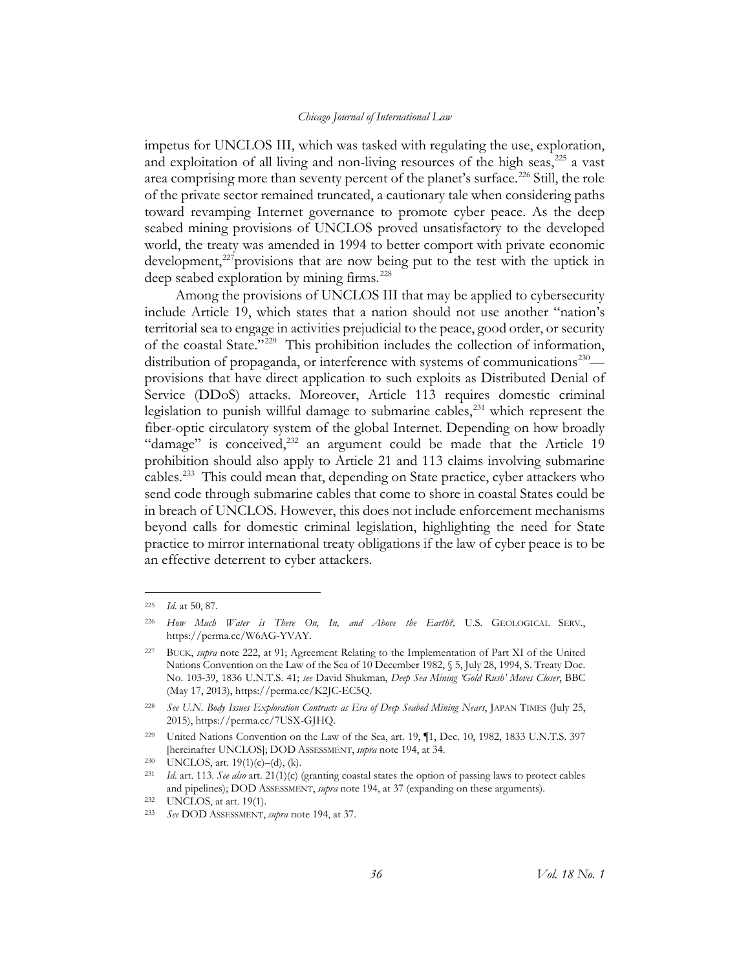impetus for UNCLOS III, which was tasked with regulating the use, exploration, and exploitation of all living and non-living resources of the high seas, $^{225}$  $^{225}$  $^{225}$  a vast area comprising more than seventy percent of the planet's surface.<sup>[226](#page-36-1)</sup> Still, the role of the private sector remained truncated, a cautionary tale when considering paths toward revamping Internet governance to promote cyber peace. As the deep seabed mining provisions of UNCLOS proved unsatisfactory to the developed world, the treaty was amended in 1994 to better comport with private economic development, $^{227}$  $^{227}$  $^{227}$ provisions that are now being put to the test with the uptick in deep seabed exploration by mining firms.<sup>[228](#page-36-3)</sup>

Among the provisions of UNCLOS III that may be applied to cybersecurity include Article 19, which states that a nation should not use another "nation's territorial sea to engage in activities prejudicial to the peace, good order, or security of the coastal State."[229](#page-36-4) This prohibition includes the collection of information, distribution of propaganda, or interference with systems of communications<sup>230</sup> provisions that have direct application to such exploits as Distributed Denial of Service (DDoS) attacks. Moreover, Article 113 requires domestic criminal legislation to punish willful damage to submarine cables,<sup>[231](#page-36-6)</sup> which represent the fiber-optic circulatory system of the global Internet. Depending on how broadly "damage" is conceived, $232$  an argument could be made that the Article 19 prohibition should also apply to Article 21 and 113 claims involving submarine cables.<sup>[233](#page-36-8)</sup> This could mean that, depending on State practice, cyber attackers who send code through submarine cables that come to shore in coastal States could be in breach of UNCLOS. However, this does not include enforcement mechanisms beyond calls for domestic criminal legislation, highlighting the need for State practice to mirror international treaty obligations if the law of cyber peace is to be an effective deterrent to cyber attackers.

<span id="page-36-0"></span> <sup>225</sup> *Id*. at 50, 87.

<span id="page-36-1"></span><sup>226</sup> *How Much Water is There On, In, and Above the Earth?,* U.S. GEOLOGICAL SERV., https://perma.cc/W6AG-YVAY.

<span id="page-36-2"></span><sup>227</sup> BUCK, *supra* note [222,](#page-35-1) at 91; Agreement Relating to the Implementation of Part XI of the United Nations Convention on the Law of the Sea of 10 December 1982, § 5, July 28, 1994, S. Treaty Doc. No. 103-39, 1836 U.N.T.S. 41; *see* David Shukman, *Deep Sea Mining 'Gold Rush' Moves Closer*, BBC (May 17, 2013), https://perma.cc/K2JC-EC5Q.

<span id="page-36-3"></span><sup>228</sup> *See U.N. Body Issues Exploration Contracts as Era of Deep Seabed Mining Nears*, JAPAN TIMES (July 25, 2015), https://perma.cc/7USX-GJHQ.

<span id="page-36-4"></span><sup>&</sup>lt;sup>229</sup> United Nations Convention on the Law of the Sea, art. 19, 1, Dec. 10, 1982, 1833 U.N.T.S. 397 [hereinafter UNCLOS]; DOD ASSESSMENT, *supra* note [194,](#page-31-1) at 34.

<span id="page-36-5"></span><sup>230</sup> UNCLOS, art.  $19(1)(c) - (d)$ , (k).

<span id="page-36-6"></span><sup>231</sup> *Id*. art. 113. *See also* art. 21(1)(c) (granting coastal states the option of passing laws to protect cables and pipelines); DOD ASSESSMENT, *supra* note [194,](#page-31-1) at 37 (expanding on these arguments).

<span id="page-36-7"></span><sup>232</sup> UNCLOS, at art. 19(1).

<span id="page-36-8"></span><sup>233</sup> *See* DOD ASSESSMENT, *supra* note [194,](#page-31-1) at 37.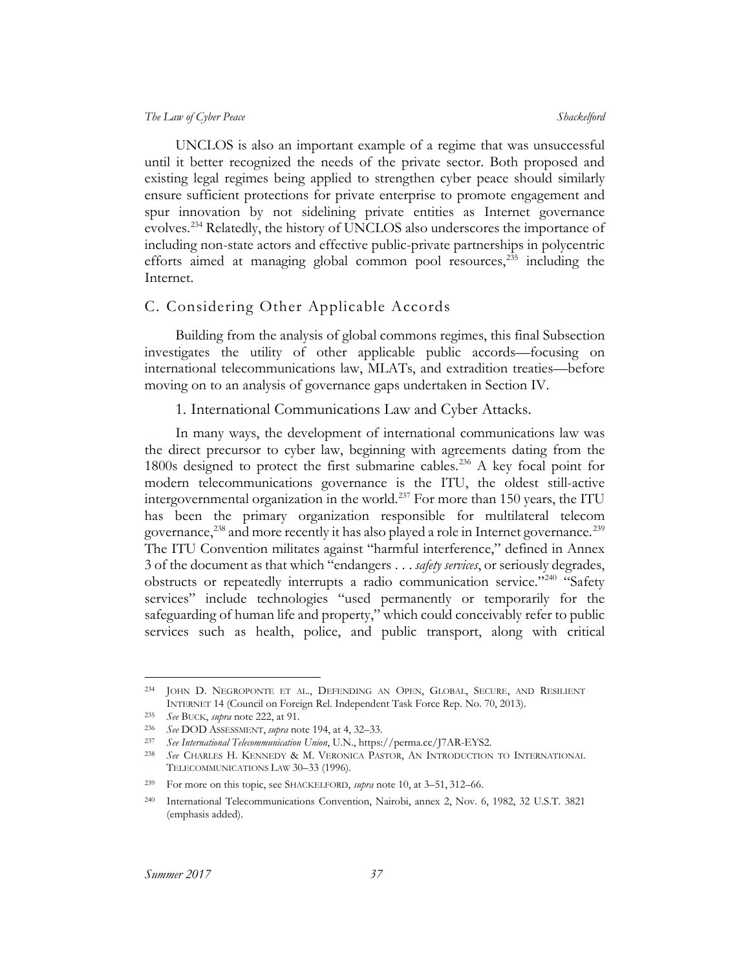UNCLOS is also an important example of a regime that was unsuccessful until it better recognized the needs of the private sector. Both proposed and existing legal regimes being applied to strengthen cyber peace should similarly ensure sufficient protections for private enterprise to promote engagement and spur innovation by not sidelining private entities as Internet governance evolves.<sup>[234](#page-37-2)</sup> Relatedly, the history of UNCLOS also underscores the importance of including non-state actors and effective public-private partnerships in polycentric efforts aimed at managing global common pool resources, $235$  including the Internet.

#### <span id="page-37-0"></span>C. Considering Other Applicable Accords

Building from the analysis of global commons regimes, this final Subsection investigates the utility of other applicable public accords—focusing on international telecommunications law, MLATs, and extradition treaties—before moving on to an analysis of governance gaps undertaken in Section IV.

#### 1. International Communications Law and Cyber Attacks.

<span id="page-37-1"></span>In many ways, the development of international communications law was the direct precursor to cyber law, beginning with agreements dating from the 1800s designed to protect the first submarine cables.<sup>[236](#page-37-4)</sup> A key focal point for modern telecommunications governance is the ITU, the oldest still-active intergovernmental organization in the world.<sup>237</sup> For more than 150 years, the ITU has been the primary organization responsible for multilateral telecom governance,  $^{238}$  and more recently it has also played a role in Internet governance.  $^{239}$  $^{239}$  $^{239}$ The ITU Convention militates against "harmful interference," defined in Annex 3 of the document as that which "endangers . . . *safety services*, or seriously degrades, obstructs or repeatedly interrupts a radio communication service."<sup>[240](#page-37-8)</sup> "Safety services" include technologies "used permanently or temporarily for the safeguarding of human life and property," which could conceivably refer to public services such as health, police, and public transport, along with critical

<span id="page-37-2"></span> <sup>234</sup> JOHN D. NEGROPONTE ET AL., DEFENDING AN OPEN, GLOBAL, SECURE, AND RESILIENT INTERNET 14 (Council on Foreign Rel. Independent Task Force Rep. No. 70, 2013).

<span id="page-37-5"></span><span id="page-37-4"></span><span id="page-37-3"></span><sup>235</sup> *See* BUCK, *supra* note [222,](#page-35-1) at 91.

<sup>236</sup> *See* DOD ASSESSMENT, *supra* note [194,](#page-31-1) at 4, 32–33.

<span id="page-37-6"></span><sup>237</sup> *See International Telecommunication Union*, U.N., https://perma.cc/J7AR-EYS2.

<sup>238</sup> *See* CHARLES H. KENNEDY & M. VERONICA PASTOR, AN INTRODUCTION TO INTERNATIONAL TELECOMMUNICATIONS LAW 30–33 (1996).

<span id="page-37-8"></span><span id="page-37-7"></span><sup>239</sup> For more on this topic, see SHACKELFORD, *supra* note [10,](#page-4-9) at 3–51, 312–66.

<sup>240</sup> International Telecommunications Convention, Nairobi, annex 2, Nov. 6, 1982, 32 U.S.T. 3821 (emphasis added).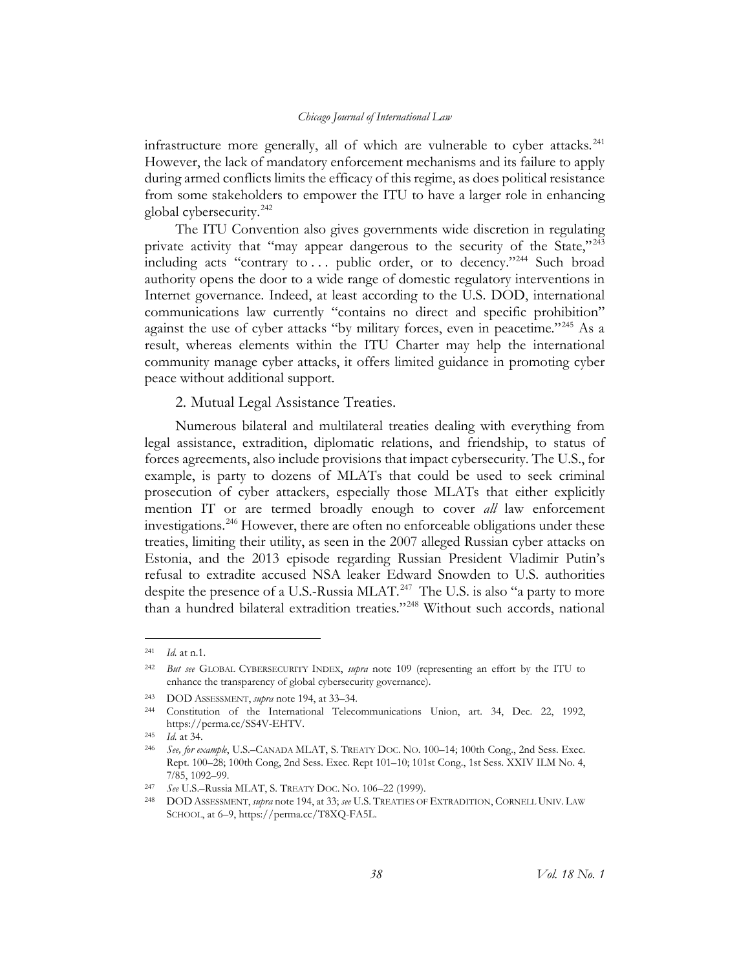infrastructure more generally, all of which are vulnerable to cyber attacks.<sup>[241](#page-38-1)</sup> However, the lack of mandatory enforcement mechanisms and its failure to apply during armed conflicts limits the efficacy of this regime, as does political resistance from some stakeholders to empower the ITU to have a larger role in enhancing global cybersecurity.<sup>[242](#page-38-2)</sup>

The ITU Convention also gives governments wide discretion in regulating private activity that "may appear dangerous to the security of the State,"<sup>[243](#page-38-3)</sup> including acts "contrary to ... public order, or to decency."<sup>244</sup> Such broad authority opens the door to a wide range of domestic regulatory interventions in Internet governance. Indeed, at least according to the U.S. DOD, international communications law currently "contains no direct and specific prohibition" against the use of cyber attacks "by military forces, even in peacetime."<sup>[245](#page-38-5)</sup> As a result, whereas elements within the ITU Charter may help the international community manage cyber attacks, it offers limited guidance in promoting cyber peace without additional support.

<span id="page-38-0"></span>2. Mutual Legal Assistance Treaties.

Numerous bilateral and multilateral treaties dealing with everything from legal assistance, extradition, diplomatic relations, and friendship, to status of forces agreements, also include provisions that impact cybersecurity. The U.S., for example, is party to dozens of MLATs that could be used to seek criminal prosecution of cyber attackers, especially those MLATs that either explicitly mention IT or are termed broadly enough to cover *all* law enforcement investigations.<sup>[246](#page-38-6)</sup> However, there are often no enforceable obligations under these treaties, limiting their utility, as seen in the 2007 alleged Russian cyber attacks on Estonia, and the 2013 episode regarding Russian President Vladimir Putin's refusal to extradite accused NSA leaker Edward Snowden to U.S. authorities despite the presence of a U.S.-Russia MLAT.<sup>247</sup> The U.S. is also "a party to more than a hundred bilateral extradition treaties."[248](#page-38-8) Without such accords, national

 <sup>241</sup> *Id.* at n.1.

<span id="page-38-2"></span><sup>242</sup> *But see* GLOBAL CYBERSECURITY INDEX, *supra* note [109](#page-19-6) (representing an effort by the ITU to enhance the transparency of global cybersecurity governance).

<span id="page-38-3"></span><sup>243</sup> DOD ASSESSMENT, *supra* note [194,](#page-31-1) at 33–34.

<span id="page-38-4"></span><sup>244</sup> Constitution of the International Telecommunications Union, art. 34, Dec. 22, 1992, https://perma.cc/SS4V-EHTV.

<span id="page-38-5"></span><sup>245</sup> *Id.* at 34.

<span id="page-38-6"></span><sup>246</sup> *See, for example*, U.S.–CANADA MLAT, S. TREATY DOC. NO. 100–14; 100th Cong., 2nd Sess. Exec. Rept. 100–28; 100th Cong, 2nd Sess. Exec. Rept 101–10; 101st Cong., 1st Sess. XXIV ILM No. 4, 7/85, 1092–99.

<span id="page-38-7"></span><sup>247</sup> *See* U.S.–Russia MLAT, S. TREATY DOC. NO. 106–22 (1999).

<span id="page-38-8"></span><span id="page-38-1"></span><sup>248</sup> DOD ASSESSMENT, *supra* not[e 194,](#page-31-1) at 33; *see* U.S. TREATIES OF EXTRADITION, CORNELL UNIV. LAW SCHOOL, at 6-9, https://perma.cc/T8XQ-FA5L.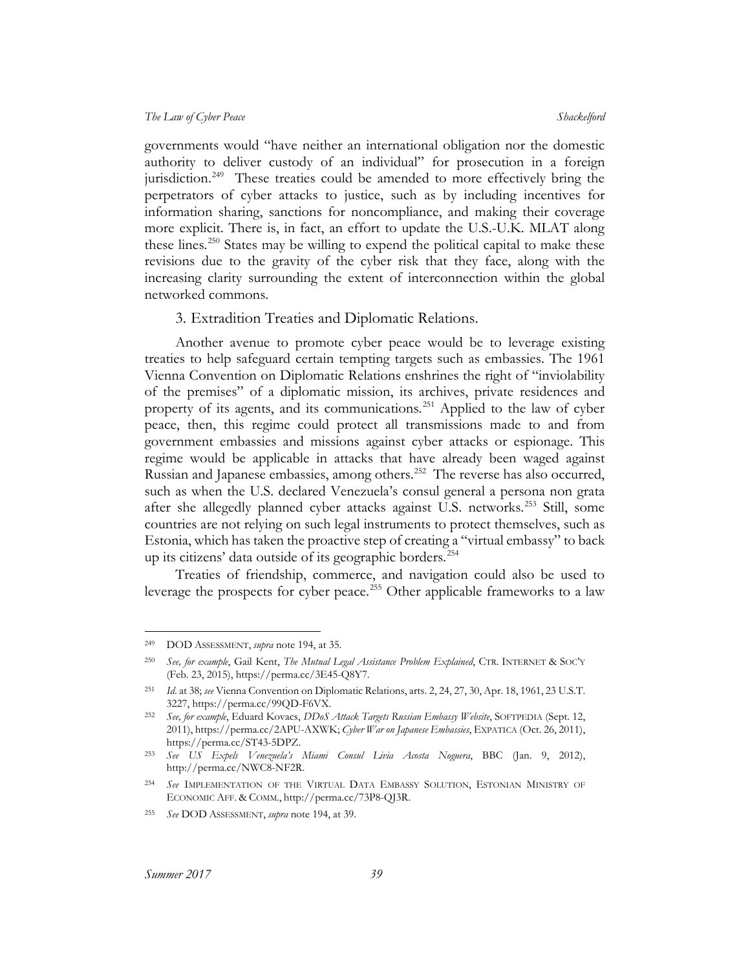governments would "have neither an international obligation nor the domestic authority to deliver custody of an individual" for prosecution in a foreign jurisdiction.<sup>249</sup> These treaties could be amended to more effectively bring the perpetrators of cyber attacks to justice, such as by including incentives for information sharing, sanctions for noncompliance, and making their coverage more explicit. There is, in fact, an effort to update the U.S.-U.K. MLAT along these lines.[250](#page-39-2) States may be willing to expend the political capital to make these revisions due to the gravity of the cyber risk that they face, along with the increasing clarity surrounding the extent of interconnection within the global networked commons.

#### 3. Extradition Treaties and Diplomatic Relations.

<span id="page-39-0"></span>Another avenue to promote cyber peace would be to leverage existing treaties to help safeguard certain tempting targets such as embassies. The 1961 Vienna Convention on Diplomatic Relations enshrines the right of "inviolability of the premises" of a diplomatic mission, its archives, private residences and property of its agents, and its communications.<sup>[251](#page-39-3)</sup> Applied to the law of cyber peace, then, this regime could protect all transmissions made to and from government embassies and missions against cyber attacks or espionage. This regime would be applicable in attacks that have already been waged against Russian and Japanese embassies, among others.<sup>[252](#page-39-4)</sup> The reverse has also occurred, such as when the U.S. declared Venezuela's consul general a persona non grata after she allegedly planned cyber attacks against U.S. networks.<sup>[253](#page-39-5)</sup> Still, some countries are not relying on such legal instruments to protect themselves, such as Estonia, which has taken the proactive step of creating a "virtual embassy" to back up its citizens' data outside of its geographic borders.[254](#page-39-6)

Treaties of friendship, commerce, and navigation could also be used to leverage the prospects for cyber peace.<sup>[255](#page-39-7)</sup> Other applicable frameworks to a law

<span id="page-39-1"></span> <sup>249</sup> DOD ASSESSMENT, *supra* note [194,](#page-31-1) at 35.

<span id="page-39-2"></span><sup>250</sup> *See, for example*, Gail Kent, *The Mutual Legal Assistance Problem Explained*, CTR. INTERNET & SOC'Y (Feb. 23, 2015), https://perma.cc/3E45-Q8Y7.

<span id="page-39-3"></span><sup>251</sup> *Id*. at 38; *see* Vienna Convention on Diplomatic Relations, arts. 2, 24, 27, 30, Apr. 18, 1961, 23 U.S.T. 3227, https://perma.cc/99QD-F6VX.

<span id="page-39-4"></span><sup>252</sup> *See, for example*, Eduard Kovacs, *DDoS Attack Targets Russian Embassy Website*, SOFTPEDIA (Sept. 12, 2011), https://perma.cc/2APU-AXWK; *Cyber War on Japanese Embassies*, EXPATICA (Oct. 26, 2011), https://perma.cc/ST43-5DPZ.

<span id="page-39-5"></span><sup>253</sup> *See US Expels Venezuela's Miami Consul Livia Acosta Noguera*, BBC (Jan. 9, 2012), http://perma.cc/NWC8-NF2R.

<span id="page-39-6"></span><sup>254</sup> *See* IMPLEMENTATION OF THE VIRTUAL DATA EMBASSY SOLUTION, ESTONIAN MINISTRY OF ECONOMIC AFF. & COMM., http://perma.cc/73P8-QJ3R.

<span id="page-39-7"></span><sup>255</sup> *See* DOD ASSESSMENT, *supra* note [194,](#page-31-1) at 39.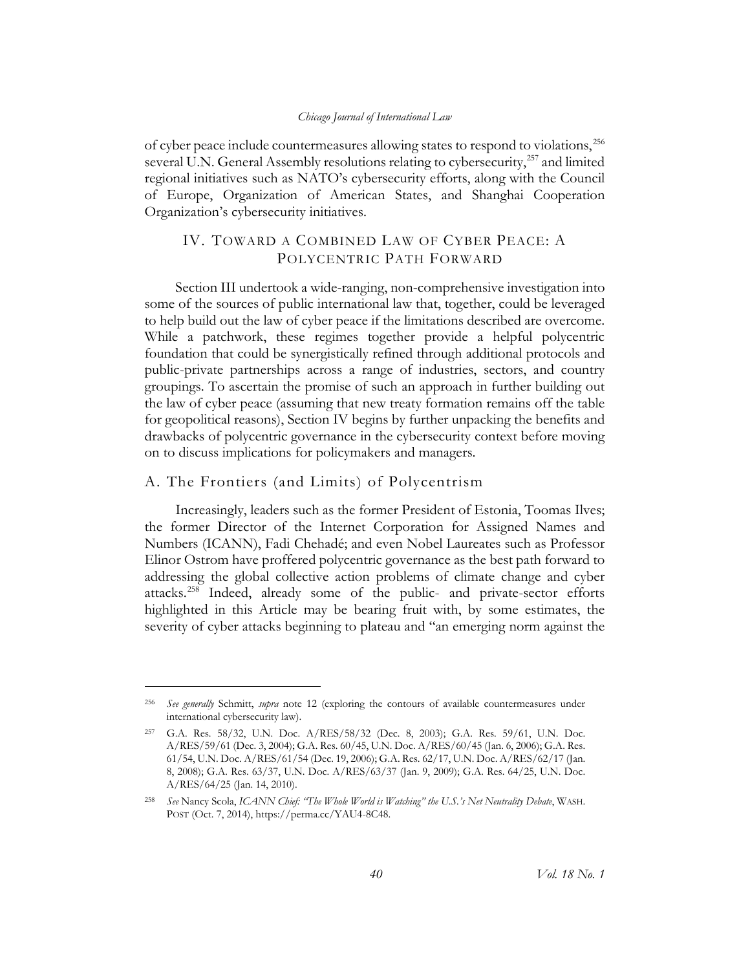of cyber peace include countermeasures allowing states to respond to violations,<sup>[256](#page-40-2)</sup> several U.N. General Assembly resolutions relating to cybersecurity,<sup>[257](#page-40-3)</sup> and limited regional initiatives such as NATO's cybersecurity efforts, along with the Council of Europe, Organization of American States, and Shanghai Cooperation Organization's cybersecurity initiatives.

### <span id="page-40-0"></span>IV. TOWARD A COMBINED LAW OF CYBER PEACE: A POLYCENTRIC PATH FORWARD

Section III undertook a wide-ranging, non-comprehensive investigation into some of the sources of public international law that, together, could be leveraged to help build out the law of cyber peace if the limitations described are overcome. While a patchwork, these regimes together provide a helpful polycentric foundation that could be synergistically refined through additional protocols and public-private partnerships across a range of industries, sectors, and country groupings. To ascertain the promise of such an approach in further building out the law of cyber peace (assuming that new treaty formation remains off the table for geopolitical reasons), Section IV begins by further unpacking the benefits and drawbacks of polycentric governance in the cybersecurity context before moving on to discuss implications for policymakers and managers.

#### <span id="page-40-1"></span>A. The Frontiers (and Limits) of Polycentrism

 $\overline{a}$ 

Increasingly, leaders such as the former President of Estonia, Toomas Ilves; the former Director of the Internet Corporation for Assigned Names and Numbers (ICANN), Fadi Chehadé; and even Nobel Laureates such as Professor Elinor Ostrom have proffered polycentric governance as the best path forward to addressing the global collective action problems of climate change and cyber attacks.<sup>[258](#page-40-4)</sup> Indeed, already some of the public- and private-sector efforts highlighted in this Article may be bearing fruit with, by some estimates, the severity of cyber attacks beginning to plateau and "an emerging norm against the

<span id="page-40-2"></span><sup>256</sup> *See generally* Schmitt, *supra* note [12](#page-4-11) (exploring the contours of available countermeasures under international cybersecurity law).

<span id="page-40-3"></span><sup>257</sup> G.A. Res. 58/32, U.N. Doc. A/RES/58/32 (Dec. 8, 2003); G.A. Res. 59/61, U.N. Doc. A/RES/59/61 (Dec. 3, 2004); G.A. Res. 60/45, U.N. Doc. A/RES/60/45 (Jan. 6, 2006); G.A. Res. 61/54, U.N. Doc. A/RES/61/54 (Dec. 19, 2006); G.A. Res. 62/17, U.N. Doc. A/RES/62/17 (Jan. 8, 2008); G.A. Res. 63/37, U.N. Doc. A/RES/63/37 (Jan. 9, 2009); G.A. Res. 64/25, U.N. Doc. A/RES/64/25 (Jan. 14, 2010).

<span id="page-40-4"></span><sup>258</sup> *See* Nancy Scola, *ICANN Chief: "The Whole World is Watching" the U.S.'s Net Neutrality Debate*, WASH. POST (Oct. 7, 2014), https://perma.cc/YAU4-8C48.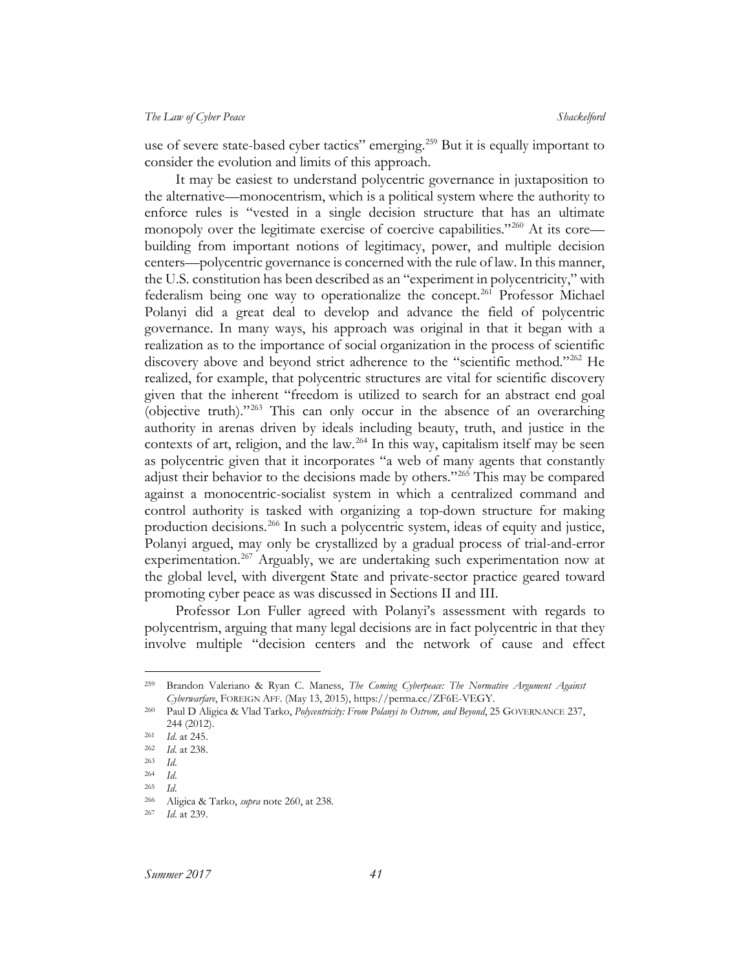use of severe state-based cyber tactics" emerging.<sup>[259](#page-41-1)</sup> But it is equally important to consider the evolution and limits of this approach.

<span id="page-41-0"></span>It may be easiest to understand polycentric governance in juxtaposition to the alternative—monocentrism, which is a political system where the authority to enforce rules is "vested in a single decision structure that has an ultimate monopoly over the legitimate exercise of coercive capabilities."<sup>[260](#page-41-2)</sup> At its core building from important notions of legitimacy, power, and multiple decision centers—polycentric governance is concerned with the rule of law. In this manner, the U.S. constitution has been described as an "experiment in polycentricity," with federalism being one way to operationalize the concept.<sup>[261](#page-41-3)</sup> Professor Michael Polanyi did a great deal to develop and advance the field of polycentric governance. In many ways, his approach was original in that it began with a realization as to the importance of social organization in the process of scientific discovery above and beyond strict adherence to the "scientific method."<sup>262</sup> He realized, for example, that polycentric structures are vital for scientific discovery given that the inherent "freedom is utilized to search for an abstract end goal (objective truth)."[263](#page-41-5) This can only occur in the absence of an overarching authority in arenas driven by ideals including beauty, truth, and justice in the contexts of art, religion, and the law.<sup>[264](#page-41-6)</sup> In this way, capitalism itself may be seen as polycentric given that it incorporates "a web of many agents that constantly adjust their behavior to the decisions made by others."<sup>[265](#page-41-7)</sup> This may be compared against a monocentric-socialist system in which a centralized command and control authority is tasked with organizing a top-down structure for making production decisions.[266](#page-41-8) In such a polycentric system, ideas of equity and justice, Polanyi argued, may only be crystallized by a gradual process of trial-and-error experimentation.<sup>[267](#page-41-9)</sup> Arguably, we are undertaking such experimentation now at the global level, with divergent State and private-sector practice geared toward promoting cyber peace as was discussed in Sections II and III.

Professor Lon Fuller agreed with Polanyi's assessment with regards to polycentrism, arguing that many legal decisions are in fact polycentric in that they involve multiple "decision centers and the network of cause and effect

<span id="page-41-1"></span> <sup>259</sup> Brandon Valeriano & Ryan C. Maness, *The Coming Cyberpeace: The Normative Argument Against Cyberwarfare*, FOREIGN AFF. (May 13, 2015), https://perma.cc/ZF6E-VEGY.

<span id="page-41-2"></span><sup>260</sup> Paul D Aligica & Vlad Tarko, *Polycentricity: From Polanyi to Ostrom, and Beyond*, 25 GOVERNANCE 237, 244 (2012).

<span id="page-41-3"></span><sup>261</sup> *Id*. at 245.

<span id="page-41-4"></span><sup>262</sup> *Id*. at 238.

<span id="page-41-5"></span><sup>263</sup> *Id*.

<span id="page-41-6"></span><sup>264</sup> *Id*.

<span id="page-41-7"></span><sup>265</sup> *Id*.

<sup>266</sup> Aligica & Tarko, *supra* not[e 260,](#page-41-0) at 238.

<span id="page-41-9"></span><span id="page-41-8"></span><sup>267</sup> *Id*. at 239.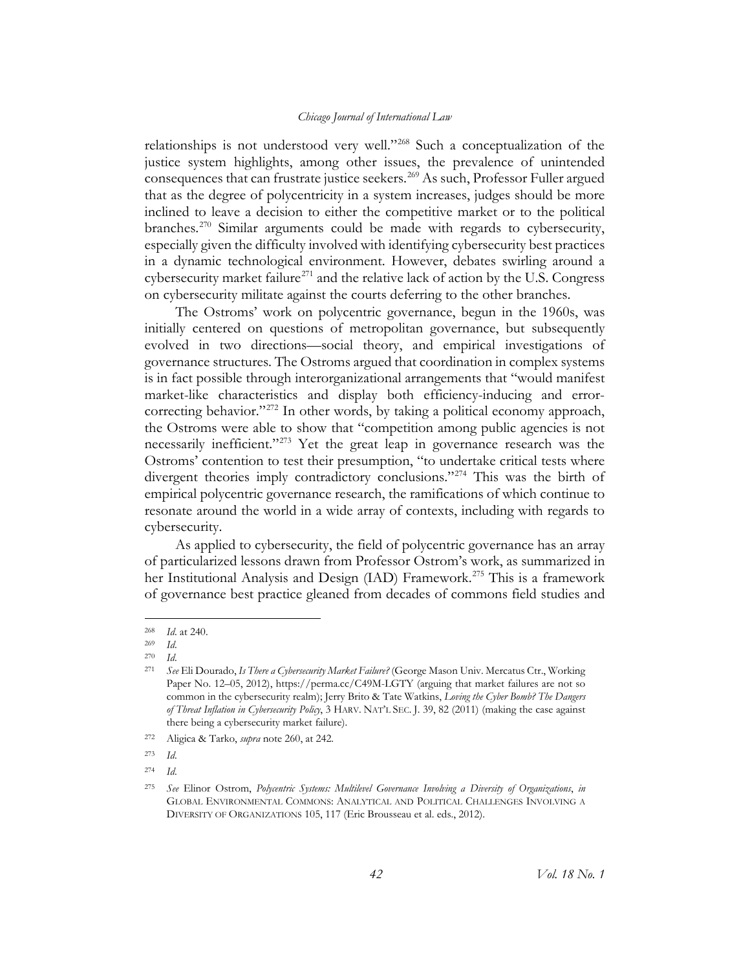relationships is not understood very well."<sup>[268](#page-42-0)</sup> Such a conceptualization of the justice system highlights, among other issues, the prevalence of unintended consequences that can frustrate justice seekers.<sup>[269](#page-42-1)</sup> As such, Professor Fuller argued that as the degree of polycentricity in a system increases, judges should be more inclined to leave a decision to either the competitive market or to the political branches.<sup>[270](#page-42-2)</sup> Similar arguments could be made with regards to cybersecurity, especially given the difficulty involved with identifying cybersecurity best practices in a dynamic technological environment. However, debates swirling around a cybersecurity market failure<sup>[271](#page-42-3)</sup> and the relative lack of action by the U.S. Congress on cybersecurity militate against the courts deferring to the other branches.

The Ostroms' work on polycentric governance, begun in the 1960s, was initially centered on questions of metropolitan governance, but subsequently evolved in two directions—social theory, and empirical investigations of governance structures. The Ostroms argued that coordination in complex systems is in fact possible through interorganizational arrangements that "would manifest market-like characteristics and display both efficiency-inducing and error-correcting behavior."<sup>[272](#page-42-4)</sup> In other words, by taking a political economy approach, the Ostroms were able to show that "competition among public agencies is not necessarily inefficient."<sup>[273](#page-42-5)</sup> Yet the great leap in governance research was the Ostroms' contention to test their presumption, "to undertake critical tests where divergent theories imply contradictory conclusions."<sup>[274](#page-42-6)</sup> This was the birth of empirical polycentric governance research, the ramifications of which continue to resonate around the world in a wide array of contexts, including with regards to cybersecurity.

<span id="page-42-8"></span>As applied to cybersecurity, the field of polycentric governance has an array of particularized lessons drawn from Professor Ostrom's work, as summarized in her Institutional Analysis and Design (IAD) Framework.<sup>[275](#page-42-7)</sup> This is a framework of governance best practice gleaned from decades of commons field studies and

<span id="page-42-1"></span><span id="page-42-0"></span> <sup>268</sup> *Id*. at 240.

<sup>269</sup> *Id*.

<sup>270</sup> *Id*.

<span id="page-42-3"></span><span id="page-42-2"></span><sup>271</sup> *See* Eli Dourado, *Is There a Cybersecurity Market Failure?* (George Mason Univ. Mercatus Ctr., Working Paper No. 12–05, 2012), https://perma.cc/C49M-LGTY (arguing that market failures are not so common in the cybersecurity realm); Jerry Brito & Tate Watkins, *Loving the Cyber Bomb? The Dangers of Threat Inflation in Cybersecurity Policy*, 3 HARV. NAT'L SEC. J. 39, 82 (2011) (making the case against there being a cybersecurity market failure).

<span id="page-42-4"></span><sup>272</sup> Aligica & Tarko, *supra* not[e 260,](#page-41-0) at 242.

<span id="page-42-5"></span><sup>273</sup> *Id*.

<span id="page-42-6"></span><sup>274</sup> *Id*.

<span id="page-42-7"></span><sup>275</sup> *See* Elinor Ostrom, *Polycentric Systems: Multilevel Governance Involving a Diversity of Organizations*, *in*  GLOBAL ENVIRONMENTAL COMMONS: ANALYTICAL AND POLITICAL CHALLENGES INVOLVING A DIVERSITY OF ORGANIZATIONS 105, 117 (Eric Brousseau et al. eds., 2012).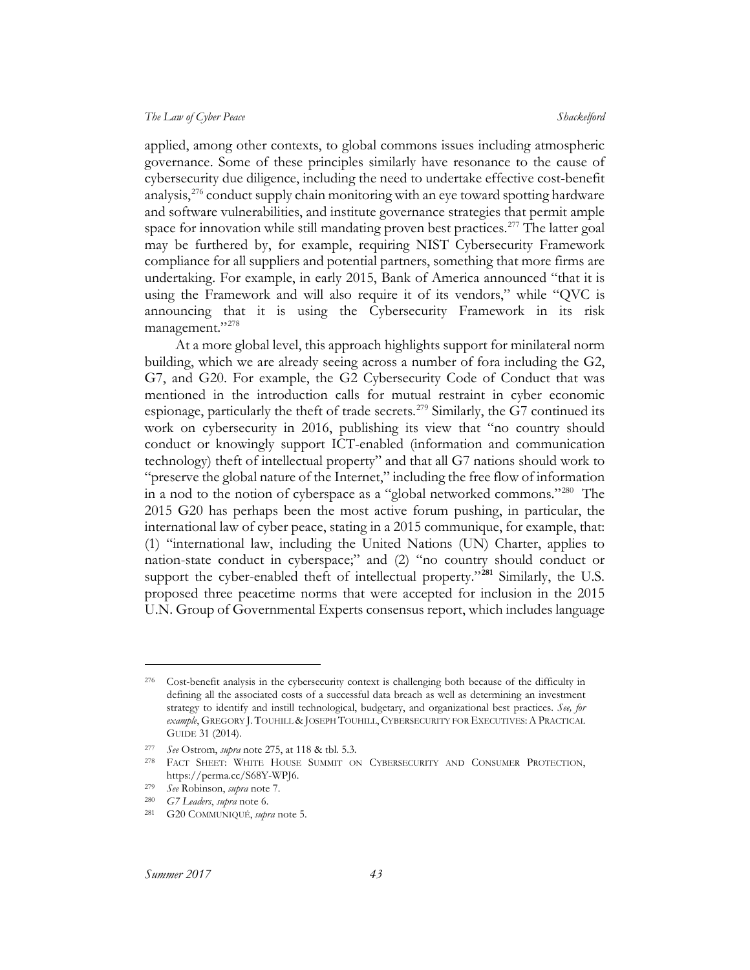applied, among other contexts, to global commons issues including atmospheric governance. Some of these principles similarly have resonance to the cause of cybersecurity due diligence, including the need to undertake effective cost-benefit analysis,  $276$  conduct supply chain monitoring with an eye toward spotting hardware and software vulnerabilities, and institute governance strategies that permit ample space for innovation while still mandating proven best practices.<sup>[277](#page-43-1)</sup> The latter goal may be furthered by, for example, requiring NIST Cybersecurity Framework compliance for all suppliers and potential partners, something that more firms are undertaking. For example, in early 2015, Bank of America announced "that it is using the Framework and will also require it of its vendors," while "QVC is announcing that it is using the Cybersecurity Framework in its risk management."<sup>[278](#page-43-2)</sup>

At a more global level, this approach highlights support for minilateral norm building, which we are already seeing across a number of fora including the G2, G7, and G20. For example, the G2 Cybersecurity Code of Conduct that was mentioned in the introduction calls for mutual restraint in cyber economic espionage, particularly the theft of trade secrets.<sup>[279](#page-43-3)</sup> Similarly, the G7 continued its work on cybersecurity in 2016, publishing its view that "no country should conduct or knowingly support ICT-enabled (information and communication technology) theft of intellectual property" and that all G7 nations should work to "preserve the global nature of the Internet," including the free flow of information in a nod to the notion of cyberspace as a "global networked commons."[280](#page-43-4) The 2015 G20 has perhaps been the most active forum pushing, in particular, the international law of cyber peace, stating in a 2015 communique, for example, that: (1) "international law, including the United Nations (UN) Charter, applies to nation-state conduct in cyberspace;" and (2) "no country should conduct or support the cyber-enabled theft of intellectual property."**[281](#page-43-5)** Similarly, the U.S. proposed three peacetime norms that were accepted for inclusion in the 2015 U.N. Group of Governmental Experts consensus report, which includes language

 $\overline{a}$ 

<span id="page-43-0"></span><sup>276</sup> Cost-benefit analysis in the cybersecurity context is challenging both because of the difficulty in defining all the associated costs of a successful data breach as well as determining an investment strategy to identify and instill technological, budgetary, and organizational best practices. *See, for example*, GREGORY J. TOUHILL & JOSEPH TOUHILL,CYBERSECURITY FOR EXECUTIVES:APRACTICAL GUIDE 31 (2014).

<span id="page-43-1"></span><sup>277</sup> *See* Ostrom, *supra* not[e 275,](#page-42-8) at 118 & tbl. 5.3.

<span id="page-43-2"></span><sup>278</sup> FACT SHEET: WHITE HOUSE SUMMIT ON CYBERSECURITY AND CONSUMER PROTECTION, https://perma.cc/S68Y-WPJ6.

<span id="page-43-4"></span><span id="page-43-3"></span><sup>279</sup> *See* Robinson, *supra* note [7.](#page-3-9)

<sup>280</sup> *G7 Leaders*, *supra* note [6.](#page-3-10)

<span id="page-43-5"></span><sup>281</sup> G20 COMMUNIQUÉ, *supra* not[e 5.](#page-3-8)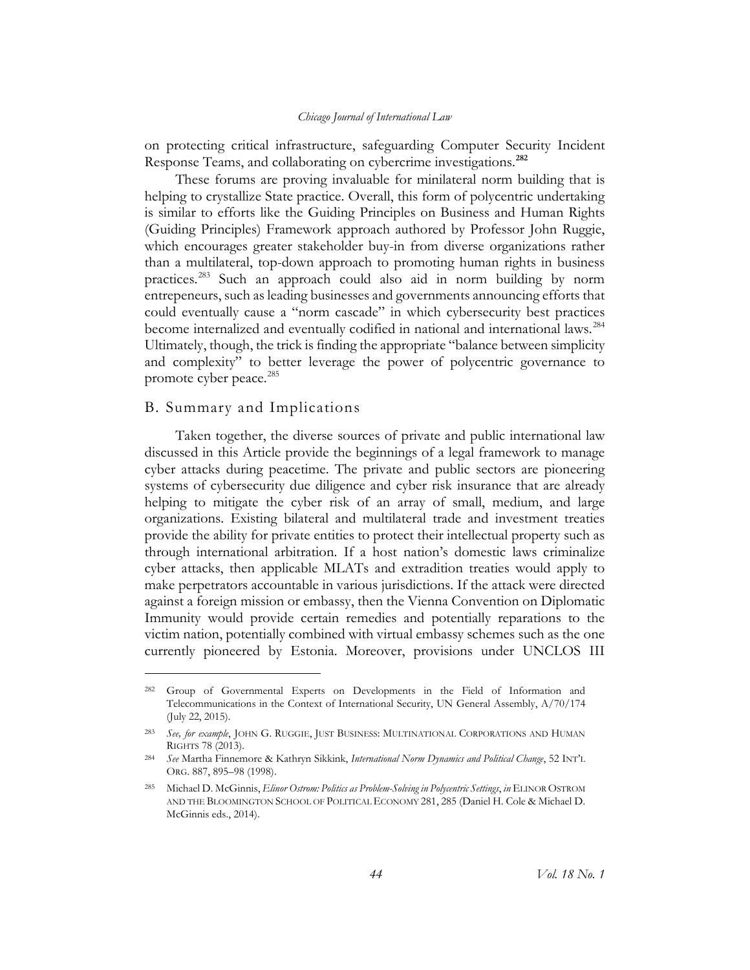on protecting critical infrastructure, safeguarding Computer Security Incident Response Teams, and collaborating on cybercrime investigations.**[282](#page-44-1)**

These forums are proving invaluable for minilateral norm building that is helping to crystallize State practice. Overall, this form of polycentric undertaking is similar to efforts like the Guiding Principles on Business and Human Rights (Guiding Principles) Framework approach authored by Professor John Ruggie, which encourages greater stakeholder buy-in from diverse organizations rather than a multilateral, top-down approach to promoting human rights in business practices.[283](#page-44-2) Such an approach could also aid in norm building by norm entrepeneurs, such as leading businesses and governments announcing efforts that could eventually cause a "norm cascade" in which cybersecurity best practices become internalized and eventually codified in national and international laws.<sup>[284](#page-44-3)</sup> Ultimately, though, the trick is finding the appropriate "balance between simplicity and complexity" to better leverage the power of polycentric governance to promote cyber peace.<sup>285</sup>

#### <span id="page-44-5"></span><span id="page-44-0"></span>B. Summary and Implications

 $\overline{a}$ 

Taken together, the diverse sources of private and public international law discussed in this Article provide the beginnings of a legal framework to manage cyber attacks during peacetime. The private and public sectors are pioneering systems of cybersecurity due diligence and cyber risk insurance that are already helping to mitigate the cyber risk of an array of small, medium, and large organizations. Existing bilateral and multilateral trade and investment treaties provide the ability for private entities to protect their intellectual property such as through international arbitration. If a host nation's domestic laws criminalize cyber attacks, then applicable MLATs and extradition treaties would apply to make perpetrators accountable in various jurisdictions. If the attack were directed against a foreign mission or embassy, then the Vienna Convention on Diplomatic Immunity would provide certain remedies and potentially reparations to the victim nation, potentially combined with virtual embassy schemes such as the one currently pioneered by Estonia. Moreover, provisions under UNCLOS III

<span id="page-44-1"></span><sup>282</sup> Group of Governmental Experts on Developments in the Field of Information and Telecommunications in the Context of International Security, UN General Assembly, A/70/174 (July 22, 2015).

<span id="page-44-2"></span><sup>283</sup> *See, for example*, JOHN G. RUGGIE, JUST BUSINESS: MULTINATIONAL CORPORATIONS AND HUMAN RIGHTS 78 (2013).

<span id="page-44-3"></span><sup>284</sup> *See* Martha Finnemore & Kathryn Sikkink, *International Norm Dynamics and Political Change*, 52 INT'L ORG. 887, 895–98 (1998).

<span id="page-44-4"></span><sup>285</sup> Michael D. McGinnis, *Elinor Ostrom: Politics as Problem-Solving in Polycentric Settings*, *in* ELINOR OSTROM AND THE BLOOMINGTON SCHOOL OF POLITICAL ECONOMY 281, 285 (Daniel H. Cole & Michael D. McGinnis eds., 2014).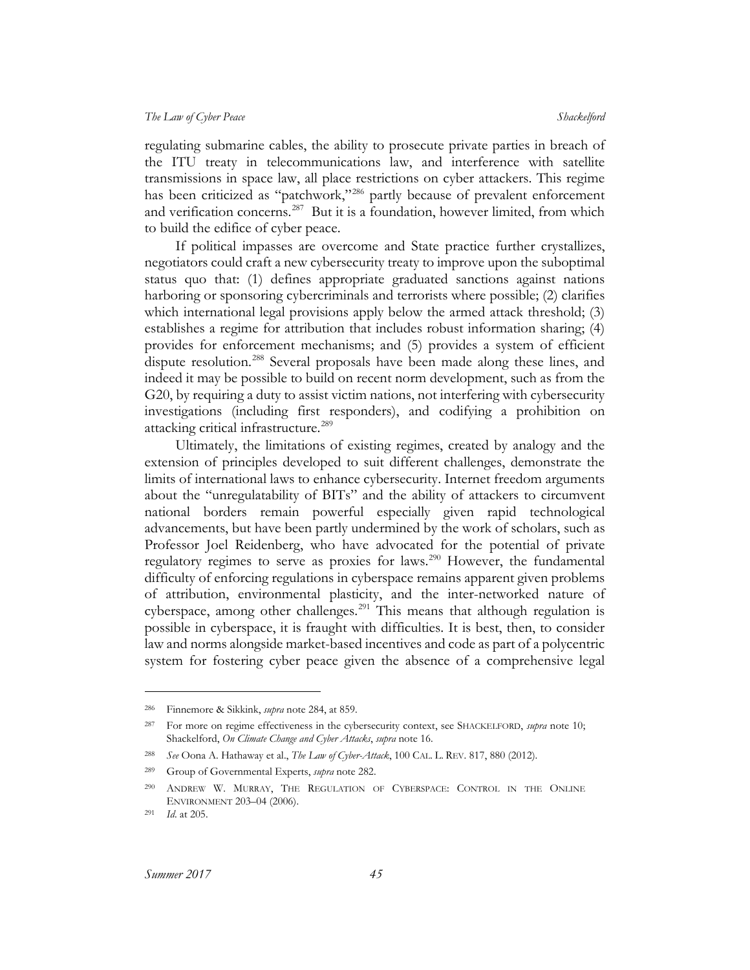regulating submarine cables, the ability to prosecute private parties in breach of the ITU treaty in telecommunications law, and interference with satellite transmissions in space law, all place restrictions on cyber attackers. This regime has been criticized as "patchwork,"<sup>[286](#page-45-0)</sup> partly because of prevalent enforcement and verification concerns.<sup>[287](#page-45-1)</sup> But it is a foundation, however limited, from which to build the edifice of cyber peace.

If political impasses are overcome and State practice further crystallizes, negotiators could craft a new cybersecurity treaty to improve upon the suboptimal status quo that: (1) defines appropriate graduated sanctions against nations harboring or sponsoring cybercriminals and terrorists where possible; (2) clarifies which international legal provisions apply below the armed attack threshold; (3) establishes a regime for attribution that includes robust information sharing; (4) provides for enforcement mechanisms; and (5) provides a system of efficient dispute resolution.<sup>[288](#page-45-2)</sup> Several proposals have been made along these lines, and indeed it may be possible to build on recent norm development, such as from the G20, by requiring a duty to assist victim nations, not interfering with cybersecurity investigations (including first responders), and codifying a prohibition on attacking critical infrastructure.<sup>[289](#page-45-3)</sup>

Ultimately, the limitations of existing regimes, created by analogy and the extension of principles developed to suit different challenges, demonstrate the limits of international laws to enhance cybersecurity. Internet freedom arguments about the "unregulatability of BITs" and the ability of attackers to circumvent national borders remain powerful especially given rapid technological advancements, but have been partly undermined by the work of scholars, such as Professor Joel Reidenberg, who have advocated for the potential of private regulatory regimes to serve as proxies for laws.<sup>[290](#page-45-4)</sup> However, the fundamental difficulty of enforcing regulations in cyberspace remains apparent given problems of attribution, environmental plasticity, and the inter-networked nature of cyberspace, among other challenges.<sup>[291](#page-45-5)</sup> This means that although regulation is possible in cyberspace, it is fraught with difficulties. It is best, then, to consider law and norms alongside market-based incentives and code as part of a polycentric system for fostering cyber peace given the absence of a comprehensive legal

 $\overline{a}$ 

<span id="page-45-0"></span><sup>286</sup> Finnemore & Sikkink, *supra* note [284,](#page-44-5) at 859.

<span id="page-45-1"></span><sup>287</sup> For more on regime effectiveness in the cybersecurity context, see SHACKELFORD, *supra* note [10;](#page-4-9) Shackelford, *On Climate Change and Cyber Attacks*, *supra* not[e 16.](#page-5-3)

<span id="page-45-2"></span><sup>288</sup> *See* Oona A. Hathaway et al., *The Law of Cyber-Attack*, 100 CAL. L. REV. 817, 880 (2012).

<span id="page-45-4"></span><span id="page-45-3"></span><sup>289</sup> Group of Governmental Experts, *supra* note 282.

<sup>290</sup> ANDREW W. MURRAY, THE REGULATION OF CYBERSPACE: CONTROL IN THE ONLINE ENVIRONMENT 203–04 (2006).

<span id="page-45-5"></span><sup>291</sup> *Id*. at 205.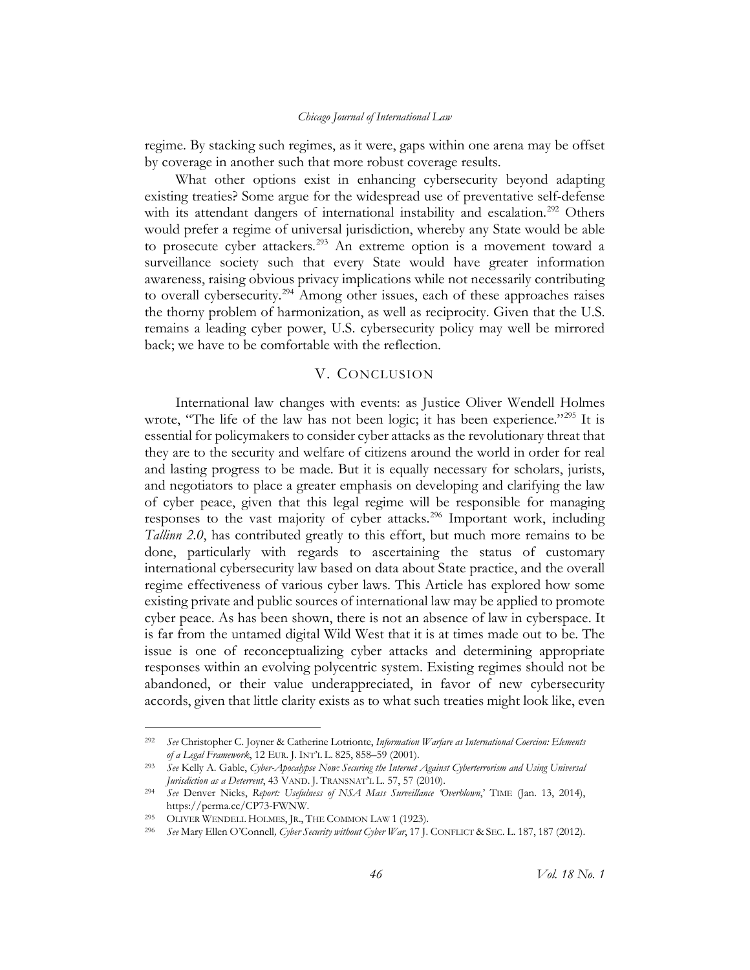regime. By stacking such regimes, as it were, gaps within one arena may be offset by coverage in another such that more robust coverage results.

What other options exist in enhancing cybersecurity beyond adapting existing treaties? Some argue for the widespread use of preventative self-defense with its attendant dangers of international instability and escalation.<sup>[292](#page-46-1)</sup> Others would prefer a regime of universal jurisdiction, whereby any State would be able to prosecute cyber attackers.<sup>[293](#page-46-2)</sup> An extreme option is a movement toward a surveillance society such that every State would have greater information awareness, raising obvious privacy implications while not necessarily contributing to overall cybersecurity.<sup>294</sup> Among other issues, each of these approaches raises the thorny problem of harmonization, as well as reciprocity. Given that the U.S. remains a leading cyber power, U.S. cybersecurity policy may well be mirrored back; we have to be comfortable with the reflection.

#### V. CONCLUSION

<span id="page-46-0"></span>International law changes with events: as Justice Oliver Wendell Holmes wrote, "The life of the law has not been logic; it has been experience."<sup>[295](#page-46-4)</sup> It is essential for policymakers to consider cyber attacks as the revolutionary threat that they are to the security and welfare of citizens around the world in order for real and lasting progress to be made. But it is equally necessary for scholars, jurists, and negotiators to place a greater emphasis on developing and clarifying the law of cyber peace, given that this legal regime will be responsible for managing responses to the vast majority of cyber attacks.<sup>[296](#page-46-5)</sup> Important work, including *Tallinn 2.0*, has contributed greatly to this effort, but much more remains to be done, particularly with regards to ascertaining the status of customary international cybersecurity law based on data about State practice, and the overall regime effectiveness of various cyber laws. This Article has explored how some existing private and public sources of international law may be applied to promote cyber peace. As has been shown, there is not an absence of law in cyberspace. It is far from the untamed digital Wild West that it is at times made out to be. The issue is one of reconceptualizing cyber attacks and determining appropriate responses within an evolving polycentric system. Existing regimes should not be abandoned, or their value underappreciated, in favor of new cybersecurity accords, given that little clarity exists as to what such treaties might look like, even

<span id="page-46-1"></span> <sup>292</sup> *See* Christopher C. Joyner & Catherine Lotrionte, *Information Warfare as International Coercion: Elements of a Legal Framework*, 12 EUR. J. INT'L L. 825, 858–59 (2001).

<span id="page-46-2"></span><sup>293</sup> *See* Kelly A. Gable, *Cyber-Apocalypse Now: Securing the Internet Against Cyberterrorism and Using Universal Jurisdiction as a Deterrent*, 43 VAND. J. TRANSNAT'L L. 57, 57 (2010).

<span id="page-46-3"></span><sup>294</sup> *See* Denver Nicks, *Report: Usefulness of NSA Mass Surveillance 'Overblown*,' TIME (Jan. 13, 2014), https://perma.cc/CP73-FWNW.

<span id="page-46-4"></span><sup>295</sup> OLIVER WENDELL HOLMES, JR., THE COMMON LAW 1 (1923).

<span id="page-46-5"></span><sup>296</sup> *See* Mary Ellen O'Connell*, Cyber Security without Cyber War*, 17 J. CONFLICT & SEC. L. 187, 187 (2012).